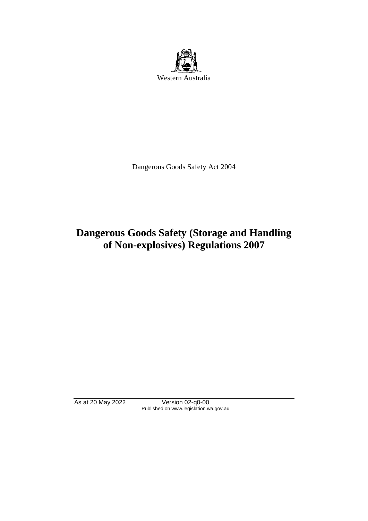

Dangerous Goods Safety Act 2004

# **Dangerous Goods Safety (Storage and Handling of Non-explosives) Regulations 2007**

As at 20 May 2022 Version 02-q0-00 Published on www.legislation.wa.gov.au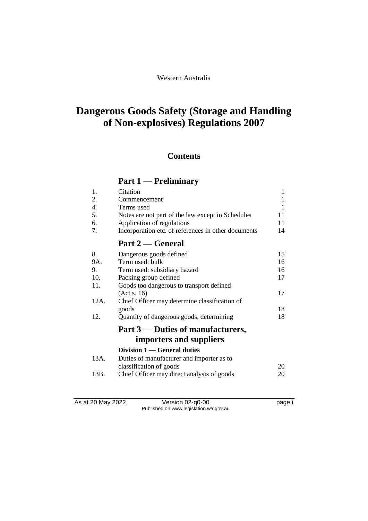# **Dangerous Goods Safety (Storage and Handling of Non-explosives) Regulations 2007**

# **Contents**

# **Part 1 — Preliminary**

| 1.   | Citation                                            | $\mathbf{1}$ |
|------|-----------------------------------------------------|--------------|
| 2.   | Commencement                                        | $\mathbf{1}$ |
| 4.   | Terms used                                          | 1            |
| 5.   | Notes are not part of the law except in Schedules   | 11           |
| 6.   | Application of regulations                          | 11           |
| 7.   | Incorporation etc. of references in other documents | 14           |
|      | Part 2 — General                                    |              |
| 8.   | Dangerous goods defined                             | 15           |
| 9A.  | Term used: bulk                                     | 16           |
| 9.   | Term used: subsidiary hazard                        | 16           |
| 10.  | Packing group defined                               | 17           |
| 11.  | Goods too dangerous to transport defined            |              |
|      | (Act s. 16)                                         | 17           |
| 12A. | Chief Officer may determine classification of       |              |
|      | goods                                               | 18           |
| 12.  | Quantity of dangerous goods, determining            | 18           |
|      | Part 3 — Duties of manufacturers,                   |              |
|      | importers and suppliers                             |              |
|      | Division 1 — General duties                         |              |
| 13A. | Duties of manufacturer and importer as to           |              |
|      | classification of goods                             | 20           |
| 13B. | Chief Officer may direct analysis of goods          | 20           |
|      |                                                     |              |

As at 20 May 2022 Version 02-q0-00 Page i Published on www.legislation.wa.gov.au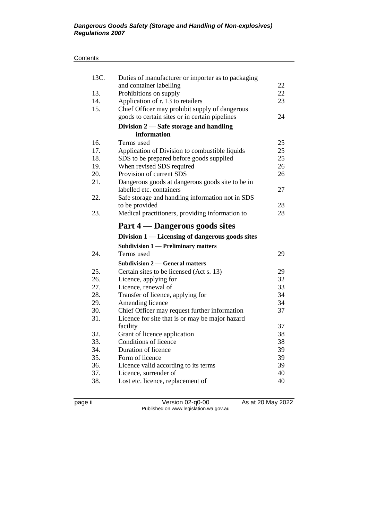### **Contents**

| 13C.       | Duties of manufacturer or importer as to packaging                                               |          |
|------------|--------------------------------------------------------------------------------------------------|----------|
|            | and container labelling                                                                          | 22       |
| 13.        | Prohibitions on supply                                                                           | 22       |
| 14.        | Application of r. 13 to retailers                                                                | 23       |
| 15.        | Chief Officer may prohibit supply of dangerous                                                   |          |
|            | goods to certain sites or in certain pipelines                                                   | 24       |
|            | Division $2$ — Safe storage and handling                                                         |          |
|            | information                                                                                      |          |
| 16.        | Terms used                                                                                       | 25       |
| 17.        | Application of Division to combustible liquids                                                   | 25       |
| 18.        | SDS to be prepared before goods supplied                                                         | 25       |
| 19.        | When revised SDS required                                                                        | 26       |
| 20.        | Provision of current SDS                                                                         | 26       |
| 21.        | Dangerous goods at dangerous goods site to be in                                                 |          |
|            | labelled etc. containers                                                                         | 27       |
| 22.        | Safe storage and handling information not in SDS                                                 |          |
|            | to be provided                                                                                   | 28       |
| 23.        | Medical practitioners, providing information to                                                  | 28       |
|            | Part 4 – Dangerous goods sites                                                                   |          |
|            | Division 1 — Licensing of dangerous goods sites                                                  |          |
|            | <b>Subdivision 1 — Preliminary matters</b>                                                       |          |
| 24.        | Terms used                                                                                       | 29       |
|            | <b>Subdivision 2 — General matters</b>                                                           |          |
| 25.        |                                                                                                  |          |
|            |                                                                                                  |          |
| 26.        | Certain sites to be licensed (Act s. 13)                                                         | 29<br>32 |
| 27.        | Licence, applying for                                                                            | 33       |
| 28.        | Licence, renewal of                                                                              | 34       |
| 29.        | Transfer of licence, applying for                                                                | 34       |
| 30.        | Amending licence                                                                                 | 37       |
| 31.        | Chief Officer may request further information<br>Licence for site that is or may be major hazard |          |
|            | facility                                                                                         | 37       |
| 32.        |                                                                                                  | 38       |
| 33.        | Grant of licence application<br>Conditions of licence                                            | 38       |
| 34.        | Duration of licence                                                                              | 39       |
| 35.        | Form of licence                                                                                  | 39       |
| 36.        | Licence valid according to its terms                                                             | 39       |
| 37.<br>38. | Licence, surrender of<br>Lost etc. licence, replacement of                                       | 40<br>40 |

page ii Version 02-q0-00 As at 20 May 2022 Published on www.legislation.wa.gov.au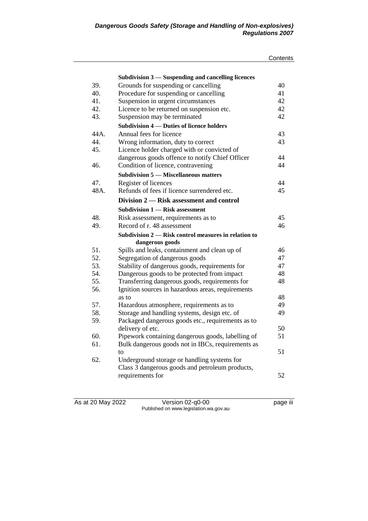|      |                                                      | Contents |
|------|------------------------------------------------------|----------|
|      |                                                      |          |
|      | Subdivision 3 – Suspending and cancelling licences   |          |
| 39.  | Grounds for suspending or cancelling                 | 40       |
| 40.  | Procedure for suspending or cancelling               | 41       |
| 41.  | Suspension in urgent circumstances                   | 42       |
| 42.  | Licence to be returned on suspension etc.            | 42       |
| 43.  | Suspension may be terminated                         | 42       |
|      | Subdivision 4 — Duties of licence holders            |          |
| 44A. | Annual fees for licence                              | 43       |
| 44   | Wrong information, duty to correct                   | 43       |
| 45.  | Licence holder charged with or convicted of          |          |
|      | dangerous goods offence to notify Chief Officer      | 44       |
| 46.  | Condition of licence, contravening                   | 44       |
|      | <b>Subdivision 5 – Miscellaneous matters</b>         |          |
| 47.  | Register of licences                                 | 44       |
| 48A. | Refunds of fees if licence surrendered etc.          | 45       |
|      | Division 2 – Risk assessment and control             |          |
|      | <b>Subdivision 1 – Risk assessment</b>               |          |
| 48.  | Risk assessment, requirements as to                  | 45       |
| 49.  | Record of r. 48 assessment                           | 46       |
|      | Subdivision 2 — Risk control measures in relation to |          |
|      | dangerous goods                                      |          |
| 51.  | Spills and leaks, containment and clean up of        | 46       |
| 52.  | Segregation of dangerous goods                       | 47       |
| 53.  | Stability of dangerous goods, requirements for       | 47       |
| 54.  | Dangerous goods to be protected from impact          | 48       |
| 55.  | Transferring dangerous goods, requirements for       | 48       |
| 56.  | Ignition sources in hazardous areas, requirements    |          |
|      | as to                                                | 48       |
| 57.  | Hazardous atmosphere, requirements as to             | 49       |
| 58.  | Storage and handling systems, design etc. of         | 49       |
| 59.  | Packaged dangerous goods etc., requirements as to    |          |
|      | delivery of etc.                                     | 50       |
| 60.  | Pipework containing dangerous goods, labelling of    | 51       |
| 61.  | Bulk dangerous goods not in IBCs, requirements as    |          |
|      | to                                                   | 51       |
| 62.  | Underground storage or handling systems for          |          |
|      | Class 3 dangerous goods and petroleum products,      |          |
|      | requirements for                                     | 52       |

As at 20 May 2022 Version 02-q0-00 page iii Published on www.legislation.wa.gov.au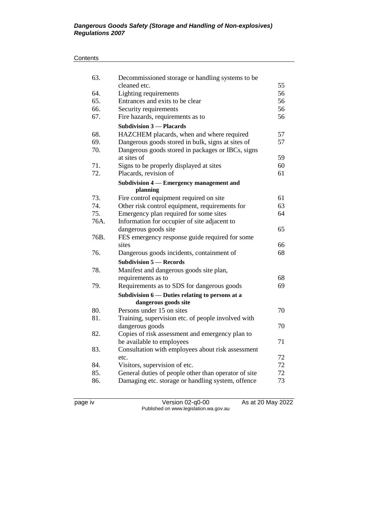### **Contents**

| 63.        | Decommissioned storage or handling systems to be<br>cleaned etc.                         | 55       |
|------------|------------------------------------------------------------------------------------------|----------|
| 64.        | Lighting requirements                                                                    | 56       |
| 65.        | Entrances and exits to be clear                                                          | 56       |
| 66.        | Security requirements                                                                    | 56       |
| 67.        | Fire hazards, requirements as to                                                         | 56       |
|            | <b>Subdivision 3 – Placards</b>                                                          |          |
| 68.        | HAZCHEM placards, when and where required                                                | 57       |
| 69.        | Dangerous goods stored in bulk, signs at sites of                                        | 57       |
| 70.        | Dangerous goods stored in packages or IBCs, signs                                        |          |
|            | at sites of                                                                              | 59       |
| 71.        | Signs to be properly displayed at sites                                                  | 60       |
| 72.        | Placards, revision of                                                                    | 61       |
|            | Subdivision 4 — Emergency management and                                                 |          |
|            | planning                                                                                 |          |
| 73.<br>74. | Fire control equipment required on site                                                  | 61<br>63 |
| 75.        | Other risk control equipment, requirements for<br>Emergency plan required for some sites | 64       |
| 76A.       | Information for occupier of site adjacent to                                             |          |
|            | dangerous goods site                                                                     | 65       |
| 76B.       | FES emergency response guide required for some                                           |          |
|            | sites                                                                                    | 66       |
| 76.        | Dangerous goods incidents, containment of                                                | 68       |
|            | <b>Subdivision 5 – Records</b>                                                           |          |
| 78.        | Manifest and dangerous goods site plan,                                                  |          |
|            | requirements as to                                                                       | 68       |
| 79.        | Requirements as to SDS for dangerous goods                                               | 69       |
|            | Subdivision 6 – Duties relating to persons at a                                          |          |
|            | dangerous goods site                                                                     |          |
| 80.        | Persons under 15 on sites                                                                | 70       |
| 81.        | Training, supervision etc. of people involved with                                       |          |
|            | dangerous goods                                                                          | 70       |
| 82.        | Copies of risk assessment and emergency plan to                                          |          |
|            | be available to employees                                                                | 71       |
| 83.        | Consultation with employees about risk assessment                                        |          |
|            | etc.                                                                                     | 72       |
| 84.        | Visitors, supervision of etc.                                                            | 72       |
| 85.        | General duties of people other than operator of site                                     | 72       |
| 86.        | Damaging etc. storage or handling system, offence                                        | 73       |
|            |                                                                                          |          |

page iv Version 02-q0-00 As at 20 May 2022 Published on www.legislation.wa.gov.au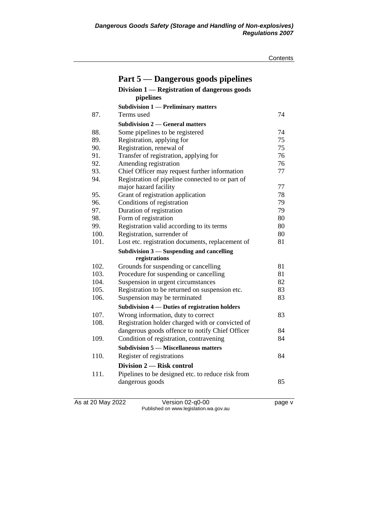| Contents |  |
|----------|--|
|          |  |

|      | Part 5 — Dangerous goods pipelines                |    |
|------|---------------------------------------------------|----|
|      | Division 1 — Registration of dangerous goods      |    |
|      | pipelines                                         |    |
|      | <b>Subdivision 1 — Preliminary matters</b>        |    |
| 87.  | Terms used                                        | 74 |
|      | <b>Subdivision 2 — General matters</b>            |    |
| 88.  | Some pipelines to be registered                   | 74 |
| 89.  | Registration, applying for                        | 75 |
| 90.  | Registration, renewal of                          | 75 |
| 91.  | Transfer of registration, applying for            | 76 |
| 92.  | Amending registration                             | 76 |
| 93.  | Chief Officer may request further information     | 77 |
| 94.  | Registration of pipeline connected to or part of  |    |
|      | major hazard facility                             | 77 |
| 95.  | Grant of registration application                 | 78 |
| 96.  | Conditions of registration                        | 79 |
| 97.  | Duration of registration                          | 79 |
| 98.  | Form of registration                              | 80 |
| 99.  | Registration valid according to its terms         | 80 |
| 100. | Registration, surrender of                        | 80 |
| 101. | Lost etc. registration documents, replacement of  | 81 |
|      | Subdivision $3$ — Suspending and cancelling       |    |
|      | registrations                                     |    |
| 102. | Grounds for suspending or cancelling              | 81 |
| 103. | Procedure for suspending or cancelling            | 81 |
| 104. | Suspension in urgent circumstances                | 82 |
| 105. | Registration to be returned on suspension etc.    | 83 |
| 106. | Suspension may be terminated                      | 83 |
|      | Subdivision 4 - Duties of registration holders    |    |
| 107. | Wrong information, duty to correct                | 83 |
| 108. | Registration holder charged with or convicted of  |    |
|      | dangerous goods offence to notify Chief Officer   | 84 |
| 109. | Condition of registration, contravening           | 84 |
|      | <b>Subdivision 5 — Miscellaneous matters</b>      |    |
| 110. | Register of registrations                         | 84 |
|      | Division 2 – Risk control                         |    |
| 111. | Pipelines to be designed etc. to reduce risk from |    |
|      | dangerous goods                                   | 85 |
|      |                                                   |    |
|      |                                                   |    |

As at 20 May 2022 Version 02-q0-00 page v Published on www.legislation.wa.gov.au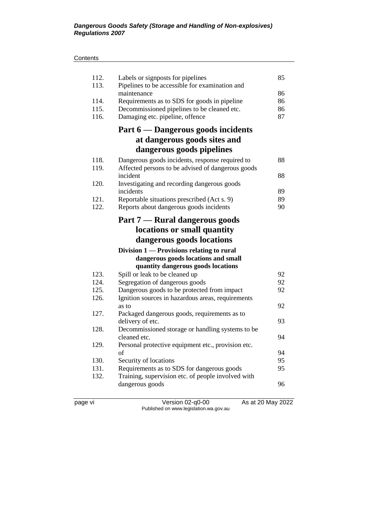#### **Contents**

| 113.<br>Pipelines to be accessible for examination and                   |    |
|--------------------------------------------------------------------------|----|
| maintenance                                                              | 86 |
| 114.<br>Requirements as to SDS for goods in pipeline                     | 86 |
| 115.<br>Decommissioned pipelines to be cleaned etc.                      | 86 |
| 116.<br>Damaging etc. pipeline, offence                                  | 87 |
| Part 6 — Dangerous goods incidents                                       |    |
| at dangerous goods sites and                                             |    |
| dangerous goods pipelines                                                |    |
| 118.<br>Dangerous goods incidents, response required to                  | 88 |
| Affected persons to be advised of dangerous goods<br>119.                |    |
| incident                                                                 | 88 |
| 120.<br>Investigating and recording dangerous goods                      |    |
| incidents                                                                | 89 |
| 121.<br>Reportable situations prescribed (Act s. 9)                      | 89 |
| 122.<br>Reports about dangerous goods incidents                          | 90 |
| Part 7 — Rural dangerous goods                                           |    |
| locations or small quantity                                              |    |
| dangerous goods locations                                                |    |
| Division 1 — Provisions relating to rural                                |    |
| dangerous goods locations and small                                      |    |
| quantity dangerous goods locations                                       |    |
| 123.<br>Spill or leak to be cleaned up                                   | 92 |
| 124.<br>Segregation of dangerous goods                                   | 92 |
| 125.<br>Dangerous goods to be protected from impact                      | 92 |
| 126.<br>Ignition sources in hazardous areas, requirements                |    |
| as to                                                                    | 92 |
| 127.<br>Packaged dangerous goods, requirements as to                     |    |
| delivery of etc.                                                         | 93 |
| 128.<br>Decommissioned storage or handling systems to be<br>cleaned etc. | 94 |
| 129.                                                                     |    |
| Personal protective equipment etc., provision etc.<br>of                 | 94 |
| 130.<br>Security of locations                                            | 95 |
| 131.<br>Requirements as to SDS for dangerous goods                       | 95 |
| 132.<br>Training, supervision etc. of people involved with               |    |
| dangerous goods                                                          | 96 |
|                                                                          |    |

page vi Version 02-q0-00 As at 20 May 2022 Published on www.legislation.wa.gov.au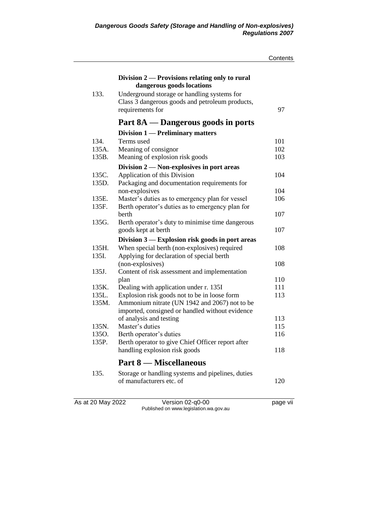|                   |                                                                                                                    | Contents |
|-------------------|--------------------------------------------------------------------------------------------------------------------|----------|
|                   | Division 2 — Provisions relating only to rural<br>dangerous goods locations                                        |          |
| 133.              | Underground storage or handling systems for<br>Class 3 dangerous goods and petroleum products,<br>requirements for | 97       |
|                   | Part 8A - Dangerous goods in ports                                                                                 |          |
|                   | Division 1 — Preliminary matters                                                                                   |          |
| 134.              | Terms used                                                                                                         | 101      |
| 135A.             | Meaning of consignor                                                                                               | 102      |
| 135B.             | Meaning of explosion risk goods                                                                                    | 103      |
|                   | Division 2 - Non-explosives in port areas                                                                          |          |
| 135C.             | Application of this Division                                                                                       | 104      |
| 135D.             | Packaging and documentation requirements for                                                                       |          |
|                   | non-explosives                                                                                                     | 104      |
| 135E.             | Master's duties as to emergency plan for vessel                                                                    | 106      |
| 135F.             | Berth operator's duties as to emergency plan for                                                                   |          |
|                   | berth                                                                                                              | 107      |
| 135G.             | Berth operator's duty to minimise time dangerous                                                                   |          |
|                   | goods kept at berth                                                                                                | 107      |
|                   | Division 3 — Explosion risk goods in port areas                                                                    |          |
| 135H.             | When special berth (non-explosives) required                                                                       | 108      |
| 135I.             | Applying for declaration of special berth                                                                          |          |
|                   | (non-explosives)                                                                                                   | 108      |
| 135J.             | Content of risk assessment and implementation                                                                      |          |
|                   | plan                                                                                                               | 110      |
| 135K.             | Dealing with application under r. 135I                                                                             | 111      |
| 135L.             | Explosion risk goods not to be in loose form                                                                       | 113      |
| 135M.             | Ammonium nitrate (UN 1942 and 2067) not to be                                                                      |          |
|                   | imported, consigned or handled without evidence                                                                    |          |
|                   | of analysis and testing                                                                                            | 113      |
| 135N.             | Master's duties                                                                                                    | 115      |
| 1350.             | Berth operator's duties                                                                                            | 116      |
| 135P.             | Berth operator to give Chief Officer report after                                                                  |          |
|                   | handling explosion risk goods                                                                                      | 118      |
|                   | <b>Part 8 — Miscellaneous</b>                                                                                      |          |
| 135.              | Storage or handling systems and pipelines, duties                                                                  |          |
|                   | of manufacturers etc. of                                                                                           | 120      |
|                   |                                                                                                                    |          |
| As at 20 May 2022 | Version 02-q0-00                                                                                                   | page vii |
|                   | Published on www.legislation.wa.gov.au                                                                             |          |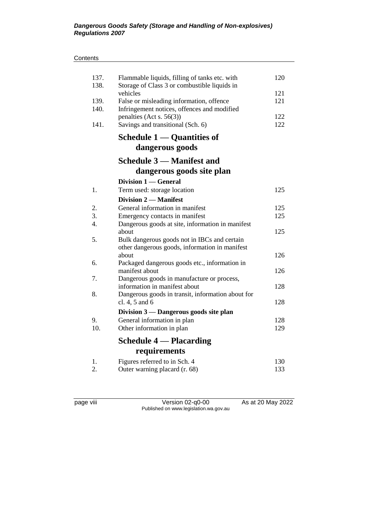| 137.             | Flammable liquids, filling of tanks etc. with                       | 120 |
|------------------|---------------------------------------------------------------------|-----|
| 138.             | Storage of Class 3 or combustible liquids in<br>vehicles            | 121 |
| 139.             | False or misleading information, offence                            | 121 |
| 140.             | Infringement notices, offences and modified                         |     |
|                  | penalties (Act s. $56(3)$ )                                         | 122 |
| 141.             | Savings and transitional (Sch. 6)                                   | 122 |
|                  | Schedule 1 — Quantities of                                          |     |
|                  | dangerous goods                                                     |     |
|                  | <b>Schedule 3 – Manifest and</b>                                    |     |
|                  | dangerous goods site plan                                           |     |
|                  | Division 1 — General                                                |     |
| 1.               | Term used: storage location                                         | 125 |
|                  | Division 2 – Manifest                                               |     |
| 2.               | General information in manifest                                     | 125 |
| 3.               | Emergency contacts in manifest                                      | 125 |
| $\overline{4}$ . | Dangerous goods at site, information in manifest<br>about           | 125 |
| 5.               | Bulk dangerous goods not in IBCs and certain                        |     |
|                  | other dangerous goods, information in manifest                      |     |
|                  | about                                                               | 126 |
| 6.               | Packaged dangerous goods etc., information in                       |     |
|                  | manifest about                                                      | 126 |
| 7.               | Dangerous goods in manufacture or process,                          |     |
| 8.               | information in manifest about                                       | 128 |
|                  | Dangerous goods in transit, information about for<br>cl. 4, 5 and 6 | 128 |
|                  | Division 3 - Dangerous goods site plan                              |     |
| 9.               | General information in plan                                         | 128 |
| 10.              | Other information in plan                                           | 129 |
|                  | <b>Schedule 4 — Placarding</b>                                      |     |
|                  | requirements                                                        |     |
| 1.               | Figures referred to in Sch. 4                                       | 130 |
| 2.               | Outer warning placard (r. 68)                                       | 133 |

page viii Version 02-q0-00 As at 20 May 2022 Published on www.legislation.wa.gov.au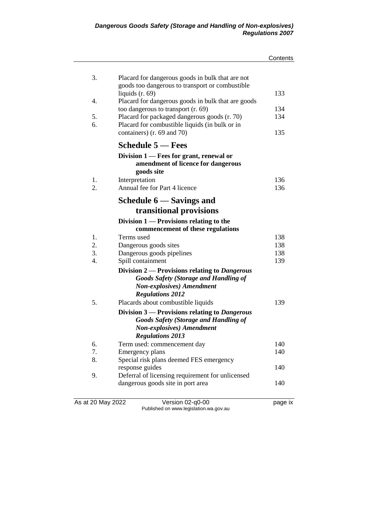|                   |                                                                                                                                                               | Contents |
|-------------------|---------------------------------------------------------------------------------------------------------------------------------------------------------------|----------|
| 3.                | Placard for dangerous goods in bulk that are not                                                                                                              |          |
| 4.                | goods too dangerous to transport or combustible<br>liquids $(r. 69)$                                                                                          | 133      |
|                   | Placard for dangerous goods in bulk that are goods<br>too dangerous to transport (r. 69)                                                                      | 134      |
| 5.                | Placard for packaged dangerous goods (r. 70)                                                                                                                  | 134      |
| 6.                | Placard for combustible liquids (in bulk or in                                                                                                                |          |
|                   | containers) (r. 69 and 70)                                                                                                                                    | 135      |
|                   | <b>Schedule 5 – Fees</b>                                                                                                                                      |          |
|                   | Division 1 — Fees for grant, renewal or<br>amendment of licence for dangerous<br>goods site                                                                   |          |
| 1.                | Interpretation                                                                                                                                                | 136      |
| 2.                | Annual fee for Part 4 licence                                                                                                                                 | 136      |
|                   | Schedule 6 — Savings and                                                                                                                                      |          |
|                   | transitional provisions                                                                                                                                       |          |
|                   | Division $1$ — Provisions relating to the<br>commencement of these regulations                                                                                |          |
| 1.                | Terms used                                                                                                                                                    | 138      |
| 2.                | Dangerous goods sites                                                                                                                                         | 138      |
| 3.                | Dangerous goods pipelines                                                                                                                                     | 138      |
| 4.                | Spill containment                                                                                                                                             | 139      |
|                   | Division 2 — Provisions relating to Dangerous<br><b>Goods Safety (Storage and Handling of</b><br><b>Non-explosives</b> ) Amendment<br><b>Regulations 2012</b> |          |
| 5.                | Placards about combustible liquids                                                                                                                            | 139      |
|                   | Division 3 — Provisions relating to Dangerous<br><b>Goods Safety (Storage and Handling of</b><br><b>Non-explosives</b> ) Amendment<br><b>Regulations 2013</b> |          |
| 6.                | Term used: commencement day                                                                                                                                   | 140      |
| 7.                | Emergency plans                                                                                                                                               | 140      |
| 8.                | Special risk plans deemed FES emergency                                                                                                                       |          |
|                   | response guides                                                                                                                                               | 140      |
| 9.                | Deferral of licensing requirement for unlicensed                                                                                                              |          |
|                   | dangerous goods site in port area                                                                                                                             | 140      |
| As at 20 May 2022 | Version 02-q0-00                                                                                                                                              | page ix  |

Published on www.legislation.wa.gov.au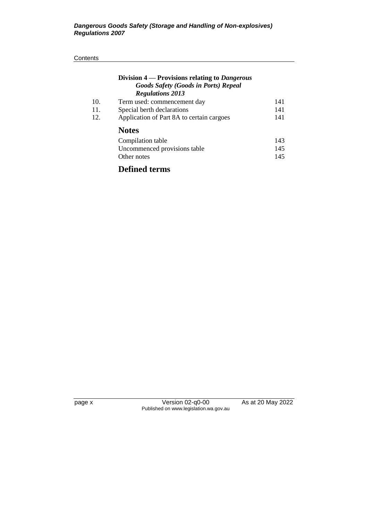### **Contents**

|     | Division 4 — Provisions relating to Dangerous<br><b>Goods Safety (Goods in Ports) Repeal</b><br><b>Regulations 2013</b> |     |
|-----|-------------------------------------------------------------------------------------------------------------------------|-----|
| 10. | Term used: commencement day                                                                                             | 141 |
| 11. | Special berth declarations                                                                                              | 141 |
| 12. | Application of Part 8A to certain cargoes                                                                               | 141 |
|     | <b>Notes</b>                                                                                                            |     |
|     | Compilation table                                                                                                       | 143 |
|     | Uncommenced provisions table                                                                                            | 145 |
|     | Other notes                                                                                                             | 145 |
|     |                                                                                                                         |     |

# **Defined terms**

page x Version 02-q0-00 As at 20 May 2022 Published on www.legislation.wa.gov.au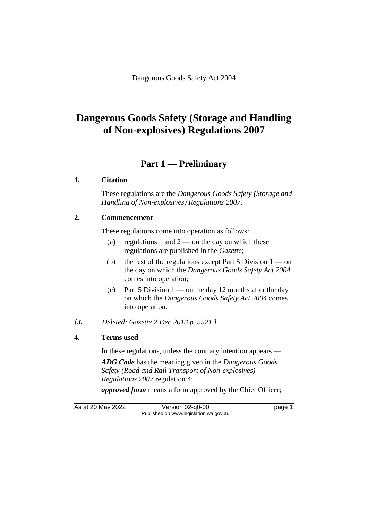# **Dangerous Goods Safety (Storage and Handling of Non-explosives) Regulations 2007**

# **Part 1 — Preliminary**

### **1. Citation**

These regulations are the *Dangerous Goods Safety (Storage and Handling of Non-explosives) Regulations 2007*.

### **2. Commencement**

These regulations come into operation as follows:

- (a) regulations 1 and  $2$  on the day on which these regulations are published in the *Gazette*;
- (b) the rest of the regulations except Part 5 Division  $1 \text{on}$ the day on which the *Dangerous Goods Safety Act 2004* comes into operation;
- (c) Part 5 Division  $1$  on the day 12 months after the day on which the *Dangerous Goods Safety Act 2004* comes into operation.
- *[3. Deleted: Gazette 2 Dec 2013 p. 5521.]*

# **4. Terms used**

In these regulations, unless the contrary intention appears —

*ADG Code* has the meaning given in the *Dangerous Goods Safety (Road and Rail Transport of Non-explosives) Regulations 2007* regulation 4;

*approved form* means a form approved by the Chief Officer;

As at 20 May 2022 Version 02-q0-00 Page 1 Published on www.legislation.wa.gov.au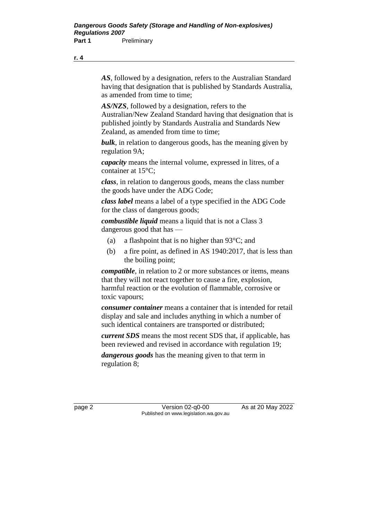*AS*, followed by a designation, refers to the Australian Standard having that designation that is published by Standards Australia, as amended from time to time;

*AS/NZS*, followed by a designation, refers to the Australian/New Zealand Standard having that designation that is published jointly by Standards Australia and Standards New Zealand, as amended from time to time;

*bulk*, in relation to dangerous goods, has the meaning given by regulation 9A;

*capacity* means the internal volume, expressed in litres, of a container at 15°C;

*class*, in relation to dangerous goods, means the class number the goods have under the ADG Code;

*class label* means a label of a type specified in the ADG Code for the class of dangerous goods;

*combustible liquid* means a liquid that is not a Class 3 dangerous good that has —

- (a) a flashpoint that is no higher than  $93^{\circ}$ C; and
- (b) a fire point, as defined in AS 1940:2017, that is less than the boiling point;

*compatible*, in relation to 2 or more substances or items, means that they will not react together to cause a fire, explosion, harmful reaction or the evolution of flammable, corrosive or toxic vapours;

*consumer container* means a container that is intended for retail display and sale and includes anything in which a number of such identical containers are transported or distributed;

*current SDS* means the most recent SDS that, if applicable, has been reviewed and revised in accordance with regulation 19;

*dangerous goods* has the meaning given to that term in regulation 8;

page 2 Version 02-q0-00 As at 20 May 2022 Published on www.legislation.wa.gov.au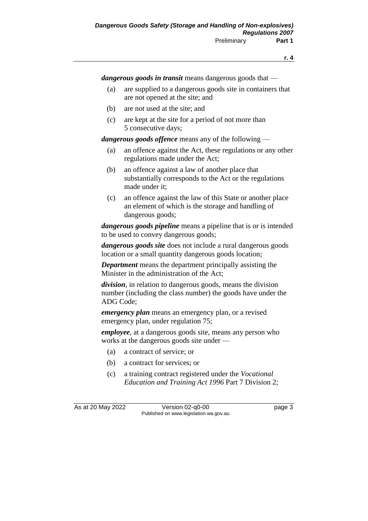*dangerous goods in transit* means dangerous goods that —

- (a) are supplied to a dangerous goods site in containers that are not opened at the site; and
- (b) are not used at the site; and
- (c) are kept at the site for a period of not more than 5 consecutive days;

*dangerous goods offence* means any of the following —

- (a) an offence against the Act, these regulations or any other regulations made under the Act;
- (b) an offence against a law of another place that substantially corresponds to the Act or the regulations made under it;
- (c) an offence against the law of this State or another place an element of which is the storage and handling of dangerous goods;

*dangerous goods pipeline* means a pipeline that is or is intended to be used to convey dangerous goods;

*dangerous goods site* does not include a rural dangerous goods location or a small quantity dangerous goods location;

*Department* means the department principally assisting the Minister in the administration of the Act;

*division*, in relation to dangerous goods, means the division number (including the class number) the goods have under the ADG Code;

*emergency plan* means an emergency plan, or a revised emergency plan, under regulation 75;

*employee*, at a dangerous goods site, means any person who works at the dangerous goods site under —

- (a) a contract of service; or
- (b) a contract for services; or
- (c) a training contract registered under the *Vocational Education and Training Act 1996* Part 7 Division 2;

As at 20 May 2022 Version 02-q0-00 Page 3 Published on www.legislation.wa.gov.au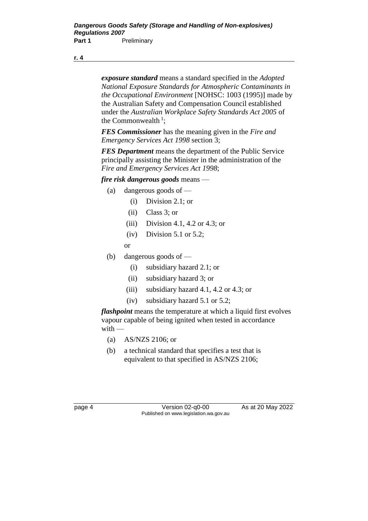*exposure standard* means a standard specified in the *Adopted National Exposure Standards for Atmospheric Contaminants in the Occupational Environment* [NOHSC: 1003 (1995)] made by the Australian Safety and Compensation Council established under the *Australian Workplace Safety Standards Act 2005* of the Commonwealth<sup>1</sup>;

*FES Commissioner* has the meaning given in the *Fire and Emergency Services Act 1998* section 3;

*FES Department* means the department of the Public Service principally assisting the Minister in the administration of the *Fire and Emergency Services Act 1998*;

### *fire risk dangerous goods* means —

- (a) dangerous goods of
	- (i) Division 2.1; or
	- (ii) Class 3; or
	- (iii) Division 4.1, 4.2 or 4.3; or
	- $(iv)$  Division 5.1 or 5.2;

or

- (b) dangerous goods of
	- (i) subsidiary hazard 2.1; or
	- (ii) subsidiary hazard 3; or
	- (iii) subsidiary hazard 4.1, 4.2 or 4.3; or
	- (iv) subsidiary hazard 5.1 or 5.2;

*flashpoint* means the temperature at which a liquid first evolves vapour capable of being ignited when tested in accordance with —

- (a) AS/NZS 2106; or
- (b) a technical standard that specifies a test that is equivalent to that specified in AS/NZS 2106;

page 4 Version 02-q0-00 As at 20 May 2022 Published on www.legislation.wa.gov.au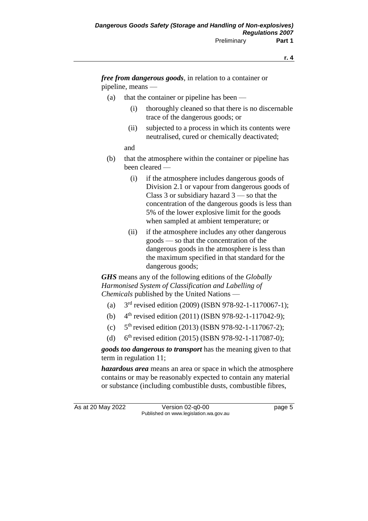*free from dangerous goods*, in relation to a container or pipeline, means —

- (a) that the container or pipeline has been
	- (i) thoroughly cleaned so that there is no discernable trace of the dangerous goods; or
	- (ii) subjected to a process in which its contents were neutralised, cured or chemically deactivated;

and

- (b) that the atmosphere within the container or pipeline has been cleared —
	- (i) if the atmosphere includes dangerous goods of Division 2.1 or vapour from dangerous goods of Class 3 or subsidiary hazard 3 — so that the concentration of the dangerous goods is less than 5% of the lower explosive limit for the goods when sampled at ambient temperature; or
	- (ii) if the atmosphere includes any other dangerous goods — so that the concentration of the dangerous goods in the atmosphere is less than the maximum specified in that standard for the dangerous goods;

*GHS* means any of the following editions of the *Globally Harmonised System of Classification and Labelling of Chemicals* published by the United Nations —

- $(a)$ 3<sup>rd</sup> revised edition (2009) (ISBN 978-92-1-1170067-1);
- $(b)$ 4<sup>th</sup> revised edition (2011) (ISBN 978-92-1-117042-9);
- $(c)$ 5<sup>th</sup> revised edition (2013) (ISBN 978-92-1-117067-2);
- $(d)$  $6<sup>th</sup>$  revised edition (2015) (ISBN 978-92-1-117087-0);

*goods too dangerous to transport* has the meaning given to that term in regulation 11;

*hazardous area* means an area or space in which the atmosphere contains or may be reasonably expected to contain any material or substance (including combustible dusts, combustible fibres,

As at 20 May 2022 Version 02-q0-00 Page 5 Published on www.legislation.wa.gov.au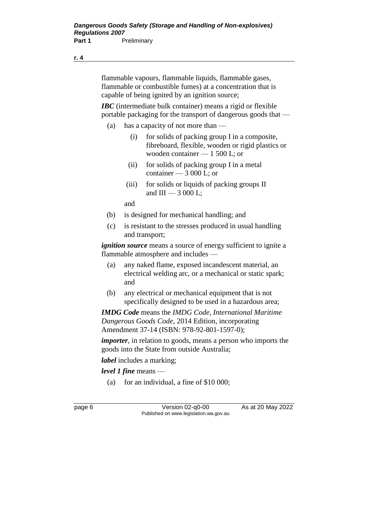flammable vapours, flammable liquids, flammable gases, flammable or combustible fumes) at a concentration that is capable of being ignited by an ignition source;

*IBC* (intermediate bulk container) means a rigid or flexible portable packaging for the transport of dangerous goods that —

- (a) has a capacity of not more than
	- (i) for solids of packing group I in a composite, fibreboard, flexible, wooden or rigid plastics or wooden container — 1 500 L; or
	- (ii) for solids of packing group I in a metal container — 3 000 L; or
	- (iii) for solids or liquids of packing groups II and  $III - 3000$  L;

and

- (b) is designed for mechanical handling; and
- (c) is resistant to the stresses produced in usual handling and transport;

*ignition source* means a source of energy sufficient to ignite a flammable atmosphere and includes —

- (a) any naked flame, exposed incandescent material, an electrical welding arc, or a mechanical or static spark; and
- (b) any electrical or mechanical equipment that is not specifically designed to be used in a hazardous area;

*IMDG Code* means the *IMDG Code, International Maritime Dangerous Goods Code*, 2014 Edition, incorporating Amendment 37-14 (ISBN: 978-92-801-1597-0);

*importer*, in relation to goods, means a person who imports the goods into the State from outside Australia;

*label* includes a marking;

*level 1 fine* means —

(a) for an individual, a fine of  $$10,000$ ;

page 6 Version 02-q0-00 As at 20 May 2022 Published on www.legislation.wa.gov.au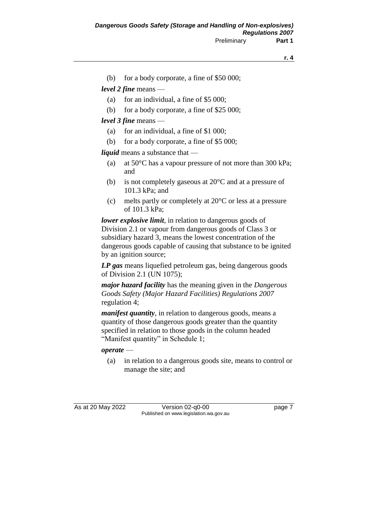(b) for a body corporate, a fine of \$50 000;

*level 2 fine* means —

- (a) for an individual, a fine of \$5 000;
- (b) for a body corporate, a fine of \$25 000;

*level 3 fine* means —

- (a) for an individual, a fine of \$1 000;
- (b) for a body corporate, a fine of \$5 000;

*liquid* means a substance that —

- (a) at 50°C has a vapour pressure of not more than 300 kPa; and
- (b) is not completely gaseous at  $20^{\circ}$ C and at a pressure of 101.3 kPa; and
- (c) melts partly or completely at 20°C or less at a pressure of 101.3 kPa;

*lower explosive limit,* in relation to dangerous goods of Division 2.1 or vapour from dangerous goods of Class 3 or subsidiary hazard 3, means the lowest concentration of the dangerous goods capable of causing that substance to be ignited by an ignition source;

*LP gas* means liquefied petroleum gas, being dangerous goods of Division 2.1 (UN 1075);

*major hazard facility* has the meaning given in the *Dangerous Goods Safety (Major Hazard Facilities) Regulations 2007* regulation 4;

*manifest quantity*, in relation to dangerous goods, means a quantity of those dangerous goods greater than the quantity specified in relation to those goods in the column headed "Manifest quantity" in Schedule 1;

#### *operate* —

(a) in relation to a dangerous goods site, means to control or manage the site; and

As at 20 May 2022 Version 02-q0-00 Page 7 Published on www.legislation.wa.gov.au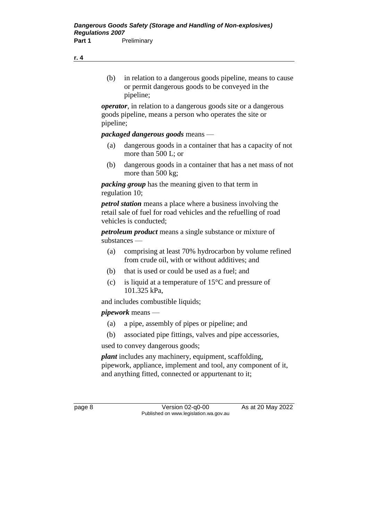- **r. 4**
- (b) in relation to a dangerous goods pipeline, means to cause or permit dangerous goods to be conveyed in the pipeline;

*operator*, in relation to a dangerous goods site or a dangerous goods pipeline, means a person who operates the site or pipeline;

### *packaged dangerous goods* means —

- (a) dangerous goods in a container that has a capacity of not more than 500 L; or
- (b) dangerous goods in a container that has a net mass of not more than 500 kg;

*packing group* has the meaning given to that term in regulation 10;

*petrol station* means a place where a business involving the retail sale of fuel for road vehicles and the refuelling of road vehicles is conducted;

*petroleum product* means a single substance or mixture of substances —

- (a) comprising at least 70% hydrocarbon by volume refined from crude oil, with or without additives; and
- (b) that is used or could be used as a fuel; and
- (c) is liquid at a temperature of 15°C and pressure of 101.325 kPa,

and includes combustible liquids;

*pipework* means —

- (a) a pipe, assembly of pipes or pipeline; and
- (b) associated pipe fittings, valves and pipe accessories,

used to convey dangerous goods;

*plant* includes any machinery, equipment, scaffolding, pipework, appliance, implement and tool, any component of it, and anything fitted, connected or appurtenant to it;

page 8 Version 02-q0-00 As at 20 May 2022 Published on www.legislation.wa.gov.au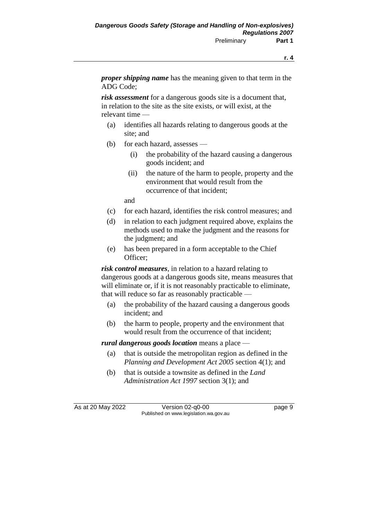*proper shipping name* has the meaning given to that term in the ADG Code;

*risk assessment* for a dangerous goods site is a document that, in relation to the site as the site exists, or will exist, at the relevant time —

- (a) identifies all hazards relating to dangerous goods at the site; and
- (b) for each hazard, assesses
	- (i) the probability of the hazard causing a dangerous goods incident; and
	- (ii) the nature of the harm to people, property and the environment that would result from the occurrence of that incident;

and

- (c) for each hazard, identifies the risk control measures; and
- (d) in relation to each judgment required above, explains the methods used to make the judgment and the reasons for the judgment; and
- (e) has been prepared in a form acceptable to the Chief Officer;

*risk control measures*, in relation to a hazard relating to dangerous goods at a dangerous goods site, means measures that will eliminate or, if it is not reasonably practicable to eliminate, that will reduce so far as reasonably practicable —

- (a) the probability of the hazard causing a dangerous goods incident; and
- (b) the harm to people, property and the environment that would result from the occurrence of that incident;

*rural dangerous goods location* means a place —

- (a) that is outside the metropolitan region as defined in the *Planning and Development Act 2005* section 4(1); and
- (b) that is outside a townsite as defined in the *Land Administration Act 1997* section 3(1); and

As at 20 May 2022 Version 02-q0-00 Page 9 Published on www.legislation.wa.gov.au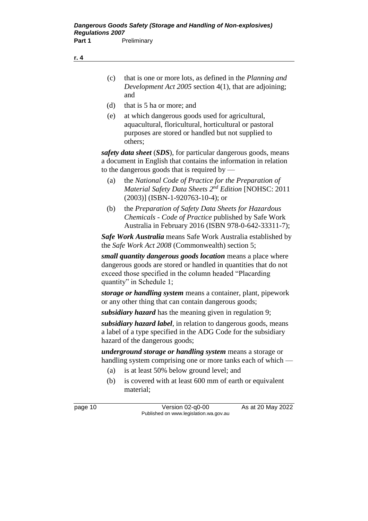- (c) that is one or more lots, as defined in the *Planning and Development Act 2005* section 4(1), that are adjoining; and
- (d) that is 5 ha or more; and
- (e) at which dangerous goods used for agricultural, aquacultural, floricultural, horticultural or pastoral purposes are stored or handled but not supplied to others;

*safety data sheet* (*SDS*), for particular dangerous goods, means a document in English that contains the information in relation to the dangerous goods that is required by —

- (a) the *National Code of Practice for the Preparation of Material Safety Data Sheets 2 nd Edition* [NOHSC: 2011 (2003)] (ISBN-1-920763-10-4); or
- (b) the *Preparation of Safety Data Sheets for Hazardous Chemicals* - *Code of Practice* published by Safe Work Australia in February 2016 (ISBN 978-0-642-33311-7);

*Safe Work Australia* means Safe Work Australia established by the *Safe Work Act 2008* (Commonwealth) section 5;

*small quantity dangerous goods location* means a place where dangerous goods are stored or handled in quantities that do not exceed those specified in the column headed "Placarding quantity" in Schedule 1;

*storage or handling system* means a container, plant, pipework or any other thing that can contain dangerous goods;

*subsidiary hazard* has the meaning given in regulation 9;

*subsidiary hazard label*, in relation to dangerous goods, means a label of a type specified in the ADG Code for the subsidiary hazard of the dangerous goods;

*underground storage or handling system* means a storage or handling system comprising one or more tanks each of which —

- (a) is at least 50% below ground level; and
- (b) is covered with at least 600 mm of earth or equivalent material;

page 10 Version 02-q0-00 As at 20 May 2022 Published on www.legislation.wa.gov.au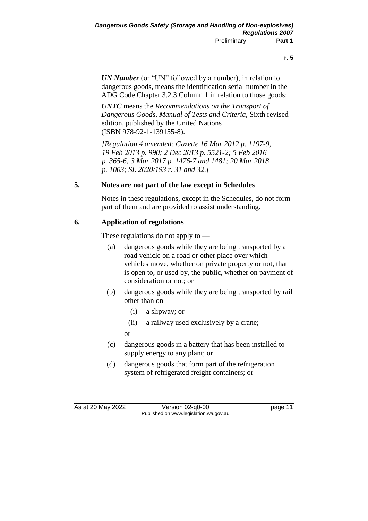*UN Number* (or "UN" followed by a number), in relation to dangerous goods, means the identification serial number in the ADG Code Chapter 3.2.3 Column 1 in relation to those goods;

*UNTC* means the *Recommendations on the Transport of Dangerous Goods, Manual of Tests and Criteria*, Sixth revised edition, published by the United Nations (ISBN 978-92-1-139155-8).

*[Regulation 4 amended: Gazette 16 Mar 2012 p. 1197-9; 19 Feb 2013 p. 990; 2 Dec 2013 p. 5521-2; 5 Feb 2016 p. 365-6; 3 Mar 2017 p. 1476-7 and 1481; 20 Mar 2018 p. 1003; SL 2020/193 r. 31 and 32.]*

### **5. Notes are not part of the law except in Schedules**

Notes in these regulations, except in the Schedules, do not form part of them and are provided to assist understanding.

# **6. Application of regulations**

These regulations do not apply to —

- (a) dangerous goods while they are being transported by a road vehicle on a road or other place over which vehicles move, whether on private property or not, that is open to, or used by, the public, whether on payment of consideration or not; or
- (b) dangerous goods while they are being transported by rail other than on —
	- (i) a slipway; or
	- (ii) a railway used exclusively by a crane;

or

- (c) dangerous goods in a battery that has been installed to supply energy to any plant; or
- (d) dangerous goods that form part of the refrigeration system of refrigerated freight containers; or

As at 20 May 2022 Version 02-q0-00 page 11 Published on www.legislation.wa.gov.au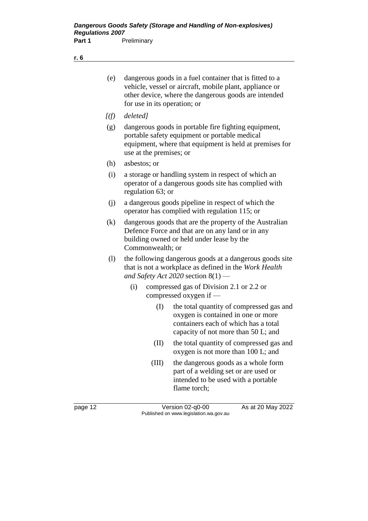- (e) dangerous goods in a fuel container that is fitted to a vehicle, vessel or aircraft, mobile plant, appliance or other device, where the dangerous goods are intended for use in its operation; or
- *[(f) deleted]*
- (g) dangerous goods in portable fire fighting equipment, portable safety equipment or portable medical equipment, where that equipment is held at premises for use at the premises; or
- (h) asbestos; or
- (i) a storage or handling system in respect of which an operator of a dangerous goods site has complied with regulation 63; or
- (j) a dangerous goods pipeline in respect of which the operator has complied with regulation 115; or
- (k) dangerous goods that are the property of the Australian Defence Force and that are on any land or in any building owned or held under lease by the Commonwealth; or
- (l) the following dangerous goods at a dangerous goods site that is not a workplace as defined in the *Work Health and Safety Act 2020* section 8(1) —
	- (i) compressed gas of Division 2.1 or 2.2 or compressed oxygen if —
		- (I) the total quantity of compressed gas and oxygen is contained in one or more containers each of which has a total capacity of not more than 50 L; and
		- (II) the total quantity of compressed gas and oxygen is not more than 100 L; and
		- (III) the dangerous goods as a whole form part of a welding set or are used or intended to be used with a portable flame torch;

page 12 Version 02-q0-00 As at 20 May 2022 Published on www.legislation.wa.gov.au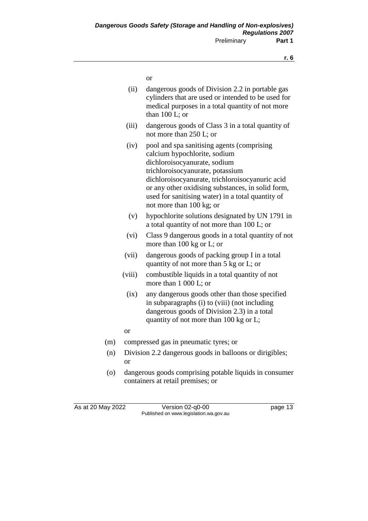or

- (ii) dangerous goods of Division 2.2 in portable gas cylinders that are used or intended to be used for medical purposes in a total quantity of not more than 100 L; or
- (iii) dangerous goods of Class 3 in a total quantity of not more than 250 L; or
- (iv) pool and spa sanitising agents (comprising calcium hypochlorite, sodium dichloroisocyanurate, sodium trichloroisocyanurate, potassium dichloroisocyanurate, trichloroisocyanuric acid or any other oxidising substances, in solid form, used for sanitising water) in a total quantity of not more than 100 kg; or
- (v) hypochlorite solutions designated by UN 1791 in a total quantity of not more than 100 L; or
- (vi) Class 9 dangerous goods in a total quantity of not more than 100 kg or L; or
- (vii) dangerous goods of packing group I in a total quantity of not more than 5 kg or L; or
- (viii) combustible liquids in a total quantity of not more than 1 000 L; or
- (ix) any dangerous goods other than those specified in subparagraphs (i) to (viii) (not including dangerous goods of Division 2.3) in a total quantity of not more than 100 kg or L;
- or
- (m) compressed gas in pneumatic tyres; or
- (n) Division 2.2 dangerous goods in balloons or dirigibles; or
- (o) dangerous goods comprising potable liquids in consumer containers at retail premises; or

As at 20 May 2022 Version 02-q0-00 page 13 Published on www.legislation.wa.gov.au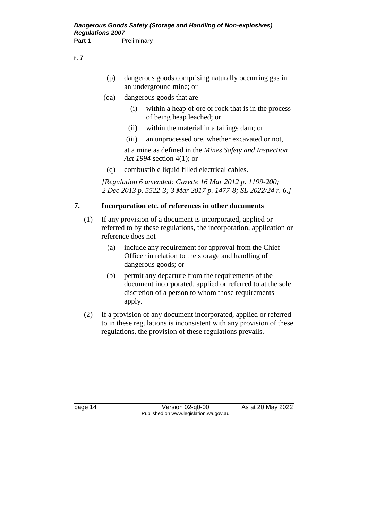- (p) dangerous goods comprising naturally occurring gas in an underground mine; or
- (qa) dangerous goods that are
	- (i) within a heap of ore or rock that is in the process of being heap leached; or
	- (ii) within the material in a tailings dam; or
	- (iii) an unprocessed ore, whether excavated or not,

at a mine as defined in the *Mines Safety and Inspection Act 1994* section 4(1); or

(q) combustible liquid filled electrical cables.

*[Regulation 6 amended: Gazette 16 Mar 2012 p. 1199-200; 2 Dec 2013 p. 5522-3; 3 Mar 2017 p. 1477-8; SL 2022/24 r. 6.]*

### **7. Incorporation etc. of references in other documents**

- (1) If any provision of a document is incorporated, applied or referred to by these regulations, the incorporation, application or reference does not —
	- (a) include any requirement for approval from the Chief Officer in relation to the storage and handling of dangerous goods; or
	- (b) permit any departure from the requirements of the document incorporated, applied or referred to at the sole discretion of a person to whom those requirements apply.
- (2) If a provision of any document incorporated, applied or referred to in these regulations is inconsistent with any provision of these regulations, the provision of these regulations prevails.

page 14 Version 02-q0-00 As at 20 May 2022 Published on www.legislation.wa.gov.au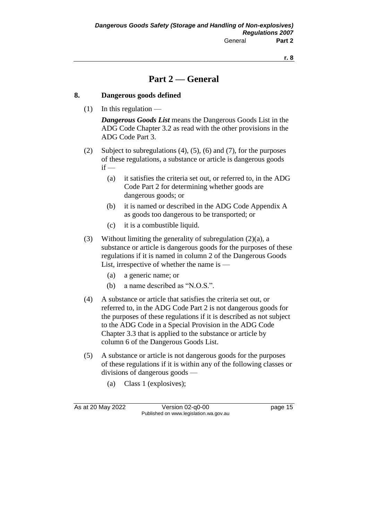# **Part 2 — General**

### **8. Dangerous goods defined**

 $(1)$  In this regulation —

*Dangerous Goods List* means the Dangerous Goods List in the ADG Code Chapter 3.2 as read with the other provisions in the ADG Code Part 3.

- (2) Subject to subregulations (4), (5), (6) and (7), for the purposes of these regulations, a substance or article is dangerous goods  $if -$ 
	- (a) it satisfies the criteria set out, or referred to, in the ADG Code Part 2 for determining whether goods are dangerous goods; or
	- (b) it is named or described in the ADG Code Appendix A as goods too dangerous to be transported; or
	- (c) it is a combustible liquid.
- (3) Without limiting the generality of subregulation (2)(a), a substance or article is dangerous goods for the purposes of these regulations if it is named in column 2 of the Dangerous Goods List, irrespective of whether the name is —
	- (a) a generic name; or
	- (b) a name described as "N.O.S.".
- (4) A substance or article that satisfies the criteria set out, or referred to, in the ADG Code Part 2 is not dangerous goods for the purposes of these regulations if it is described as not subject to the ADG Code in a Special Provision in the ADG Code Chapter 3.3 that is applied to the substance or article by column 6 of the Dangerous Goods List.
- (5) A substance or article is not dangerous goods for the purposes of these regulations if it is within any of the following classes or divisions of dangerous goods —
	- (a) Class 1 (explosives);

As at 20 May 2022 Version 02-q0-00 Page 15 Published on www.legislation.wa.gov.au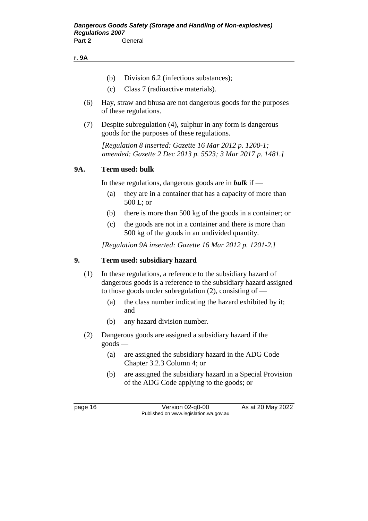#### **r. 9A**

- (b) Division 6.2 (infectious substances);
- (c) Class 7 (radioactive materials).
- (6) Hay, straw and bhusa are not dangerous goods for the purposes of these regulations.
- (7) Despite subregulation (4), sulphur in any form is dangerous goods for the purposes of these regulations.

*[Regulation 8 inserted: Gazette 16 Mar 2012 p. 1200-1; amended: Gazette 2 Dec 2013 p. 5523; 3 Mar 2017 p. 1481.]*

### **9A. Term used: bulk**

In these regulations, dangerous goods are in *bulk* if —

- (a) they are in a container that has a capacity of more than 500 L; or
- (b) there is more than 500 kg of the goods in a container; or
- (c) the goods are not in a container and there is more than 500 kg of the goods in an undivided quantity.

*[Regulation 9A inserted: Gazette 16 Mar 2012 p. 1201-2.]*

### **9. Term used: subsidiary hazard**

- (1) In these regulations, a reference to the subsidiary hazard of dangerous goods is a reference to the subsidiary hazard assigned to those goods under subregulation (2), consisting of —
	- (a) the class number indicating the hazard exhibited by it; and
	- (b) any hazard division number.
- (2) Dangerous goods are assigned a subsidiary hazard if the goods —
	- (a) are assigned the subsidiary hazard in the ADG Code Chapter 3.2.3 Column 4; or
	- (b) are assigned the subsidiary hazard in a Special Provision of the ADG Code applying to the goods; or

page 16 Version 02-q0-00 As at 20 May 2022 Published on www.legislation.wa.gov.au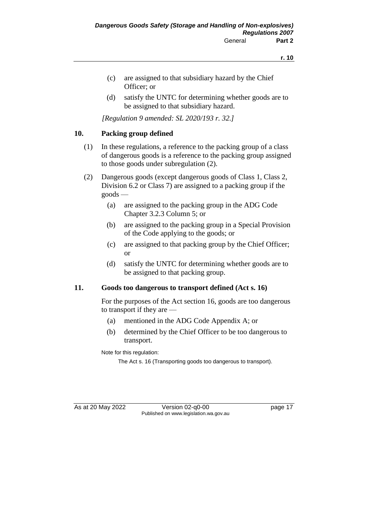- (c) are assigned to that subsidiary hazard by the Chief Officer; or
- (d) satisfy the UNTC for determining whether goods are to be assigned to that subsidiary hazard.

*[Regulation 9 amended: SL 2020/193 r. 32.]*

# **10. Packing group defined**

- (1) In these regulations, a reference to the packing group of a class of dangerous goods is a reference to the packing group assigned to those goods under subregulation (2).
- (2) Dangerous goods (except dangerous goods of Class 1, Class 2, Division 6.2 or Class 7) are assigned to a packing group if the goods —
	- (a) are assigned to the packing group in the ADG Code Chapter 3.2.3 Column 5; or
	- (b) are assigned to the packing group in a Special Provision of the Code applying to the goods; or
	- (c) are assigned to that packing group by the Chief Officer; or
	- (d) satisfy the UNTC for determining whether goods are to be assigned to that packing group.

# **11. Goods too dangerous to transport defined (Act s. 16)**

For the purposes of the Act section 16, goods are too dangerous to transport if they are —

- (a) mentioned in the ADG Code Appendix A; or
- (b) determined by the Chief Officer to be too dangerous to transport.

Note for this regulation:

The Act s. 16 (Transporting goods too dangerous to transport).

As at 20 May 2022 Version 02-q0-00 Published on www.legislation.wa.gov.au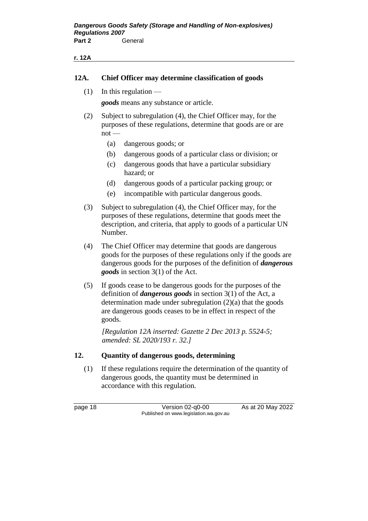#### **r. 12A**

### **12A. Chief Officer may determine classification of goods**

 $(1)$  In this regulation —

*goods* means any substance or article.

- (2) Subject to subregulation (4), the Chief Officer may, for the purposes of these regulations, determine that goods are or are  $not$  —
	- (a) dangerous goods; or
	- (b) dangerous goods of a particular class or division; or
	- (c) dangerous goods that have a particular subsidiary hazard; or
	- (d) dangerous goods of a particular packing group; or
	- (e) incompatible with particular dangerous goods.
- (3) Subject to subregulation (4), the Chief Officer may, for the purposes of these regulations, determine that goods meet the description, and criteria, that apply to goods of a particular UN Number.
- (4) The Chief Officer may determine that goods are dangerous goods for the purposes of these regulations only if the goods are dangerous goods for the purposes of the definition of *dangerous goods* in section 3(1) of the Act.
- (5) If goods cease to be dangerous goods for the purposes of the definition of *dangerous goods* in section 3(1) of the Act, a determination made under subregulation (2)(a) that the goods are dangerous goods ceases to be in effect in respect of the goods.

*[Regulation 12A inserted: Gazette 2 Dec 2013 p. 5524-5; amended: SL 2020/193 r. 32.]*

# **12. Quantity of dangerous goods, determining**

(1) If these regulations require the determination of the quantity of dangerous goods, the quantity must be determined in accordance with this regulation.

page 18 Version 02-q0-00 As at 20 May 2022 Published on www.legislation.wa.gov.au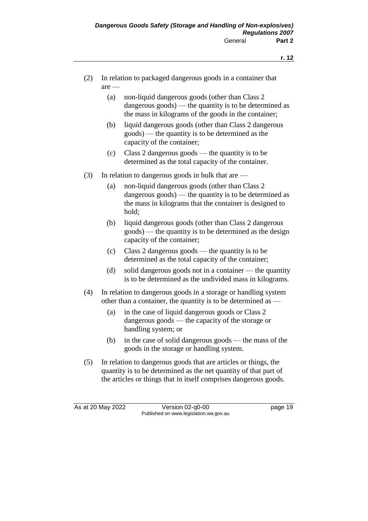- (2) In relation to packaged dangerous goods in a container that are —
	- (a) non-liquid dangerous goods (other than Class 2 dangerous goods) — the quantity is to be determined as the mass in kilograms of the goods in the container;
	- (b) liquid dangerous goods (other than Class 2 dangerous goods) — the quantity is to be determined as the capacity of the container;
	- (c) Class 2 dangerous goods the quantity is to be determined as the total capacity of the container.
- (3) In relation to dangerous goods in bulk that are  $-$ 
	- (a) non-liquid dangerous goods (other than Class 2 dangerous goods) — the quantity is to be determined as the mass in kilograms that the container is designed to hold;
	- (b) liquid dangerous goods (other than Class 2 dangerous goods) — the quantity is to be determined as the design capacity of the container;
	- (c) Class 2 dangerous goods the quantity is to be determined as the total capacity of the container;
	- (d) solid dangerous goods not in a container the quantity is to be determined as the undivided mass in kilograms.
- (4) In relation to dangerous goods in a storage or handling system other than a container, the quantity is to be determined as —
	- (a) in the case of liquid dangerous goods or Class 2 dangerous goods — the capacity of the storage or handling system; or
	- (b) in the case of solid dangerous goods the mass of the goods in the storage or handling system.
- (5) In relation to dangerous goods that are articles or things, the quantity is to be determined as the net quantity of that part of the articles or things that in itself comprises dangerous goods.

As at 20 May 2022 Version 02-q0-00 Page 19 Published on www.legislation.wa.gov.au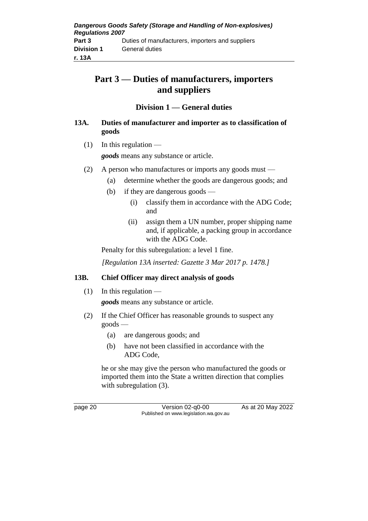# **Part 3 — Duties of manufacturers, importers and suppliers**

# **Division 1 — General duties**

# **13A. Duties of manufacturer and importer as to classification of goods**

 $(1)$  In this regulation —

*goods* means any substance or article.

- (2) A person who manufactures or imports any goods must
	- (a) determine whether the goods are dangerous goods; and
	- (b) if they are dangerous goods
		- (i) classify them in accordance with the ADG Code; and
		- (ii) assign them a UN number, proper shipping name and, if applicable, a packing group in accordance with the ADG Code.

Penalty for this subregulation: a level 1 fine.

*[Regulation 13A inserted: Gazette 3 Mar 2017 p. 1478.]*

# **13B. Chief Officer may direct analysis of goods**

 $(1)$  In this regulation —

*goods* means any substance or article.

- (2) If the Chief Officer has reasonable grounds to suspect any goods —
	- (a) are dangerous goods; and
	- (b) have not been classified in accordance with the ADG Code,

he or she may give the person who manufactured the goods or imported them into the State a written direction that complies with subregulation (3).

page 20 Version 02-q0-00 As at 20 May 2022 Published on www.legislation.wa.gov.au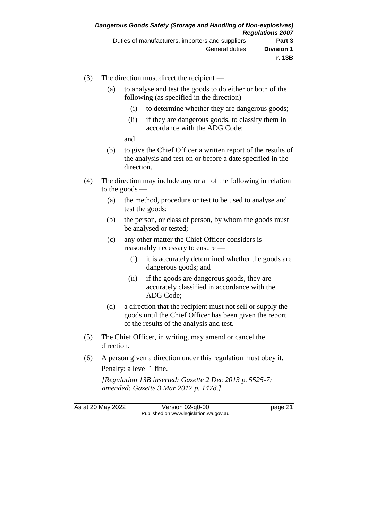- (3) The direction must direct the recipient
	- (a) to analyse and test the goods to do either or both of the following (as specified in the direction) —
		- (i) to determine whether they are dangerous goods;
		- (ii) if they are dangerous goods, to classify them in accordance with the ADG Code;

and

- (b) to give the Chief Officer a written report of the results of the analysis and test on or before a date specified in the direction.
- (4) The direction may include any or all of the following in relation to the goods —
	- (a) the method, procedure or test to be used to analyse and test the goods;
	- (b) the person, or class of person, by whom the goods must be analysed or tested;
	- (c) any other matter the Chief Officer considers is reasonably necessary to ensure —
		- (i) it is accurately determined whether the goods are dangerous goods; and
		- (ii) if the goods are dangerous goods, they are accurately classified in accordance with the ADG Code;
	- (d) a direction that the recipient must not sell or supply the goods until the Chief Officer has been given the report of the results of the analysis and test.
- (5) The Chief Officer, in writing, may amend or cancel the direction.
- (6) A person given a direction under this regulation must obey it. Penalty: a level 1 fine.

*[Regulation 13B inserted: Gazette 2 Dec 2013 p. 5525-7; amended: Gazette 3 Mar 2017 p. 1478.]*

As at 20 May 2022 Version 02-q0-00 page 21 Published on www.legislation.wa.gov.au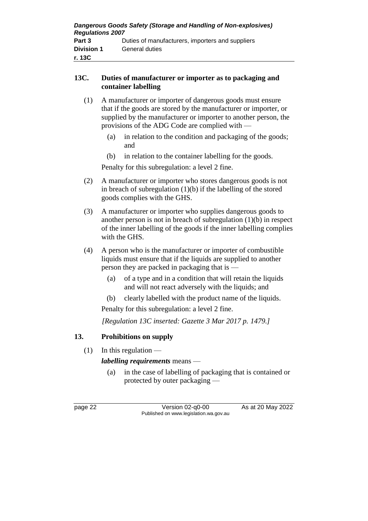# **13C. Duties of manufacturer or importer as to packaging and container labelling**

- (1) A manufacturer or importer of dangerous goods must ensure that if the goods are stored by the manufacturer or importer, or supplied by the manufacturer or importer to another person, the provisions of the ADG Code are complied with —
	- (a) in relation to the condition and packaging of the goods; and
	- (b) in relation to the container labelling for the goods.

Penalty for this subregulation: a level 2 fine.

- (2) A manufacturer or importer who stores dangerous goods is not in breach of subregulation  $(1)(b)$  if the labelling of the stored goods complies with the GHS.
- (3) A manufacturer or importer who supplies dangerous goods to another person is not in breach of subregulation (1)(b) in respect of the inner labelling of the goods if the inner labelling complies with the GHS.
- (4) A person who is the manufacturer or importer of combustible liquids must ensure that if the liquids are supplied to another person they are packed in packaging that is —
	- (a) of a type and in a condition that will retain the liquids and will not react adversely with the liquids; and
	- (b) clearly labelled with the product name of the liquids.

Penalty for this subregulation: a level 2 fine.

*[Regulation 13C inserted: Gazette 3 Mar 2017 p. 1479.]*

# **13. Prohibitions on supply**

 $(1)$  In this regulation —

*labelling requirements* means —

(a) in the case of labelling of packaging that is contained or protected by outer packaging —

page 22 Version 02-q0-00 As at 20 May 2022 Published on www.legislation.wa.gov.au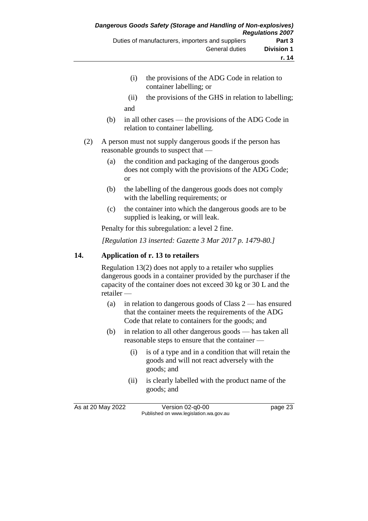- (i) the provisions of the ADG Code in relation to container labelling; or
- (ii) the provisions of the GHS in relation to labelling; and
- (b) in all other cases the provisions of the ADG Code in relation to container labelling.
- (2) A person must not supply dangerous goods if the person has reasonable grounds to suspect that —
	- (a) the condition and packaging of the dangerous goods does not comply with the provisions of the ADG Code; or
	- (b) the labelling of the dangerous goods does not comply with the labelling requirements; or
	- (c) the container into which the dangerous goods are to be supplied is leaking, or will leak.

Penalty for this subregulation: a level 2 fine.

*[Regulation 13 inserted: Gazette 3 Mar 2017 p. 1479-80.]*

# **14. Application of r. 13 to retailers**

Regulation 13(2) does not apply to a retailer who supplies dangerous goods in a container provided by the purchaser if the capacity of the container does not exceed 30 kg or 30 L and the retailer —

- (a) in relation to dangerous goods of Class 2 has ensured that the container meets the requirements of the ADG Code that relate to containers for the goods; and
- (b) in relation to all other dangerous goods has taken all reasonable steps to ensure that the container —
	- (i) is of a type and in a condition that will retain the goods and will not react adversely with the goods; and
	- (ii) is clearly labelled with the product name of the goods; and

As at 20 May 2022 Version 02-q0-00 Published on www.legislation.wa.gov.au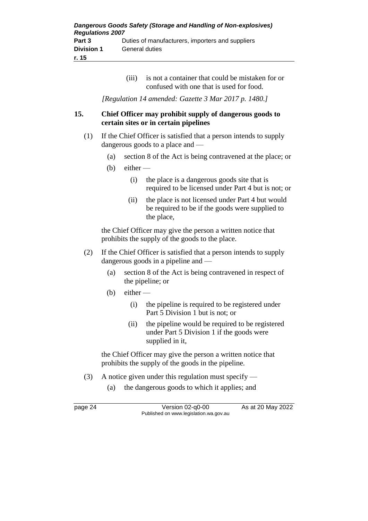| Dangerous Goods Safety (Storage and Handling of Non-explosives)<br><b>Regulations 2007</b> |                                                  |
|--------------------------------------------------------------------------------------------|--------------------------------------------------|
| Part 3                                                                                     | Duties of manufacturers, importers and suppliers |
| <b>Division 1</b>                                                                          | <b>General duties</b>                            |
| r. 15                                                                                      |                                                  |

(iii) is not a container that could be mistaken for or confused with one that is used for food.

*[Regulation 14 amended: Gazette 3 Mar 2017 p. 1480.]*

# **15. Chief Officer may prohibit supply of dangerous goods to certain sites or in certain pipelines**

- (1) If the Chief Officer is satisfied that a person intends to supply dangerous goods to a place and —
	- (a) section 8 of the Act is being contravened at the place; or
	- (b) either
		- (i) the place is a dangerous goods site that is required to be licensed under Part 4 but is not; or
		- (ii) the place is not licensed under Part 4 but would be required to be if the goods were supplied to the place,

the Chief Officer may give the person a written notice that prohibits the supply of the goods to the place.

- (2) If the Chief Officer is satisfied that a person intends to supply dangerous goods in a pipeline and —
	- (a) section 8 of the Act is being contravened in respect of the pipeline; or
	- $(b)$  either
		- (i) the pipeline is required to be registered under Part 5 Division 1 but is not; or
		- (ii) the pipeline would be required to be registered under Part 5 Division 1 if the goods were supplied in it,

the Chief Officer may give the person a written notice that prohibits the supply of the goods in the pipeline.

- (3) A notice given under this regulation must specify
	- (a) the dangerous goods to which it applies; and

page 24 Version 02-q0-00 As at 20 May 2022 Published on www.legislation.wa.gov.au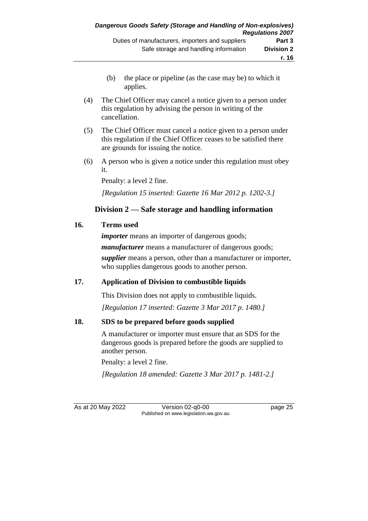- (b) the place or pipeline (as the case may be) to which it applies.
- (4) The Chief Officer may cancel a notice given to a person under this regulation by advising the person in writing of the cancellation.
- (5) The Chief Officer must cancel a notice given to a person under this regulation if the Chief Officer ceases to be satisfied there are grounds for issuing the notice.
- (6) A person who is given a notice under this regulation must obey it.

Penalty: a level 2 fine.

*[Regulation 15 inserted: Gazette 16 Mar 2012 p. 1202-3.]*

# **Division 2 — Safe storage and handling information**

### **16. Terms used**

*importer* means an importer of dangerous goods; *manufacturer* means a manufacturer of dangerous goods; *supplier* means a person, other than a manufacturer or importer, who supplies dangerous goods to another person.

# **17. Application of Division to combustible liquids**

This Division does not apply to combustible liquids.

*[Regulation 17 inserted: Gazette 3 Mar 2017 p. 1480.]*

# **18. SDS to be prepared before goods supplied**

A manufacturer or importer must ensure that an SDS for the dangerous goods is prepared before the goods are supplied to another person.

Penalty: a level 2 fine.

*[Regulation 18 amended: Gazette 3 Mar 2017 p. 1481-2.]*

As at 20 May 2022 Version 02-q0-00 page 25 Published on www.legislation.wa.gov.au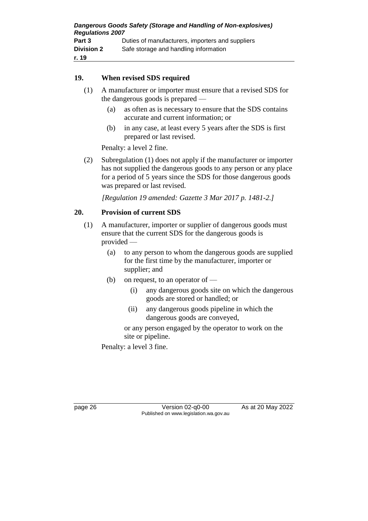| Dangerous Goods Safety (Storage and Handling of Non-explosives)<br><b>Regulations 2007</b> |                                                  |  |
|--------------------------------------------------------------------------------------------|--------------------------------------------------|--|
| Part 3                                                                                     | Duties of manufacturers, importers and suppliers |  |
| <b>Division 2</b>                                                                          | Safe storage and handling information            |  |
| r. 19                                                                                      |                                                  |  |

#### **19. When revised SDS required**

- (1) A manufacturer or importer must ensure that a revised SDS for the dangerous goods is prepared —
	- (a) as often as is necessary to ensure that the SDS contains accurate and current information; or
	- (b) in any case, at least every 5 years after the SDS is first prepared or last revised.

Penalty: a level 2 fine.

(2) Subregulation (1) does not apply if the manufacturer or importer has not supplied the dangerous goods to any person or any place for a period of 5 years since the SDS for those dangerous goods was prepared or last revised.

*[Regulation 19 amended: Gazette 3 Mar 2017 p. 1481-2.]*

### **20. Provision of current SDS**

- (1) A manufacturer, importer or supplier of dangerous goods must ensure that the current SDS for the dangerous goods is provided —
	- (a) to any person to whom the dangerous goods are supplied for the first time by the manufacturer, importer or supplier; and
	- (b) on request, to an operator of
		- (i) any dangerous goods site on which the dangerous goods are stored or handled; or
		- (ii) any dangerous goods pipeline in which the dangerous goods are conveyed,

or any person engaged by the operator to work on the site or pipeline.

Penalty: a level 3 fine.

page 26 Version 02-q0-00 As at 20 May 2022 Published on www.legislation.wa.gov.au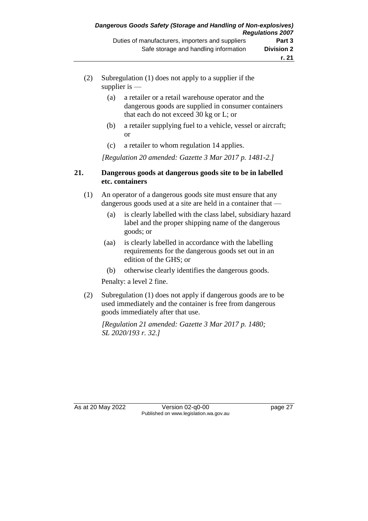- (2) Subregulation (1) does not apply to a supplier if the supplier is —
	- (a) a retailer or a retail warehouse operator and the dangerous goods are supplied in consumer containers that each do not exceed 30 kg or L; or
	- (b) a retailer supplying fuel to a vehicle, vessel or aircraft; or
	- (c) a retailer to whom regulation 14 applies.

*[Regulation 20 amended: Gazette 3 Mar 2017 p. 1481-2.]*

#### **21. Dangerous goods at dangerous goods site to be in labelled etc. containers**

- (1) An operator of a dangerous goods site must ensure that any dangerous goods used at a site are held in a container that —
	- (a) is clearly labelled with the class label, subsidiary hazard label and the proper shipping name of the dangerous goods; or
	- (aa) is clearly labelled in accordance with the labelling requirements for the dangerous goods set out in an edition of the GHS; or
	- (b) otherwise clearly identifies the dangerous goods.

Penalty: a level 2 fine.

(2) Subregulation (1) does not apply if dangerous goods are to be used immediately and the container is free from dangerous goods immediately after that use.

*[Regulation 21 amended: Gazette 3 Mar 2017 p. 1480; SL 2020/193 r. 32.]*

As at 20 May 2022 Version 02-q0-00 Published on www.legislation.wa.gov.au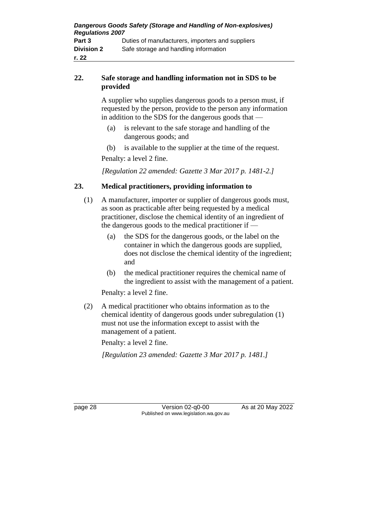| Dangerous Goods Safety (Storage and Handling of Non-explosives)<br><b>Regulations 2007</b> |                                                  |  |
|--------------------------------------------------------------------------------------------|--------------------------------------------------|--|
| Part 3                                                                                     | Duties of manufacturers, importers and suppliers |  |
| <b>Division 2</b>                                                                          | Safe storage and handling information            |  |
| r. 22                                                                                      |                                                  |  |

### **22. Safe storage and handling information not in SDS to be provided**

A supplier who supplies dangerous goods to a person must, if requested by the person, provide to the person any information in addition to the SDS for the dangerous goods that —

- (a) is relevant to the safe storage and handling of the dangerous goods; and
- (b) is available to the supplier at the time of the request.

Penalty: a level 2 fine.

*[Regulation 22 amended: Gazette 3 Mar 2017 p. 1481-2.]*

### **23. Medical practitioners, providing information to**

- (1) A manufacturer, importer or supplier of dangerous goods must, as soon as practicable after being requested by a medical practitioner, disclose the chemical identity of an ingredient of the dangerous goods to the medical practitioner if —
	- (a) the SDS for the dangerous goods, or the label on the container in which the dangerous goods are supplied, does not disclose the chemical identity of the ingredient; and
	- (b) the medical practitioner requires the chemical name of the ingredient to assist with the management of a patient.

Penalty: a level 2 fine.

(2) A medical practitioner who obtains information as to the chemical identity of dangerous goods under subregulation (1) must not use the information except to assist with the management of a patient.

Penalty: a level 2 fine.

*[Regulation 23 amended: Gazette 3 Mar 2017 p. 1481.]*

page 28 Version 02-q0-00 As at 20 May 2022 Published on www.legislation.wa.gov.au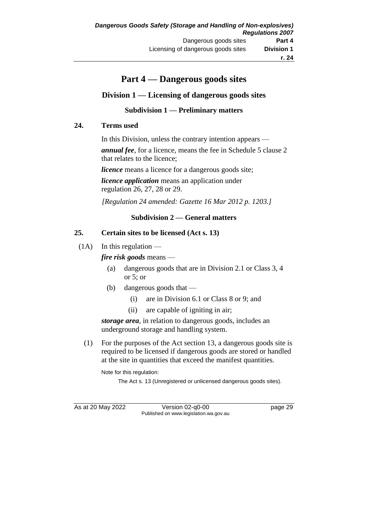# **Part 4 — Dangerous goods sites**

# **Division 1 — Licensing of dangerous goods sites**

### **Subdivision 1 — Preliminary matters**

#### **24. Terms used**

In this Division, unless the contrary intention appears —

*annual fee*, for a licence, means the fee in Schedule 5 clause 2 that relates to the licence;

*licence* means a licence for a dangerous goods site;

*licence application* means an application under regulation 26, 27, 28 or 29.

*[Regulation 24 amended: Gazette 16 Mar 2012 p. 1203.]*

### **Subdivision 2 — General matters**

#### **25. Certain sites to be licensed (Act s. 13)**

 $(1A)$  In this regulation —

#### *fire risk goods* means —

- (a) dangerous goods that are in Division 2.1 or Class 3, 4 or 5; or
- (b) dangerous goods that
	- (i) are in Division 6.1 or Class 8 or 9; and
	- (ii) are capable of igniting in air;

*storage area*, in relation to dangerous goods, includes an underground storage and handling system.

(1) For the purposes of the Act section 13, a dangerous goods site is required to be licensed if dangerous goods are stored or handled at the site in quantities that exceed the manifest quantities.

Note for this regulation:

The Act s. 13 (Unregistered or unlicensed dangerous goods sites).

As at 20 May 2022 Version 02-q0-00 page 29 Published on www.legislation.wa.gov.au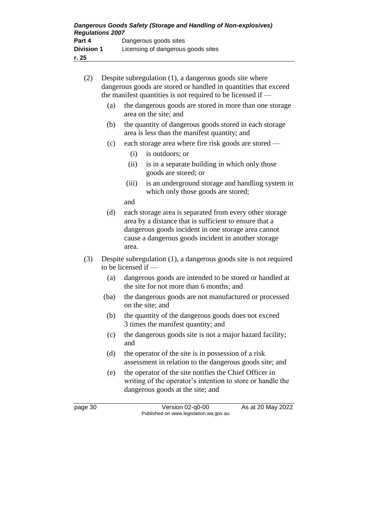| Dangerous Goods Safety (Storage and Handling of Non-explosives)<br><b>Regulations 2007</b> |                                    |  |
|--------------------------------------------------------------------------------------------|------------------------------------|--|
| Part 4                                                                                     | Dangerous goods sites              |  |
| <b>Division 1</b>                                                                          | Licensing of dangerous goods sites |  |
| r. 25                                                                                      |                                    |  |

| (2) | Despite subregulation (1), a dangerous goods site where<br>dangerous goods are stored or handled in quantities that exceed<br>the manifest quantities is not required to be licensed if $-$ |                                                                                                        |                                                                                                                                                                                                                                 |  |  |
|-----|---------------------------------------------------------------------------------------------------------------------------------------------------------------------------------------------|--------------------------------------------------------------------------------------------------------|---------------------------------------------------------------------------------------------------------------------------------------------------------------------------------------------------------------------------------|--|--|
|     | (a)                                                                                                                                                                                         | the dangerous goods are stored in more than one storage<br>area on the site; and                       |                                                                                                                                                                                                                                 |  |  |
|     | (b)                                                                                                                                                                                         | the quantity of dangerous goods stored in each storage<br>area is less than the manifest quantity; and |                                                                                                                                                                                                                                 |  |  |
|     | (c)                                                                                                                                                                                         |                                                                                                        | each storage area where fire risk goods are stored —                                                                                                                                                                            |  |  |
|     |                                                                                                                                                                                             | (i)                                                                                                    | is outdoors; or                                                                                                                                                                                                                 |  |  |
|     |                                                                                                                                                                                             | (ii)                                                                                                   | is in a separate building in which only those<br>goods are stored; or                                                                                                                                                           |  |  |
|     |                                                                                                                                                                                             | (iii)                                                                                                  | is an underground storage and handling system in<br>which only those goods are stored;                                                                                                                                          |  |  |
|     |                                                                                                                                                                                             | and                                                                                                    |                                                                                                                                                                                                                                 |  |  |
|     | (d)                                                                                                                                                                                         | area.                                                                                                  | each storage area is separated from every other storage<br>area by a distance that is sufficient to ensure that a<br>dangerous goods incident in one storage area cannot<br>cause a dangerous goods incident in another storage |  |  |
| (3) | Despite subregulation (1), a dangerous goods site is not required<br>to be licensed if -                                                                                                    |                                                                                                        |                                                                                                                                                                                                                                 |  |  |
|     | (a)                                                                                                                                                                                         | dangerous goods are intended to be stored or handled at<br>the site for not more than 6 months; and    |                                                                                                                                                                                                                                 |  |  |
|     | (ba)                                                                                                                                                                                        | the dangerous goods are not manufactured or processed<br>on the site; and                              |                                                                                                                                                                                                                                 |  |  |
|     | (b)                                                                                                                                                                                         |                                                                                                        | the quantity of the dangerous goods does not exceed<br>3 times the manifest quantity; and                                                                                                                                       |  |  |
|     | (c)                                                                                                                                                                                         | and                                                                                                    | the dangerous goods site is not a major hazard facility;                                                                                                                                                                        |  |  |
|     |                                                                                                                                                                                             |                                                                                                        |                                                                                                                                                                                                                                 |  |  |

- (d) the operator of the site is in possession of a risk assessment in relation to the dangerous goods site; and
- (e) the operator of the site notifies the Chief Officer in writing of the operator's intention to store or handle the dangerous goods at the site; and

page 30 Version 02-q0-00 As at 20 May 2022 Published on www.legislation.wa.gov.au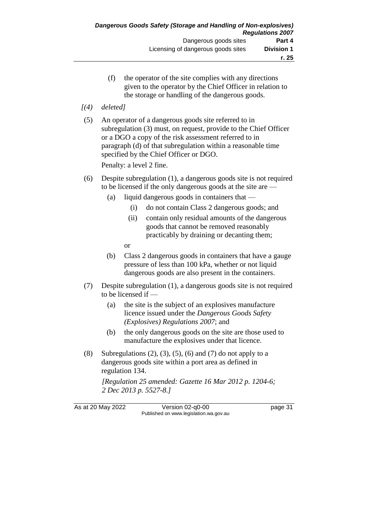- (f) the operator of the site complies with any directions given to the operator by the Chief Officer in relation to the storage or handling of the dangerous goods.
- *[(4) deleted]*
- (5) An operator of a dangerous goods site referred to in subregulation (3) must, on request, provide to the Chief Officer or a DGO a copy of the risk assessment referred to in paragraph (d) of that subregulation within a reasonable time specified by the Chief Officer or DGO.

Penalty: a level 2 fine.

- (6) Despite subregulation (1), a dangerous goods site is not required to be licensed if the only dangerous goods at the site are —
	- (a) liquid dangerous goods in containers that
		- (i) do not contain Class 2 dangerous goods; and
		- (ii) contain only residual amounts of the dangerous goods that cannot be removed reasonably practicably by draining or decanting them;

or

- (b) Class 2 dangerous goods in containers that have a gauge pressure of less than 100 kPa, whether or not liquid dangerous goods are also present in the containers.
- (7) Despite subregulation (1), a dangerous goods site is not required to be licensed if —
	- (a) the site is the subject of an explosives manufacture licence issued under the *Dangerous Goods Safety (Explosives) Regulations 2007*; and
	- (b) the only dangerous goods on the site are those used to manufacture the explosives under that licence.
- (8) Subregulations  $(2)$ ,  $(3)$ ,  $(5)$ ,  $(6)$  and  $(7)$  do not apply to a dangerous goods site within a port area as defined in regulation 134.

*[Regulation 25 amended: Gazette 16 Mar 2012 p. 1204-6; 2 Dec 2013 p. 5527-8.]*

As at 20 May 2022 Version 02-q0-00 page 31 Published on www.legislation.wa.gov.au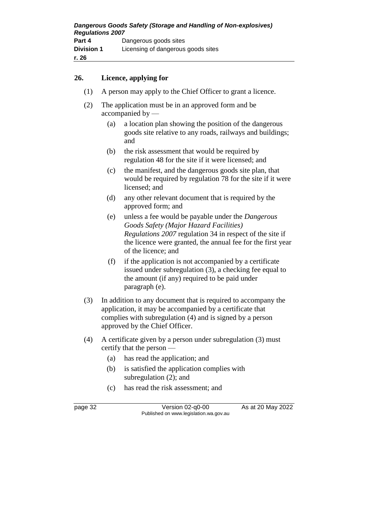#### **26. Licence, applying for**

- (1) A person may apply to the Chief Officer to grant a licence.
- (2) The application must be in an approved form and be accompanied by —
	- (a) a location plan showing the position of the dangerous goods site relative to any roads, railways and buildings; and
	- (b) the risk assessment that would be required by regulation 48 for the site if it were licensed; and
	- (c) the manifest, and the dangerous goods site plan, that would be required by regulation 78 for the site if it were licensed; and
	- (d) any other relevant document that is required by the approved form; and
	- (e) unless a fee would be payable under the *Dangerous Goods Safety (Major Hazard Facilities) Regulations 2007* regulation 34 in respect of the site if the licence were granted, the annual fee for the first year of the licence; and
	- (f) if the application is not accompanied by a certificate issued under subregulation (3), a checking fee equal to the amount (if any) required to be paid under paragraph (e).
- (3) In addition to any document that is required to accompany the application, it may be accompanied by a certificate that complies with subregulation (4) and is signed by a person approved by the Chief Officer.
- (4) A certificate given by a person under subregulation (3) must certify that the person —
	- (a) has read the application; and
	- (b) is satisfied the application complies with subregulation (2); and
	- (c) has read the risk assessment; and

page 32 Version 02-q0-00 As at 20 May 2022 Published on www.legislation.wa.gov.au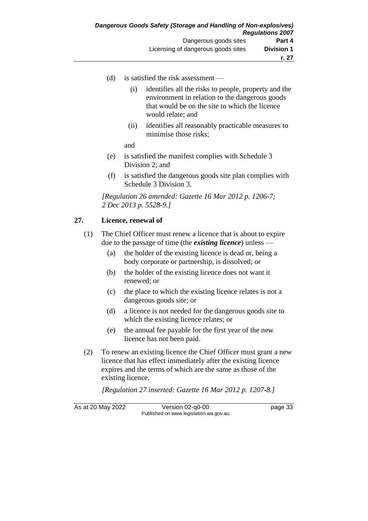- (d) is satisfied the risk assessment
	- (i) identifies all the risks to people, property and the environment in relation to the dangerous goods that would be on the site to which the licence would relate; and
	- (ii) identifies all reasonably practicable measures to minimise those risks;
	- and
- (e) is satisfied the manifest complies with Schedule 3 Division 2; and
- (f) is satisfied the dangerous goods site plan complies with Schedule 3 Division 3.

*[Regulation 26 amended: Gazette 16 Mar 2012 p. 1206-7; 2 Dec 2013 p. 5528-9.]*

### **27. Licence, renewal of**

- (1) The Chief Officer must renew a licence that is about to expire due to the passage of time (the *existing licence*) unless —
	- (a) the holder of the existing licence is dead or, being a body corporate or partnership, is dissolved; or
	- (b) the holder of the existing licence does not want it renewed; or
	- (c) the place to which the existing licence relates is not a dangerous goods site; or
	- (d) a licence is not needed for the dangerous goods site to which the existing licence relates; or
	- (e) the annual fee payable for the first year of the new licence has not been paid.
- (2) To renew an existing licence the Chief Officer must grant a new licence that has effect immediately after the existing licence expires and the terms of which are the same as those of the existing licence.

*[Regulation 27 inserted: Gazette 16 Mar 2012 p. 1207-8.]*

As at 20 May 2022 Version 02-q0-00 page 33 Published on www.legislation.wa.gov.au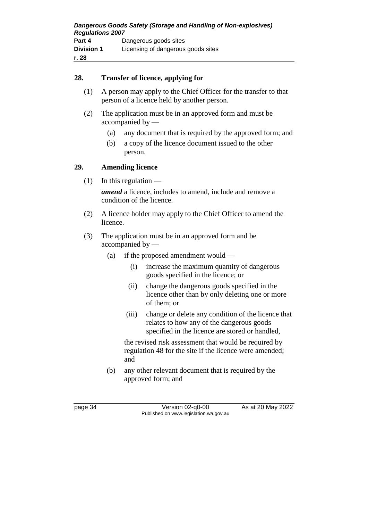#### **28. Transfer of licence, applying for**

- (1) A person may apply to the Chief Officer for the transfer to that person of a licence held by another person.
- (2) The application must be in an approved form and must be accompanied by —
	- (a) any document that is required by the approved form; and
	- (b) a copy of the licence document issued to the other person.

### **29. Amending licence**

 $(1)$  In this regulation —

*amend* a licence, includes to amend, include and remove a condition of the licence.

- (2) A licence holder may apply to the Chief Officer to amend the licence.
- (3) The application must be in an approved form and be accompanied by —
	- (a) if the proposed amendment would
		- (i) increase the maximum quantity of dangerous goods specified in the licence; or
		- (ii) change the dangerous goods specified in the licence other than by only deleting one or more of them; or
		- (iii) change or delete any condition of the licence that relates to how any of the dangerous goods specified in the licence are stored or handled,

the revised risk assessment that would be required by regulation 48 for the site if the licence were amended; and

(b) any other relevant document that is required by the approved form; and

page 34 Version 02-q0-00 As at 20 May 2022 Published on www.legislation.wa.gov.au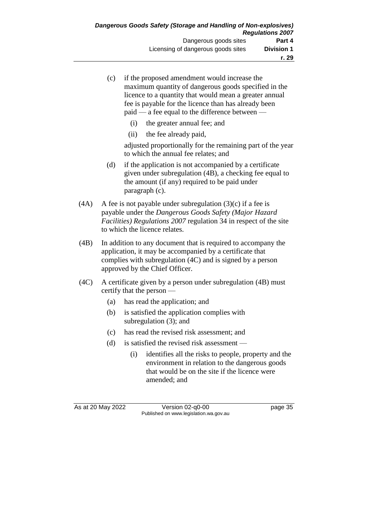|      | (c) | if the proposed amendment would increase the<br>maximum quantity of dangerous goods specified in the<br>licence to a quantity that would mean a greater annual<br>fee is payable for the licence than has already been<br>paid — a fee equal to the difference between — |  |  |
|------|-----|--------------------------------------------------------------------------------------------------------------------------------------------------------------------------------------------------------------------------------------------------------------------------|--|--|
|      |     | the greater annual fee; and<br>(i)                                                                                                                                                                                                                                       |  |  |
|      |     | the fee already paid,<br>(ii)                                                                                                                                                                                                                                            |  |  |
|      |     | adjusted proportionally for the remaining part of the year<br>to which the annual fee relates; and                                                                                                                                                                       |  |  |
|      | (d) | if the application is not accompanied by a certificate<br>given under subregulation (4B), a checking fee equal to<br>the amount (if any) required to be paid under<br>paragraph (c).                                                                                     |  |  |
| (4A) |     | A fee is not payable under subregulation $(3)(c)$ if a fee is<br>payable under the Dangerous Goods Safety (Major Hazard<br>Facilities) Regulations 2007 regulation 34 in respect of the site<br>to which the licence relates.                                            |  |  |
| (4B) |     | In addition to any document that is required to accompany the<br>application, it may be accompanied by a certificate that<br>complies with subregulation (4C) and is signed by a person<br>approved by the Chief Officer.                                                |  |  |
| (4C) |     | A certificate given by a person under subregulation (4B) must<br>certify that the person —                                                                                                                                                                               |  |  |
|      | (a) | has read the application; and                                                                                                                                                                                                                                            |  |  |
|      | (b) | is satisfied the application complies with<br>subregulation $(3)$ ; and                                                                                                                                                                                                  |  |  |
|      | (c) | has read the revised risk assessment; and                                                                                                                                                                                                                                |  |  |
|      | (d) | is satisfied the revised risk assessment —                                                                                                                                                                                                                               |  |  |
|      |     | (i)<br>identifies all the risks to people, property and the<br>environment in relation to the dangerous goods<br>that would be on the site if the licence were<br>amended; and                                                                                           |  |  |

As at 20 May 2022 Version 02-q0-00 page 35 Published on www.legislation.wa.gov.au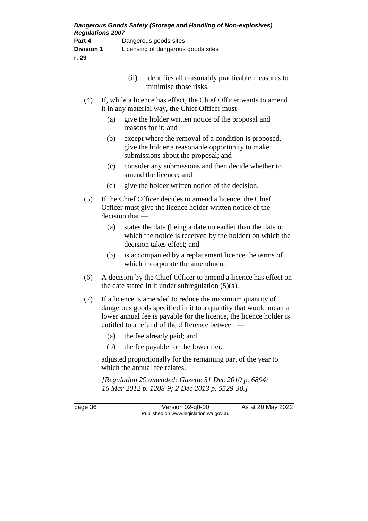|            |     | (i) | identifies all reasonably practicable measures to<br>minimise those risks.                                                                      |
|------------|-----|-----|-------------------------------------------------------------------------------------------------------------------------------------------------|
| (4)        |     |     | If, while a licence has effect, the Chief Officer wants to amend<br>it in any material way, the Chief Officer must $-$                          |
|            | (a) |     | give the holder written notice of the proposal and<br>reasons for it; and                                                                       |
|            | (b) |     | except where the removal of a condition is proposed,<br>give the holder a reasonable opportunity to make<br>submissions about the proposal; and |
|            | (c) |     | consider any submissions and then decide whether to<br>amend the licence; and                                                                   |
|            | (d) |     | give the holder written notice of the decision.                                                                                                 |
| $\sqrt{2}$ |     |     | If the Chief Officer decided to emend a licence, the Chief                                                                                      |

- (5) If the Chief Officer decides to amend a licence, the Chief Officer must give the licence holder written notice of the decision that —
	- (a) states the date (being a date no earlier than the date on which the notice is received by the holder) on which the decision takes effect; and
	- (b) is accompanied by a replacement licence the terms of which incorporate the amendment.
- (6) A decision by the Chief Officer to amend a licence has effect on the date stated in it under subregulation (5)(a).
- (7) If a licence is amended to reduce the maximum quantity of dangerous goods specified in it to a quantity that would mean a lower annual fee is payable for the licence, the licence holder is entitled to a refund of the difference between -
	- (a) the fee already paid; and
	- (b) the fee payable for the lower tier,

adjusted proportionally for the remaining part of the year to which the annual fee relates.

*[Regulation 29 amended: Gazette 31 Dec 2010 p. 6894; 16 Mar 2012 p. 1208-9; 2 Dec 2013 p. 5529-30.]*

page 36 Version 02-q0-00 As at 20 May 2022 Published on www.legislation.wa.gov.au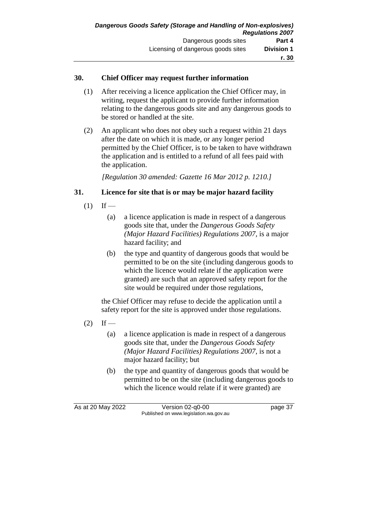#### **30. Chief Officer may request further information**

- (1) After receiving a licence application the Chief Officer may, in writing, request the applicant to provide further information relating to the dangerous goods site and any dangerous goods to be stored or handled at the site.
- (2) An applicant who does not obey such a request within 21 days after the date on which it is made, or any longer period permitted by the Chief Officer, is to be taken to have withdrawn the application and is entitled to a refund of all fees paid with the application.

*[Regulation 30 amended: Gazette 16 Mar 2012 p. 1210.]*

### **31. Licence for site that is or may be major hazard facility**

- $(1)$  If
	- (a) a licence application is made in respect of a dangerous goods site that, under the *Dangerous Goods Safety (Major Hazard Facilities) Regulations 2007*, is a major hazard facility; and
	- (b) the type and quantity of dangerous goods that would be permitted to be on the site (including dangerous goods to which the licence would relate if the application were granted) are such that an approved safety report for the site would be required under those regulations,

the Chief Officer may refuse to decide the application until a safety report for the site is approved under those regulations.

- $(2)$  If
	- (a) a licence application is made in respect of a dangerous goods site that, under the *Dangerous Goods Safety (Major Hazard Facilities) Regulations 2007*, is not a major hazard facility; but
	- (b) the type and quantity of dangerous goods that would be permitted to be on the site (including dangerous goods to which the licence would relate if it were granted) are

As at 20 May 2022 Version 02-q0-00 page 37 Published on www.legislation.wa.gov.au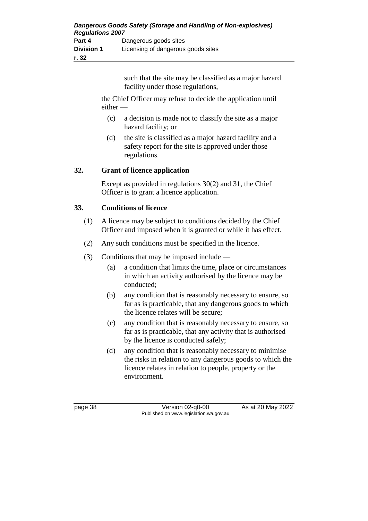such that the site may be classified as a major hazard facility under those regulations,

the Chief Officer may refuse to decide the application until either —

- (c) a decision is made not to classify the site as a major hazard facility; or
- (d) the site is classified as a major hazard facility and a safety report for the site is approved under those regulations.

### **32. Grant of licence application**

Except as provided in regulations 30(2) and 31, the Chief Officer is to grant a licence application.

### **33. Conditions of licence**

- (1) A licence may be subject to conditions decided by the Chief Officer and imposed when it is granted or while it has effect.
- (2) Any such conditions must be specified in the licence.
- (3) Conditions that may be imposed include
	- (a) a condition that limits the time, place or circumstances in which an activity authorised by the licence may be conducted;
	- (b) any condition that is reasonably necessary to ensure, so far as is practicable, that any dangerous goods to which the licence relates will be secure;
	- (c) any condition that is reasonably necessary to ensure, so far as is practicable, that any activity that is authorised by the licence is conducted safely;
	- (d) any condition that is reasonably necessary to minimise the risks in relation to any dangerous goods to which the licence relates in relation to people, property or the environment.

page 38 Version 02-q0-00 As at 20 May 2022 Published on www.legislation.wa.gov.au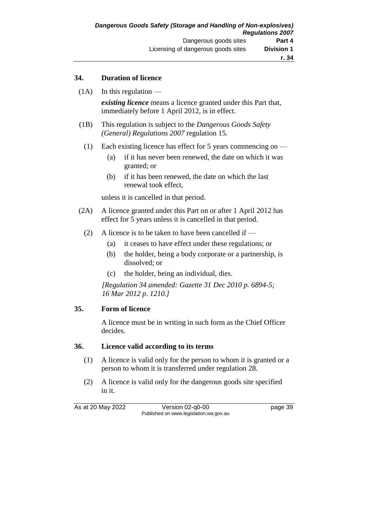#### **34. Duration of licence**

 $(1A)$  In this regulation —

*existing licence* means a licence granted under this Part that, immediately before 1 April 2012, is in effect.

- (1B) This regulation is subject to the *Dangerous Goods Safety (General) Regulations 2007* regulation 15.
	- (1) Each existing licence has effect for 5 years commencing on
		- (a) if it has never been renewed, the date on which it was granted; or
		- (b) if it has been renewed, the date on which the last renewal took effect,

unless it is cancelled in that period.

- (2A) A licence granted under this Part on or after 1 April 2012 has effect for 5 years unless it is cancelled in that period.
	- (2) A licence is to be taken to have been cancelled if  $-$ 
		- (a) it ceases to have effect under these regulations; or
		- (b) the holder, being a body corporate or a partnership, is dissolved; or
		- (c) the holder, being an individual, dies.

*[Regulation 34 amended: Gazette 31 Dec 2010 p. 6894-5; 16 Mar 2012 p. 1210.]*

#### **35. Form of licence**

A licence must be in writing in such form as the Chief Officer decides.

#### **36. Licence valid according to its terms**

- (1) A licence is valid only for the person to whom it is granted or a person to whom it is transferred under regulation 28.
- (2) A licence is valid only for the dangerous goods site specified in it.

As at 20 May 2022 Version 02-q0-00 page 39 Published on www.legislation.wa.gov.au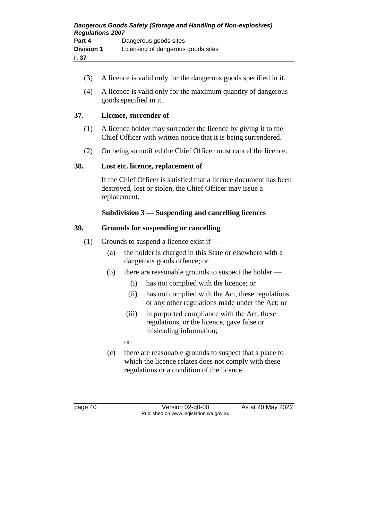- (3) A licence is valid only for the dangerous goods specified in it.
- (4) A licence is valid only for the maximum quantity of dangerous goods specified in it.

# **37. Licence, surrender of**

- (1) A licence holder may surrender the licence by giving it to the Chief Officer with written notice that it is being surrendered.
- (2) On being so notified the Chief Officer must cancel the licence.

### **38. Lost etc. licence, replacement of**

If the Chief Officer is satisfied that a licence document has been destroyed, lost or stolen, the Chief Officer may issue a replacement.

### **Subdivision 3 — Suspending and cancelling licences**

### **39. Grounds for suspending or cancelling**

- (1) Grounds to suspend a licence exist if  $-$ 
	- (a) the holder is charged in this State or elsewhere with a dangerous goods offence; or
	- (b) there are reasonable grounds to suspect the holder
		- (i) has not complied with the licence; or
		- (ii) has not complied with the Act, these regulations or any other regulations made under the Act; or
		- (iii) in purported compliance with the Act, these regulations, or the licence, gave false or misleading information;
		- or
	- (c) there are reasonable grounds to suspect that a place to which the licence relates does not comply with these regulations or a condition of the licence.

page 40 Version 02-q0-00 As at 20 May 2022 Published on www.legislation.wa.gov.au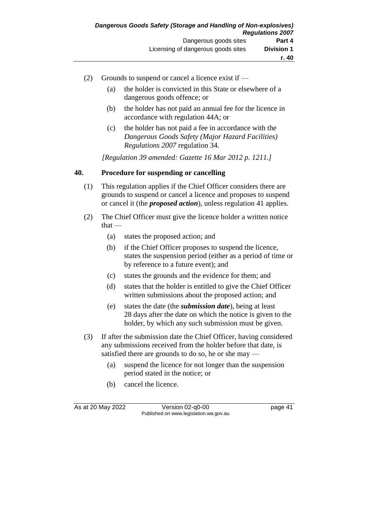- (2) Grounds to suspend or cancel a licence exist if
	- (a) the holder is convicted in this State or elsewhere of a dangerous goods offence; or
	- (b) the holder has not paid an annual fee for the licence in accordance with regulation 44A; or
	- (c) the holder has not paid a fee in accordance with the *Dangerous Goods Safety (Major Hazard Facilities) Regulations 2007* regulation 34.

*[Regulation 39 amended: Gazette 16 Mar 2012 p. 1211.]*

### **40. Procedure for suspending or cancelling**

- (1) This regulation applies if the Chief Officer considers there are grounds to suspend or cancel a licence and proposes to suspend or cancel it (the *proposed action*), unless regulation 41 applies.
- (2) The Chief Officer must give the licence holder a written notice that —
	- (a) states the proposed action; and
	- (b) if the Chief Officer proposes to suspend the licence, states the suspension period (either as a period of time or by reference to a future event); and
	- (c) states the grounds and the evidence for them; and
	- (d) states that the holder is entitled to give the Chief Officer written submissions about the proposed action; and
	- (e) states the date (the *submission date*), being at least 28 days after the date on which the notice is given to the holder, by which any such submission must be given.
- (3) If after the submission date the Chief Officer, having considered any submissions received from the holder before that date, is satisfied there are grounds to do so, he or she may -
	- (a) suspend the licence for not longer than the suspension period stated in the notice; or
	- (b) cancel the licence.

As at 20 May 2022 Version 02-q0-00 page 41 Published on www.legislation.wa.gov.au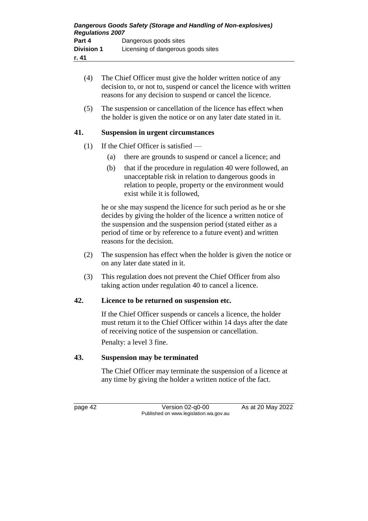- (4) The Chief Officer must give the holder written notice of any decision to, or not to, suspend or cancel the licence with written reasons for any decision to suspend or cancel the licence. (5) The suspension or cancellation of the licence has effect when the holder is given the notice or on any later date stated in it. **41. Suspension in urgent circumstances** (1) If the Chief Officer is satisfied —
	- (a) there are grounds to suspend or cancel a licence; and
	- (b) that if the procedure in regulation 40 were followed, an unacceptable risk in relation to dangerous goods in relation to people, property or the environment would exist while it is followed,

he or she may suspend the licence for such period as he or she decides by giving the holder of the licence a written notice of the suspension and the suspension period (stated either as a period of time or by reference to a future event) and written reasons for the decision.

- (2) The suspension has effect when the holder is given the notice or on any later date stated in it.
- (3) This regulation does not prevent the Chief Officer from also taking action under regulation 40 to cancel a licence.

# **42. Licence to be returned on suspension etc.**

If the Chief Officer suspends or cancels a licence, the holder must return it to the Chief Officer within 14 days after the date of receiving notice of the suspension or cancellation.

Penalty: a level 3 fine.

# **43. Suspension may be terminated**

The Chief Officer may terminate the suspension of a licence at any time by giving the holder a written notice of the fact.

page 42 Version 02-q0-00 As at 20 May 2022 Published on www.legislation.wa.gov.au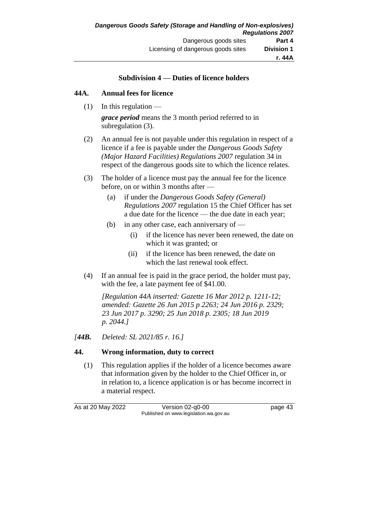#### **Subdivision 4 — Duties of licence holders**

#### **44A. Annual fees for licence**

 $(1)$  In this regulation —

*grace period* means the 3 month period referred to in subregulation (3).

- (2) An annual fee is not payable under this regulation in respect of a licence if a fee is payable under the *Dangerous Goods Safety (Major Hazard Facilities) Regulations 2007* regulation 34 in respect of the dangerous goods site to which the licence relates.
- (3) The holder of a licence must pay the annual fee for the licence before, on or within 3 months after —
	- (a) if under the *Dangerous Goods Safety (General) Regulations 2007* regulation 15 the Chief Officer has set a due date for the licence — the due date in each year;
	- (b) in any other case, each anniversary of
		- (i) if the licence has never been renewed, the date on which it was granted; or
		- (ii) if the licence has been renewed, the date on which the last renewal took effect.
- (4) If an annual fee is paid in the grace period, the holder must pay, with the fee, a late payment fee of \$41.00.

*[Regulation 44A inserted: Gazette 16 Mar 2012 p. 1211-12; amended: Gazette 26 Jun 2015 p 2263; 24 Jun 2016 p. 2329; 23 Jun 2017 p. 3290; 25 Jun 2018 p. 2305; 18 Jun 2019 p. 2044.]*

*[44B. Deleted: SL 2021/85 r. 16.]*

### **44. Wrong information, duty to correct**

(1) This regulation applies if the holder of a licence becomes aware that information given by the holder to the Chief Officer in, or in relation to, a licence application is or has become incorrect in a material respect.

As at 20 May 2022 Version 02-q0-00 page 43 Published on www.legislation.wa.gov.au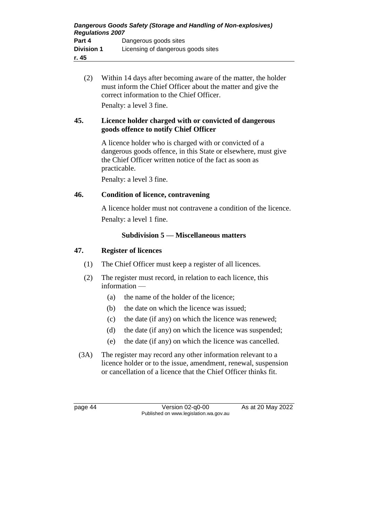(2) Within 14 days after becoming aware of the matter, the holder must inform the Chief Officer about the matter and give the correct information to the Chief Officer. Penalty: a level 3 fine.

### **45. Licence holder charged with or convicted of dangerous goods offence to notify Chief Officer**

A licence holder who is charged with or convicted of a dangerous goods offence, in this State or elsewhere, must give the Chief Officer written notice of the fact as soon as practicable.

Penalty: a level 3 fine.

### **46. Condition of licence, contravening**

A licence holder must not contravene a condition of the licence. Penalty: a level 1 fine.

### **Subdivision 5 — Miscellaneous matters**

### **47. Register of licences**

- (1) The Chief Officer must keep a register of all licences.
- (2) The register must record, in relation to each licence, this information —
	- (a) the name of the holder of the licence;
	- (b) the date on which the licence was issued;
	- (c) the date (if any) on which the licence was renewed;
	- (d) the date (if any) on which the licence was suspended;
	- (e) the date (if any) on which the licence was cancelled.
- (3A) The register may record any other information relevant to a licence holder or to the issue, amendment, renewal, suspension or cancellation of a licence that the Chief Officer thinks fit.

page 44 Version 02-q0-00 As at 20 May 2022 Published on www.legislation.wa.gov.au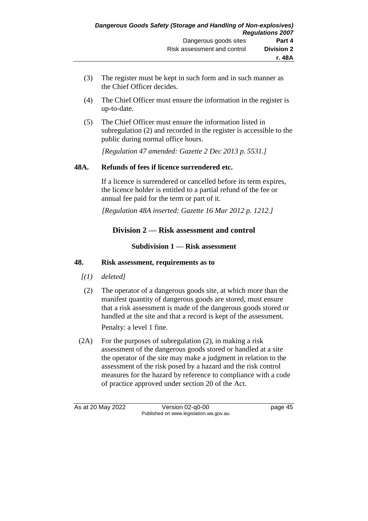- (3) The register must be kept in such form and in such manner as the Chief Officer decides.
- (4) The Chief Officer must ensure the information in the register is up-to-date.
- (5) The Chief Officer must ensure the information listed in subregulation (2) and recorded in the register is accessible to the public during normal office hours.

*[Regulation 47 amended: Gazette 2 Dec 2013 p. 5531.]*

### **48A. Refunds of fees if licence surrendered etc.**

If a licence is surrendered or cancelled before its term expires, the licence holder is entitled to a partial refund of the fee or annual fee paid for the term or part of it.

*[Regulation 48A inserted: Gazette 16 Mar 2012 p. 1212.]*

# **Division 2 — Risk assessment and control**

**Subdivision 1 — Risk assessment**

### **48. Risk assessment, requirements as to**

- *[(1) deleted]*
- (2) The operator of a dangerous goods site, at which more than the manifest quantity of dangerous goods are stored, must ensure that a risk assessment is made of the dangerous goods stored or handled at the site and that a record is kept of the assessment. Penalty: a level 1 fine.

(2A) For the purposes of subregulation (2), in making a risk assessment of the dangerous goods stored or handled at a site the operator of the site may make a judgment in relation to the assessment of the risk posed by a hazard and the risk control measures for the hazard by reference to compliance with a code

of practice approved under section 20 of the Act.

As at 20 May 2022 Version 02-q0-00 Page 45 Published on www.legislation.wa.gov.au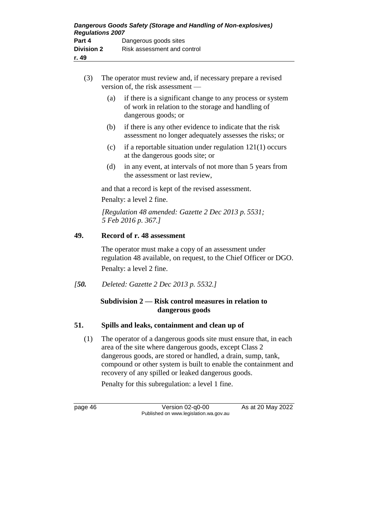- (3) The operator must review and, if necessary prepare a revised version of, the risk assessment —
	- (a) if there is a significant change to any process or system of work in relation to the storage and handling of dangerous goods; or
	- (b) if there is any other evidence to indicate that the risk assessment no longer adequately assesses the risks; or
	- (c) if a reportable situation under regulation 121(1) occurs at the dangerous goods site; or
	- (d) in any event, at intervals of not more than 5 years from the assessment or last review,

and that a record is kept of the revised assessment.

Penalty: a level 2 fine.

*[Regulation 48 amended: Gazette 2 Dec 2013 p. 5531; 5 Feb 2016 p. 367.]*

### **49. Record of r. 48 assessment**

The operator must make a copy of an assessment under regulation 48 available, on request, to the Chief Officer or DGO. Penalty: a level 2 fine.

*[50. Deleted: Gazette 2 Dec 2013 p. 5532.]*

### **Subdivision 2 — Risk control measures in relation to dangerous goods**

### **51. Spills and leaks, containment and clean up of**

(1) The operator of a dangerous goods site must ensure that, in each area of the site where dangerous goods, except Class 2 dangerous goods, are stored or handled, a drain, sump, tank, compound or other system is built to enable the containment and recovery of any spilled or leaked dangerous goods.

Penalty for this subregulation: a level 1 fine.

page 46 Version 02-q0-00 As at 20 May 2022 Published on www.legislation.wa.gov.au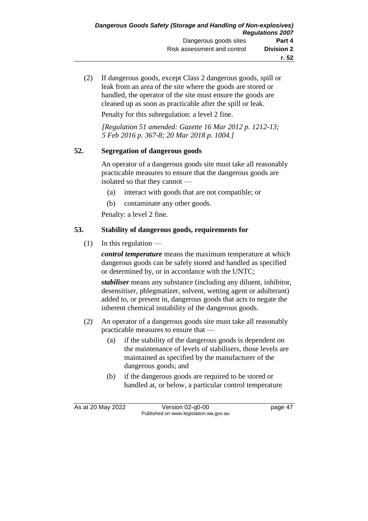(2) If dangerous goods, except Class 2 dangerous goods, spill or leak from an area of the site where the goods are stored or handled, the operator of the site must ensure the goods are cleaned up as soon as practicable after the spill or leak.

Penalty for this subregulation: a level 2 fine.

*[Regulation 51 amended: Gazette 16 Mar 2012 p. 1212-13; 5 Feb 2016 p. 367-8; 20 Mar 2018 p. 1004.]*

### **52. Segregation of dangerous goods**

An operator of a dangerous goods site must take all reasonably practicable measures to ensure that the dangerous goods are isolated so that they cannot —

- (a) interact with goods that are not compatible; or
- (b) contaminate any other goods.

Penalty: a level 2 fine.

### **53. Stability of dangerous goods, requirements for**

 $(1)$  In this regulation —

*control temperature* means the maximum temperature at which dangerous goods can be safely stored and handled as specified or determined by, or in accordance with the UNTC;

*stabiliser* means any substance (including any diluent, inhibitor, desensitiser, phlegmatizer, solvent, wetting agent or adulterant) added to, or present in, dangerous goods that acts to negate the inherent chemical instability of the dangerous goods.

- (2) An operator of a dangerous goods site must take all reasonably practicable measures to ensure that —
	- (a) if the stability of the dangerous goods is dependent on the maintenance of levels of stabilisers, those levels are maintained as specified by the manufacturer of the dangerous goods; and
	- (b) if the dangerous goods are required to be stored or handled at, or below, a particular control temperature

As at 20 May 2022 Version 02-q0-00 page 47 Published on www.legislation.wa.gov.au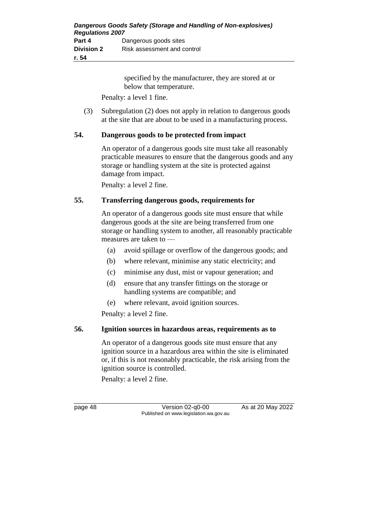| Dangerous Goods Safety (Storage and Handling of Non-explosives)<br><b>Regulations 2007</b> |                             |  |
|--------------------------------------------------------------------------------------------|-----------------------------|--|
| Part 4                                                                                     | Dangerous goods sites       |  |
| <b>Division 2</b>                                                                          | Risk assessment and control |  |
| r. 54                                                                                      |                             |  |

specified by the manufacturer, they are stored at or below that temperature.

Penalty: a level 1 fine.

(3) Subregulation (2) does not apply in relation to dangerous goods at the site that are about to be used in a manufacturing process.

#### **54. Dangerous goods to be protected from impact**

An operator of a dangerous goods site must take all reasonably practicable measures to ensure that the dangerous goods and any storage or handling system at the site is protected against damage from impact.

Penalty: a level 2 fine.

#### **55. Transferring dangerous goods, requirements for**

An operator of a dangerous goods site must ensure that while dangerous goods at the site are being transferred from one storage or handling system to another, all reasonably practicable measures are taken to —

- (a) avoid spillage or overflow of the dangerous goods; and
- (b) where relevant, minimise any static electricity; and
- (c) minimise any dust, mist or vapour generation; and
- (d) ensure that any transfer fittings on the storage or handling systems are compatible; and
- (e) where relevant, avoid ignition sources.

Penalty: a level 2 fine.

#### **56. Ignition sources in hazardous areas, requirements as to**

An operator of a dangerous goods site must ensure that any ignition source in a hazardous area within the site is eliminated or, if this is not reasonably practicable, the risk arising from the ignition source is controlled.

Penalty: a level 2 fine.

page 48 Version 02-q0-00 As at 20 May 2022 Published on www.legislation.wa.gov.au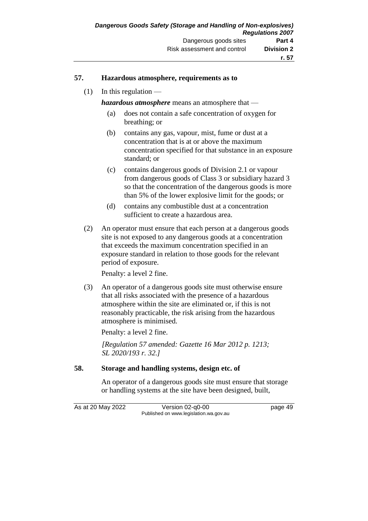#### **57. Hazardous atmosphere, requirements as to**

 $(1)$  In this regulation —

*hazardous atmosphere* means an atmosphere that —

- (a) does not contain a safe concentration of oxygen for breathing; or
- (b) contains any gas, vapour, mist, fume or dust at a concentration that is at or above the maximum concentration specified for that substance in an exposure standard; or
- (c) contains dangerous goods of Division 2.1 or vapour from dangerous goods of Class 3 or subsidiary hazard 3 so that the concentration of the dangerous goods is more than 5% of the lower explosive limit for the goods; or
- (d) contains any combustible dust at a concentration sufficient to create a hazardous area.
- (2) An operator must ensure that each person at a dangerous goods site is not exposed to any dangerous goods at a concentration that exceeds the maximum concentration specified in an exposure standard in relation to those goods for the relevant period of exposure.

Penalty: a level 2 fine.

(3) An operator of a dangerous goods site must otherwise ensure that all risks associated with the presence of a hazardous atmosphere within the site are eliminated or, if this is not reasonably practicable, the risk arising from the hazardous atmosphere is minimised.

Penalty: a level 2 fine.

*[Regulation 57 amended: Gazette 16 Mar 2012 p. 1213; SL 2020/193 r. 32.]*

#### **58. Storage and handling systems, design etc. of**

An operator of a dangerous goods site must ensure that storage or handling systems at the site have been designed, built,

As at 20 May 2022 Version 02-q0-00 page 49 Published on www.legislation.wa.gov.au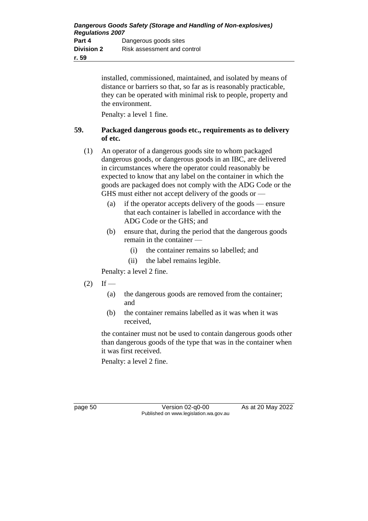installed, commissioned, maintained, and isolated by means of distance or barriers so that, so far as is reasonably practicable, they can be operated with minimal risk to people, property and the environment.

Penalty: a level 1 fine.

### **59. Packaged dangerous goods etc., requirements as to delivery of etc.**

- (1) An operator of a dangerous goods site to whom packaged dangerous goods, or dangerous goods in an IBC, are delivered in circumstances where the operator could reasonably be expected to know that any label on the container in which the goods are packaged does not comply with the ADG Code or the GHS must either not accept delivery of the goods or —
	- (a) if the operator accepts delivery of the goods ensure that each container is labelled in accordance with the ADG Code or the GHS; and
	- (b) ensure that, during the period that the dangerous goods remain in the container —
		- (i) the container remains so labelled; and
		- (ii) the label remains legible.

Penalty: a level 2 fine.

- $(2)$  If
	- (a) the dangerous goods are removed from the container; and
	- (b) the container remains labelled as it was when it was received,

the container must not be used to contain dangerous goods other than dangerous goods of the type that was in the container when it was first received.

Penalty: a level 2 fine.

page 50 Version 02-q0-00 As at 20 May 2022 Published on www.legislation.wa.gov.au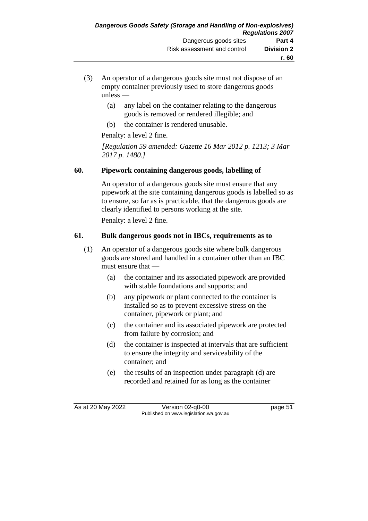- (3) An operator of a dangerous goods site must not dispose of an empty container previously used to store dangerous goods unless —
	- (a) any label on the container relating to the dangerous goods is removed or rendered illegible; and
	- (b) the container is rendered unusable.

Penalty: a level 2 fine.

*[Regulation 59 amended: Gazette 16 Mar 2012 p. 1213; 3 Mar 2017 p. 1480.]*

### **60. Pipework containing dangerous goods, labelling of**

An operator of a dangerous goods site must ensure that any pipework at the site containing dangerous goods is labelled so as to ensure, so far as is practicable, that the dangerous goods are clearly identified to persons working at the site.

Penalty: a level 2 fine.

### **61. Bulk dangerous goods not in IBCs, requirements as to**

- (1) An operator of a dangerous goods site where bulk dangerous goods are stored and handled in a container other than an IBC must ensure that —
	- (a) the container and its associated pipework are provided with stable foundations and supports; and
	- (b) any pipework or plant connected to the container is installed so as to prevent excessive stress on the container, pipework or plant; and
	- (c) the container and its associated pipework are protected from failure by corrosion; and
	- (d) the container is inspected at intervals that are sufficient to ensure the integrity and serviceability of the container; and
	- (e) the results of an inspection under paragraph (d) are recorded and retained for as long as the container

As at 20 May 2022 Version 02-q0-00 page 51 Published on www.legislation.wa.gov.au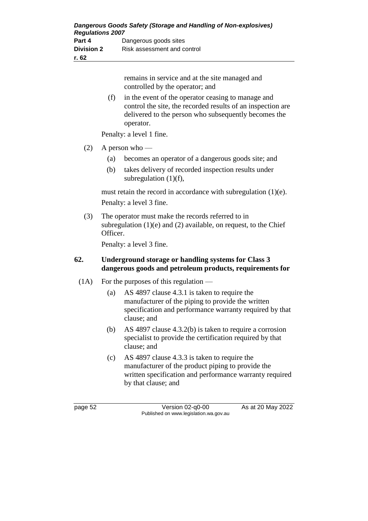remains in service and at the site managed and controlled by the operator; and

(f) in the event of the operator ceasing to manage and control the site, the recorded results of an inspection are delivered to the person who subsequently becomes the operator.

Penalty: a level 1 fine.

- $(2)$  A person who
	- (a) becomes an operator of a dangerous goods site; and
	- (b) takes delivery of recorded inspection results under subregulation (1)(f),

must retain the record in accordance with subregulation (1)(e). Penalty: a level 3 fine.

(3) The operator must make the records referred to in subregulation  $(1)(e)$  and  $(2)$  available, on request, to the Chief Officer.

Penalty: a level 3 fine.

#### **62. Underground storage or handling systems for Class 3 dangerous goods and petroleum products, requirements for**

- (1A) For the purposes of this regulation
	- (a) AS 4897 clause 4.3.1 is taken to require the manufacturer of the piping to provide the written specification and performance warranty required by that clause; and
	- (b) AS 4897 clause 4.3.2(b) is taken to require a corrosion specialist to provide the certification required by that clause; and
	- (c) AS 4897 clause 4.3.3 is taken to require the manufacturer of the product piping to provide the written specification and performance warranty required by that clause; and

page 52 Version 02-q0-00 As at 20 May 2022 Published on www.legislation.wa.gov.au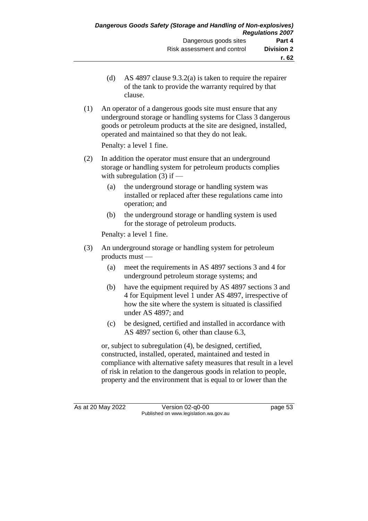- (d) AS 4897 clause 9.3.2(a) is taken to require the repairer of the tank to provide the warranty required by that clause.
- (1) An operator of a dangerous goods site must ensure that any underground storage or handling systems for Class 3 dangerous goods or petroleum products at the site are designed, installed, operated and maintained so that they do not leak.

Penalty: a level 1 fine.

- (2) In addition the operator must ensure that an underground storage or handling system for petroleum products complies with subregulation  $(3)$  if —
	- (a) the underground storage or handling system was installed or replaced after these regulations came into operation; and
	- (b) the underground storage or handling system is used for the storage of petroleum products.

Penalty: a level 1 fine.

- (3) An underground storage or handling system for petroleum products must —
	- (a) meet the requirements in AS 4897 sections 3 and 4 for underground petroleum storage systems; and
	- (b) have the equipment required by AS 4897 sections 3 and 4 for Equipment level 1 under AS 4897, irrespective of how the site where the system is situated is classified under AS 4897; and
	- (c) be designed, certified and installed in accordance with AS 4897 section 6, other than clause 6.3,

or, subject to subregulation (4), be designed, certified, constructed, installed, operated, maintained and tested in compliance with alternative safety measures that result in a level of risk in relation to the dangerous goods in relation to people, property and the environment that is equal to or lower than the

As at 20 May 2022 Version 02-q0-00 page 53 Published on www.legislation.wa.gov.au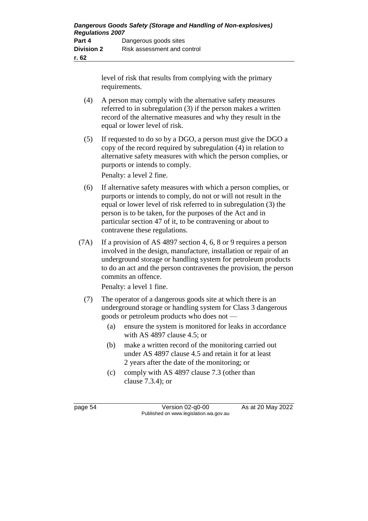level of risk that results from complying with the primary requirements.

- (4) A person may comply with the alternative safety measures referred to in subregulation (3) if the person makes a written record of the alternative measures and why they result in the equal or lower level of risk.
- (5) If requested to do so by a DGO, a person must give the DGO a copy of the record required by subregulation (4) in relation to alternative safety measures with which the person complies, or purports or intends to comply.

Penalty: a level 2 fine.

- (6) If alternative safety measures with which a person complies, or purports or intends to comply, do not or will not result in the equal or lower level of risk referred to in subregulation (3) the person is to be taken, for the purposes of the Act and in particular section 47 of it, to be contravening or about to contravene these regulations.
- (7A) If a provision of AS 4897 section 4, 6, 8 or 9 requires a person involved in the design, manufacture, installation or repair of an underground storage or handling system for petroleum products to do an act and the person contravenes the provision, the person commits an offence.

Penalty: a level 1 fine.

- (7) The operator of a dangerous goods site at which there is an underground storage or handling system for Class 3 dangerous goods or petroleum products who does not —
	- (a) ensure the system is monitored for leaks in accordance with AS 4897 clause 4.5; or
	- (b) make a written record of the monitoring carried out under AS 4897 clause 4.5 and retain it for at least 2 years after the date of the monitoring; or
	- (c) comply with AS 4897 clause 7.3 (other than clause 7.3.4); or

page 54 Version 02-q0-00 As at 20 May 2022 Published on www.legislation.wa.gov.au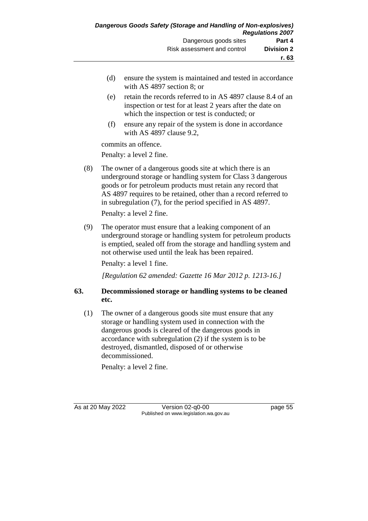- (d) ensure the system is maintained and tested in accordance with AS 4897 section 8; or
- (e) retain the records referred to in AS 4897 clause 8.4 of an inspection or test for at least 2 years after the date on which the inspection or test is conducted; or
- (f) ensure any repair of the system is done in accordance with AS 4897 clause 9.2,

commits an offence.

Penalty: a level 2 fine.

(8) The owner of a dangerous goods site at which there is an underground storage or handling system for Class 3 dangerous goods or for petroleum products must retain any record that AS 4897 requires to be retained, other than a record referred to in subregulation (7), for the period specified in AS 4897.

Penalty: a level 2 fine.

(9) The operator must ensure that a leaking component of an underground storage or handling system for petroleum products is emptied, sealed off from the storage and handling system and not otherwise used until the leak has been repaired.

Penalty: a level 1 fine.

*[Regulation 62 amended: Gazette 16 Mar 2012 p. 1213-16.]*

#### **63. Decommissioned storage or handling systems to be cleaned etc.**

(1) The owner of a dangerous goods site must ensure that any storage or handling system used in connection with the dangerous goods is cleared of the dangerous goods in accordance with subregulation (2) if the system is to be destroyed, dismantled, disposed of or otherwise decommissioned.

Penalty: a level 2 fine.

As at 20 May 2022 Version 02-q0-00 page 55 Published on www.legislation.wa.gov.au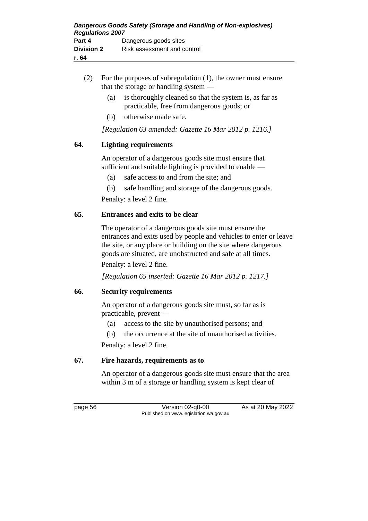- (2) For the purposes of subregulation (1), the owner must ensure that the storage or handling system —
	- (a) is thoroughly cleaned so that the system is, as far as practicable, free from dangerous goods; or
	- (b) otherwise made safe.

*[Regulation 63 amended: Gazette 16 Mar 2012 p. 1216.]*

### **64. Lighting requirements**

An operator of a dangerous goods site must ensure that sufficient and suitable lighting is provided to enable —

- (a) safe access to and from the site; and
- (b) safe handling and storage of the dangerous goods.

Penalty: a level 2 fine.

### **65. Entrances and exits to be clear**

The operator of a dangerous goods site must ensure the entrances and exits used by people and vehicles to enter or leave the site, or any place or building on the site where dangerous goods are situated, are unobstructed and safe at all times.

Penalty: a level 2 fine.

*[Regulation 65 inserted: Gazette 16 Mar 2012 p. 1217.]*

### **66. Security requirements**

An operator of a dangerous goods site must, so far as is practicable, prevent —

(a) access to the site by unauthorised persons; and

(b) the occurrence at the site of unauthorised activities.

Penalty: a level 2 fine.

### **67. Fire hazards, requirements as to**

An operator of a dangerous goods site must ensure that the area within 3 m of a storage or handling system is kept clear of

page 56 Version 02-q0-00 As at 20 May 2022 Published on www.legislation.wa.gov.au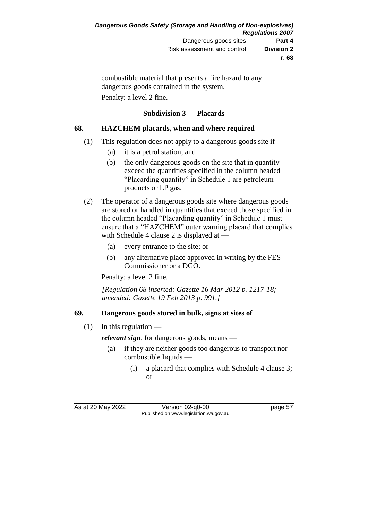combustible material that presents a fire hazard to any dangerous goods contained in the system. Penalty: a level 2 fine.

### **Subdivision 3 — Placards**

# **68. HAZCHEM placards, when and where required**

- (1) This regulation does not apply to a dangerous goods site if
	- (a) it is a petrol station; and
	- (b) the only dangerous goods on the site that in quantity exceed the quantities specified in the column headed "Placarding quantity" in Schedule 1 are petroleum products or LP gas.
- (2) The operator of a dangerous goods site where dangerous goods are stored or handled in quantities that exceed those specified in the column headed "Placarding quantity" in Schedule 1 must ensure that a "HAZCHEM" outer warning placard that complies with Schedule 4 clause 2 is displayed at –
	- (a) every entrance to the site; or
	- (b) any alternative place approved in writing by the FES Commissioner or a DGO.

Penalty: a level 2 fine.

*[Regulation 68 inserted: Gazette 16 Mar 2012 p. 1217-18; amended: Gazette 19 Feb 2013 p. 991.]*

### **69. Dangerous goods stored in bulk, signs at sites of**

 $(1)$  In this regulation —

*relevant sign*, for dangerous goods, means —

- (a) if they are neither goods too dangerous to transport nor combustible liquids —
	- (i) a placard that complies with Schedule 4 clause 3; or

As at 20 May 2022 Version 02-q0-00 page 57 Published on www.legislation.wa.gov.au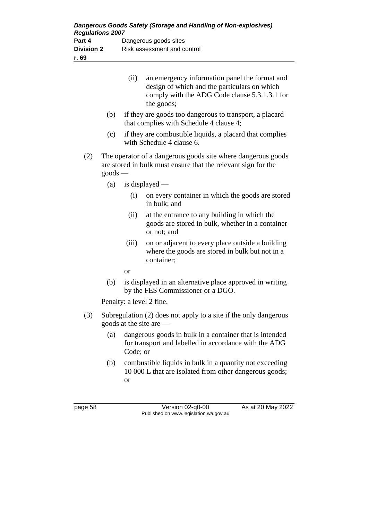| Dangerous Goods Safety (Storage and Handling of Non-explosives)<br><b>Regulations 2007</b> |                             |  |
|--------------------------------------------------------------------------------------------|-----------------------------|--|
| Part 4                                                                                     | Dangerous goods sites       |  |
| <b>Division 2</b>                                                                          | Risk assessment and control |  |
| r. 69                                                                                      |                             |  |

|     |                                                                                                                                          | (ii)      | an emergency information panel the format and<br>design of which and the particulars on which<br>comply with the ADG Code clause 5.3.1.3.1 for<br>the goods; |
|-----|------------------------------------------------------------------------------------------------------------------------------------------|-----------|--------------------------------------------------------------------------------------------------------------------------------------------------------------|
|     | (b)                                                                                                                                      |           | if they are goods too dangerous to transport, a placard<br>that complies with Schedule 4 clause 4;                                                           |
|     | (c)                                                                                                                                      |           | if they are combustible liquids, a placard that complies<br>with Schedule 4 clause 6.                                                                        |
| (2) | The operator of a dangerous goods site where dangerous goods<br>are stored in bulk must ensure that the relevant sign for the<br>goods - |           |                                                                                                                                                              |
|     | (a)                                                                                                                                      |           | is displayed $-$                                                                                                                                             |
|     |                                                                                                                                          | (i)       | on every container in which the goods are stored<br>in bulk; and                                                                                             |
|     |                                                                                                                                          | (ii)      | at the entrance to any building in which the<br>goods are stored in bulk, whether in a container<br>or not; and                                              |
|     |                                                                                                                                          | (iii)     | on or adjacent to every place outside a building<br>where the goods are stored in bulk but not in a<br>container;                                            |
|     |                                                                                                                                          | <b>or</b> |                                                                                                                                                              |
|     | (b)                                                                                                                                      |           | is displayed in an alternative place approved in writing<br>by the FES Commissioner or a DGO.                                                                |
|     |                                                                                                                                          |           | Penalty: a level 2 fine.                                                                                                                                     |
| (3) | Subregulation (2) does not apply to a site if the only dangerous<br>goods at the site are                                                |           |                                                                                                                                                              |
|     |                                                                                                                                          |           | (a) dangerous goods in bulk in a container that is intended                                                                                                  |

- (a) dangerous goods in bulk in a container that is intended for transport and labelled in accordance with the ADG Code; or
- (b) combustible liquids in bulk in a quantity not exceeding 10 000 L that are isolated from other dangerous goods; or

page 58 Version 02-q0-00 As at 20 May 2022 Published on www.legislation.wa.gov.au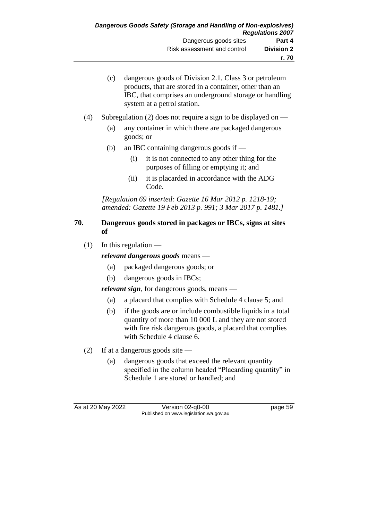- (c) dangerous goods of Division 2.1, Class 3 or petroleum products, that are stored in a container, other than an IBC, that comprises an underground storage or handling system at a petrol station.
- (4) Subregulation (2) does not require a sign to be displayed on
	- (a) any container in which there are packaged dangerous goods; or
	- (b) an IBC containing dangerous goods if
		- (i) it is not connected to any other thing for the purposes of filling or emptying it; and
		- (ii) it is placarded in accordance with the ADG Code.

*[Regulation 69 inserted: Gazette 16 Mar 2012 p. 1218-19; amended: Gazette 19 Feb 2013 p. 991; 3 Mar 2017 p. 1481.]*

#### **70. Dangerous goods stored in packages or IBCs, signs at sites of**

 $(1)$  In this regulation —

*relevant dangerous goods* means —

- (a) packaged dangerous goods; or
- (b) dangerous goods in IBCs;

*relevant sign*, for dangerous goods, means —

- (a) a placard that complies with Schedule 4 clause 5; and
- (b) if the goods are or include combustible liquids in a total quantity of more than 10 000 L and they are not stored with fire risk dangerous goods, a placard that complies with Schedule 4 clause 6.
- (2) If at a dangerous goods site  $-$ 
	- (a) dangerous goods that exceed the relevant quantity specified in the column headed "Placarding quantity" in Schedule 1 are stored or handled; and

As at 20 May 2022 Version 02-q0-00 page 59 Published on www.legislation.wa.gov.au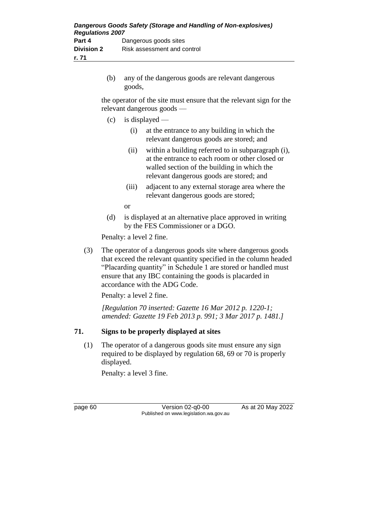(b) any of the dangerous goods are relevant dangerous goods,

the operator of the site must ensure that the relevant sign for the relevant dangerous goods —

- $(c)$  is displayed
	- (i) at the entrance to any building in which the relevant dangerous goods are stored; and
	- (ii) within a building referred to in subparagraph (i), at the entrance to each room or other closed or walled section of the building in which the relevant dangerous goods are stored; and
	- (iii) adjacent to any external storage area where the relevant dangerous goods are stored;

or

(d) is displayed at an alternative place approved in writing by the FES Commissioner or a DGO.

Penalty: a level 2 fine.

(3) The operator of a dangerous goods site where dangerous goods that exceed the relevant quantity specified in the column headed "Placarding quantity" in Schedule 1 are stored or handled must ensure that any IBC containing the goods is placarded in accordance with the ADG Code.

Penalty: a level 2 fine.

*[Regulation 70 inserted: Gazette 16 Mar 2012 p. 1220-1; amended: Gazette 19 Feb 2013 p. 991; 3 Mar 2017 p. 1481.]*

### **71. Signs to be properly displayed at sites**

(1) The operator of a dangerous goods site must ensure any sign required to be displayed by regulation 68, 69 or 70 is properly displayed.

Penalty: a level 3 fine.

page 60 Version 02-q0-00 As at 20 May 2022 Published on www.legislation.wa.gov.au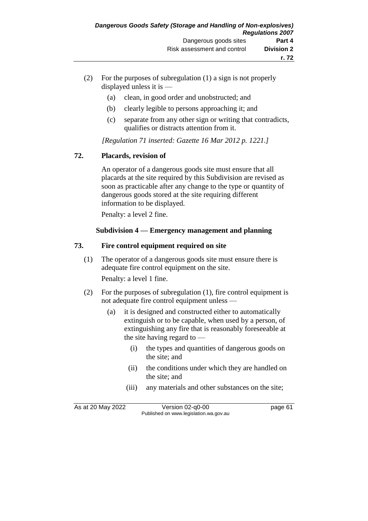- (2) For the purposes of subregulation (1) a sign is not properly displayed unless it is —
	- (a) clean, in good order and unobstructed; and
	- (b) clearly legible to persons approaching it; and
	- (c) separate from any other sign or writing that contradicts, qualifies or distracts attention from it.

*[Regulation 71 inserted: Gazette 16 Mar 2012 p. 1221.]*

## **72. Placards, revision of**

An operator of a dangerous goods site must ensure that all placards at the site required by this Subdivision are revised as soon as practicable after any change to the type or quantity of dangerous goods stored at the site requiring different information to be displayed.

Penalty: a level 2 fine.

## **Subdivision 4 — Emergency management and planning**

#### **73. Fire control equipment required on site**

(1) The operator of a dangerous goods site must ensure there is adequate fire control equipment on the site.

Penalty: a level 1 fine.

- (2) For the purposes of subregulation (1), fire control equipment is not adequate fire control equipment unless —
	- (a) it is designed and constructed either to automatically extinguish or to be capable, when used by a person, of extinguishing any fire that is reasonably foreseeable at the site having regard to —
		- (i) the types and quantities of dangerous goods on the site; and
		- (ii) the conditions under which they are handled on the site; and
		- (iii) any materials and other substances on the site;

As at 20 May 2022 Version 02-q0-00 page 61 Published on www.legislation.wa.gov.au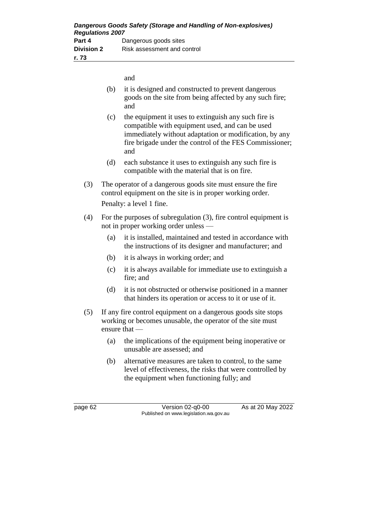and

- (b) it is designed and constructed to prevent dangerous goods on the site from being affected by any such fire; and
- (c) the equipment it uses to extinguish any such fire is compatible with equipment used, and can be used immediately without adaptation or modification, by any fire brigade under the control of the FES Commissioner; and
- (d) each substance it uses to extinguish any such fire is compatible with the material that is on fire.
- (3) The operator of a dangerous goods site must ensure the fire control equipment on the site is in proper working order. Penalty: a level 1 fine.
- (4) For the purposes of subregulation (3), fire control equipment is not in proper working order unless —
	- (a) it is installed, maintained and tested in accordance with the instructions of its designer and manufacturer; and
	- (b) it is always in working order; and
	- (c) it is always available for immediate use to extinguish a fire; and
	- (d) it is not obstructed or otherwise positioned in a manner that hinders its operation or access to it or use of it.
- (5) If any fire control equipment on a dangerous goods site stops working or becomes unusable, the operator of the site must ensure that —
	- (a) the implications of the equipment being inoperative or unusable are assessed; and
	- (b) alternative measures are taken to control, to the same level of effectiveness, the risks that were controlled by the equipment when functioning fully; and

page 62 Version 02-q0-00 As at 20 May 2022 Published on www.legislation.wa.gov.au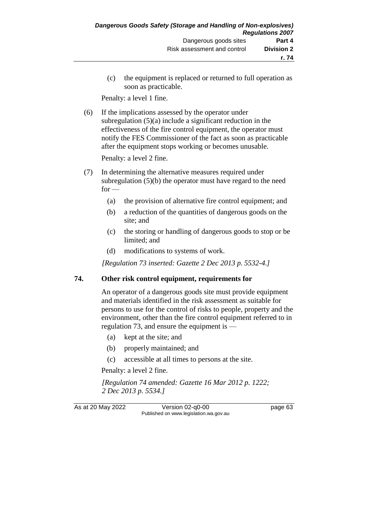(c) the equipment is replaced or returned to full operation as soon as practicable.

Penalty: a level 1 fine.

(6) If the implications assessed by the operator under subregulation (5)(a) include a significant reduction in the effectiveness of the fire control equipment, the operator must notify the FES Commissioner of the fact as soon as practicable after the equipment stops working or becomes unusable.

Penalty: a level 2 fine.

- (7) In determining the alternative measures required under subregulation (5)(b) the operator must have regard to the need  $for -$ 
	- (a) the provision of alternative fire control equipment; and
	- (b) a reduction of the quantities of dangerous goods on the site; and
	- (c) the storing or handling of dangerous goods to stop or be limited; and
	- (d) modifications to systems of work.

*[Regulation 73 inserted: Gazette 2 Dec 2013 p. 5532-4.]*

## **74. Other risk control equipment, requirements for**

An operator of a dangerous goods site must provide equipment and materials identified in the risk assessment as suitable for persons to use for the control of risks to people, property and the environment, other than the fire control equipment referred to in regulation 73, and ensure the equipment is —

- (a) kept at the site; and
- (b) properly maintained; and
- (c) accessible at all times to persons at the site.

Penalty: a level 2 fine.

*[Regulation 74 amended: Gazette 16 Mar 2012 p. 1222; 2 Dec 2013 p. 5534.]*

As at 20 May 2022 Version 02-q0-00 page 63 Published on www.legislation.wa.gov.au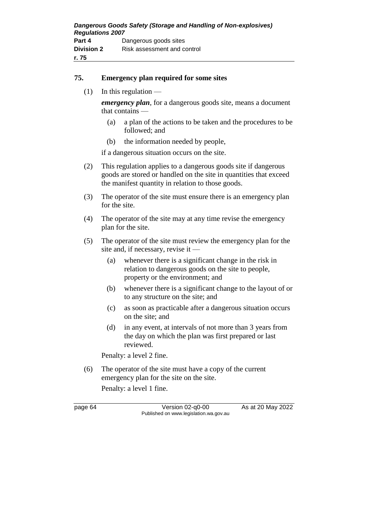#### **75. Emergency plan required for some sites**

 $(1)$  In this regulation —

*emergency plan*, for a dangerous goods site, means a document that contains —

- (a) a plan of the actions to be taken and the procedures to be followed; and
- (b) the information needed by people,

if a dangerous situation occurs on the site.

- (2) This regulation applies to a dangerous goods site if dangerous goods are stored or handled on the site in quantities that exceed the manifest quantity in relation to those goods.
- (3) The operator of the site must ensure there is an emergency plan for the site.
- (4) The operator of the site may at any time revise the emergency plan for the site.
- (5) The operator of the site must review the emergency plan for the site and, if necessary, revise it —
	- (a) whenever there is a significant change in the risk in relation to dangerous goods on the site to people, property or the environment; and
	- (b) whenever there is a significant change to the layout of or to any structure on the site; and
	- (c) as soon as practicable after a dangerous situation occurs on the site; and
	- (d) in any event, at intervals of not more than 3 years from the day on which the plan was first prepared or last reviewed.

Penalty: a level 2 fine.

(6) The operator of the site must have a copy of the current emergency plan for the site on the site.

Penalty: a level 1 fine.

page 64 Version 02-q0-00 As at 20 May 2022 Published on www.legislation.wa.gov.au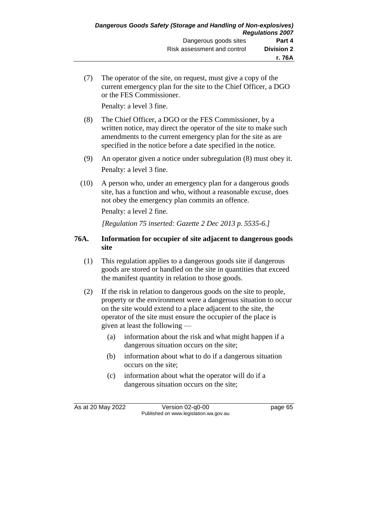(7) The operator of the site, on request, must give a copy of the current emergency plan for the site to the Chief Officer, a DGO or the FES Commissioner.

Penalty: a level 3 fine.

- (8) The Chief Officer, a DGO or the FES Commissioner, by a written notice, may direct the operator of the site to make such amendments to the current emergency plan for the site as are specified in the notice before a date specified in the notice.
- (9) An operator given a notice under subregulation (8) must obey it. Penalty: a level 3 fine.
- (10) A person who, under an emergency plan for a dangerous goods site, has a function and who, without a reasonable excuse, does not obey the emergency plan commits an offence.

Penalty: a level 2 fine.

*[Regulation 75 inserted: Gazette 2 Dec 2013 p. 5535-6.]*

#### **76A. Information for occupier of site adjacent to dangerous goods site**

- (1) This regulation applies to a dangerous goods site if dangerous goods are stored or handled on the site in quantities that exceed the manifest quantity in relation to those goods.
- (2) If the risk in relation to dangerous goods on the site to people, property or the environment were a dangerous situation to occur on the site would extend to a place adjacent to the site, the operator of the site must ensure the occupier of the place is given at least the following —
	- (a) information about the risk and what might happen if a dangerous situation occurs on the site;
	- (b) information about what to do if a dangerous situation occurs on the site;
	- (c) information about what the operator will do if a dangerous situation occurs on the site;

As at 20 May 2022 Version 02-q0-00 page 65 Published on www.legislation.wa.gov.au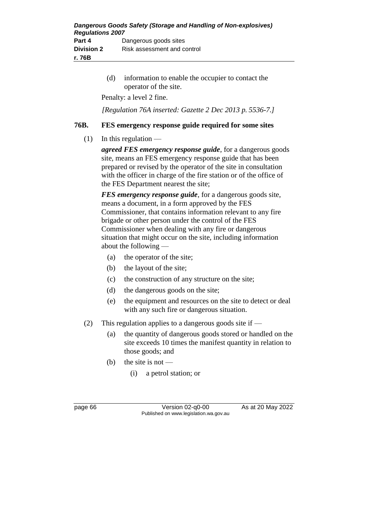| Dangerous Goods Safety (Storage and Handling of Non-explosives)<br><b>Regulations 2007</b> |                             |
|--------------------------------------------------------------------------------------------|-----------------------------|
| Part 4                                                                                     | Dangerous goods sites       |
| <b>Division 2</b>                                                                          | Risk assessment and control |
| r. 76B                                                                                     |                             |

(d) information to enable the occupier to contact the operator of the site.

Penalty: a level 2 fine.

*[Regulation 76A inserted: Gazette 2 Dec 2013 p. 5536-7.]*

#### **76B. FES emergency response guide required for some sites**

 $(1)$  In this regulation —

*agreed FES emergency response guide*, for a dangerous goods site, means an FES emergency response guide that has been prepared or revised by the operator of the site in consultation with the officer in charge of the fire station or of the office of the FES Department nearest the site;

*FES emergency response guide*, for a dangerous goods site, means a document, in a form approved by the FES Commissioner, that contains information relevant to any fire brigade or other person under the control of the FES Commissioner when dealing with any fire or dangerous situation that might occur on the site, including information about the following —

- (a) the operator of the site;
- (b) the layout of the site;
- (c) the construction of any structure on the site;
- (d) the dangerous goods on the site;
- (e) the equipment and resources on the site to detect or deal with any such fire or dangerous situation.
- (2) This regulation applies to a dangerous goods site if
	- (a) the quantity of dangerous goods stored or handled on the site exceeds 10 times the manifest quantity in relation to those goods; and
	- (b) the site is not
		- (i) a petrol station; or

page 66 Version 02-q0-00 As at 20 May 2022 Published on www.legislation.wa.gov.au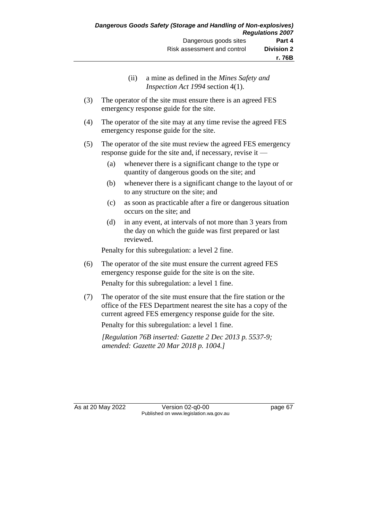- (ii) a mine as defined in the *Mines Safety and Inspection Act 1994* section 4(1).
- (3) The operator of the site must ensure there is an agreed FES emergency response guide for the site.
- (4) The operator of the site may at any time revise the agreed FES emergency response guide for the site.
- (5) The operator of the site must review the agreed FES emergency response guide for the site and, if necessary, revise it —
	- (a) whenever there is a significant change to the type or quantity of dangerous goods on the site; and
	- (b) whenever there is a significant change to the layout of or to any structure on the site; and
	- (c) as soon as practicable after a fire or dangerous situation occurs on the site; and
	- (d) in any event, at intervals of not more than 3 years from the day on which the guide was first prepared or last reviewed.

Penalty for this subregulation: a level 2 fine.

(6) The operator of the site must ensure the current agreed FES emergency response guide for the site is on the site.

Penalty for this subregulation: a level 1 fine.

(7) The operator of the site must ensure that the fire station or the office of the FES Department nearest the site has a copy of the current agreed FES emergency response guide for the site.

Penalty for this subregulation: a level 1 fine.

*[Regulation 76B inserted: Gazette 2 Dec 2013 p. 5537-9; amended: Gazette 20 Mar 2018 p. 1004.]*

As at 20 May 2022 Version 02-q0-00 page 67 Published on www.legislation.wa.gov.au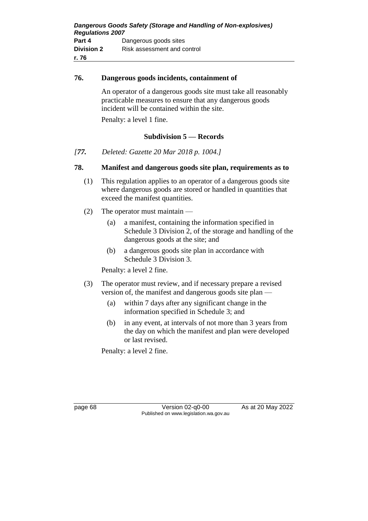#### **76. Dangerous goods incidents, containment of**

An operator of a dangerous goods site must take all reasonably practicable measures to ensure that any dangerous goods incident will be contained within the site.

Penalty: a level 1 fine.

## **Subdivision 5 — Records**

*[77. Deleted: Gazette 20 Mar 2018 p. 1004.]*

#### **78. Manifest and dangerous goods site plan, requirements as to**

- (1) This regulation applies to an operator of a dangerous goods site where dangerous goods are stored or handled in quantities that exceed the manifest quantities.
- (2) The operator must maintain
	- (a) a manifest, containing the information specified in Schedule 3 Division 2, of the storage and handling of the dangerous goods at the site; and
	- (b) a dangerous goods site plan in accordance with Schedule 3 Division 3.

Penalty: a level 2 fine.

- (3) The operator must review, and if necessary prepare a revised version of, the manifest and dangerous goods site plan —
	- (a) within 7 days after any significant change in the information specified in Schedule 3; and
	- (b) in any event, at intervals of not more than 3 years from the day on which the manifest and plan were developed or last revised.

Penalty: a level 2 fine.

page 68 Version 02-q0-00 As at 20 May 2022 Published on www.legislation.wa.gov.au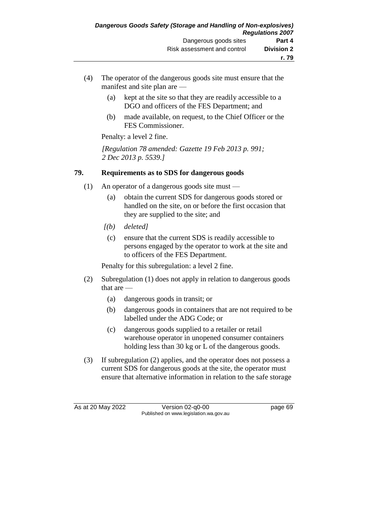- (4) The operator of the dangerous goods site must ensure that the manifest and site plan are —
	- (a) kept at the site so that they are readily accessible to a DGO and officers of the FES Department; and
	- (b) made available, on request, to the Chief Officer or the FES Commissioner.

*[Regulation 78 amended: Gazette 19 Feb 2013 p. 991; 2 Dec 2013 p. 5539.]*

# **79. Requirements as to SDS for dangerous goods**

- (1) An operator of a dangerous goods site must
	- (a) obtain the current SDS for dangerous goods stored or handled on the site, on or before the first occasion that they are supplied to the site; and
	- *[(b) deleted]*
		- (c) ensure that the current SDS is readily accessible to persons engaged by the operator to work at the site and to officers of the FES Department.

Penalty for this subregulation: a level 2 fine.

- (2) Subregulation (1) does not apply in relation to dangerous goods that are —
	- (a) dangerous goods in transit; or
	- (b) dangerous goods in containers that are not required to be labelled under the ADG Code; or
	- (c) dangerous goods supplied to a retailer or retail warehouse operator in unopened consumer containers holding less than 30 kg or L of the dangerous goods.
- (3) If subregulation (2) applies, and the operator does not possess a current SDS for dangerous goods at the site, the operator must ensure that alternative information in relation to the safe storage

As at 20 May 2022 Version 02-q0-00 page 69 Published on www.legislation.wa.gov.au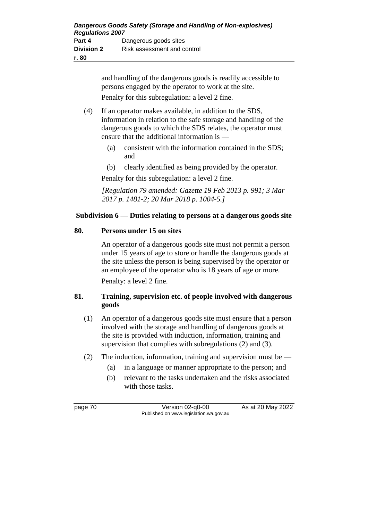and handling of the dangerous goods is readily accessible to persons engaged by the operator to work at the site. Penalty for this subregulation: a level 2 fine.

- (4) If an operator makes available, in addition to the SDS, information in relation to the safe storage and handling of the dangerous goods to which the SDS relates, the operator must ensure that the additional information is —
	- (a) consistent with the information contained in the SDS; and
	- (b) clearly identified as being provided by the operator.

Penalty for this subregulation: a level 2 fine.

*[Regulation 79 amended: Gazette 19 Feb 2013 p. 991; 3 Mar 2017 p. 1481-2; 20 Mar 2018 p. 1004-5.]*

## **Subdivision 6 — Duties relating to persons at a dangerous goods site**

#### **80. Persons under 15 on sites**

An operator of a dangerous goods site must not permit a person under 15 years of age to store or handle the dangerous goods at the site unless the person is being supervised by the operator or an employee of the operator who is 18 years of age or more.

Penalty: a level 2 fine.

## **81. Training, supervision etc. of people involved with dangerous goods**

- (1) An operator of a dangerous goods site must ensure that a person involved with the storage and handling of dangerous goods at the site is provided with induction, information, training and supervision that complies with subregulations (2) and (3).
- (2) The induction, information, training and supervision must be  $-$ 
	- (a) in a language or manner appropriate to the person; and
	- (b) relevant to the tasks undertaken and the risks associated with those tasks.

page 70 Version 02-q0-00 As at 20 May 2022 Published on www.legislation.wa.gov.au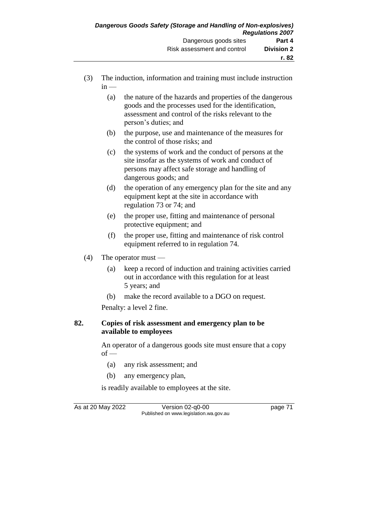- (3) The induction, information and training must include instruction  $in -$ 
	- (a) the nature of the hazards and properties of the dangerous goods and the processes used for the identification, assessment and control of the risks relevant to the person's duties; and
	- (b) the purpose, use and maintenance of the measures for the control of those risks; and
	- (c) the systems of work and the conduct of persons at the site insofar as the systems of work and conduct of persons may affect safe storage and handling of dangerous goods; and
	- (d) the operation of any emergency plan for the site and any equipment kept at the site in accordance with regulation 73 or 74; and
	- (e) the proper use, fitting and maintenance of personal protective equipment; and
	- (f) the proper use, fitting and maintenance of risk control equipment referred to in regulation 74.
- (4) The operator must
	- (a) keep a record of induction and training activities carried out in accordance with this regulation for at least 5 years; and
	- (b) make the record available to a DGO on request.

#### **82. Copies of risk assessment and emergency plan to be available to employees**

An operator of a dangerous goods site must ensure that a copy  $of$  —

- (a) any risk assessment; and
- (b) any emergency plan,

is readily available to employees at the site.

As at 20 May 2022 Version 02-q0-00 Published on www.legislation.wa.gov.au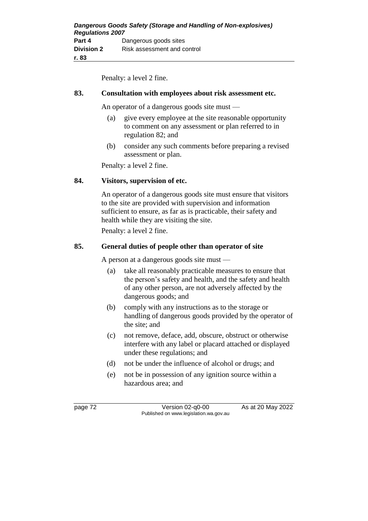#### **83. Consultation with employees about risk assessment etc.**

An operator of a dangerous goods site must —

- (a) give every employee at the site reasonable opportunity to comment on any assessment or plan referred to in regulation 82; and
- (b) consider any such comments before preparing a revised assessment or plan.

Penalty: a level 2 fine.

#### **84. Visitors, supervision of etc.**

An operator of a dangerous goods site must ensure that visitors to the site are provided with supervision and information sufficient to ensure, as far as is practicable, their safety and health while they are visiting the site.

Penalty: a level 2 fine.

#### **85. General duties of people other than operator of site**

A person at a dangerous goods site must —

- (a) take all reasonably practicable measures to ensure that the person's safety and health, and the safety and health of any other person, are not adversely affected by the dangerous goods; and
- (b) comply with any instructions as to the storage or handling of dangerous goods provided by the operator of the site; and
- (c) not remove, deface, add, obscure, obstruct or otherwise interfere with any label or placard attached or displayed under these regulations; and
- (d) not be under the influence of alcohol or drugs; and
- (e) not be in possession of any ignition source within a hazardous area; and

page 72 Version 02-q0-00 As at 20 May 2022 Published on www.legislation.wa.gov.au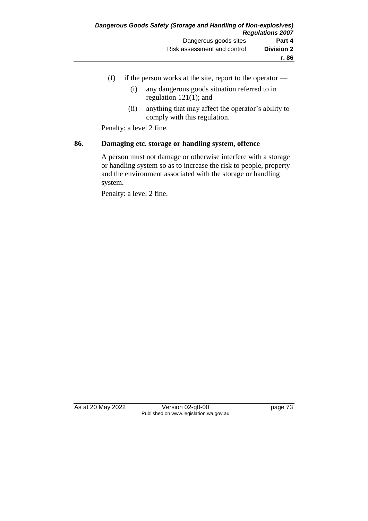- (f) if the person works at the site, report to the operator  $-$ 
	- (i) any dangerous goods situation referred to in regulation 121(1); and
	- (ii) anything that may affect the operator's ability to comply with this regulation.

#### **86. Damaging etc. storage or handling system, offence**

A person must not damage or otherwise interfere with a storage or handling system so as to increase the risk to people, property and the environment associated with the storage or handling system.

Penalty: a level 2 fine.

As at 20 May 2022 Version 02-q0-00 page 73 Published on www.legislation.wa.gov.au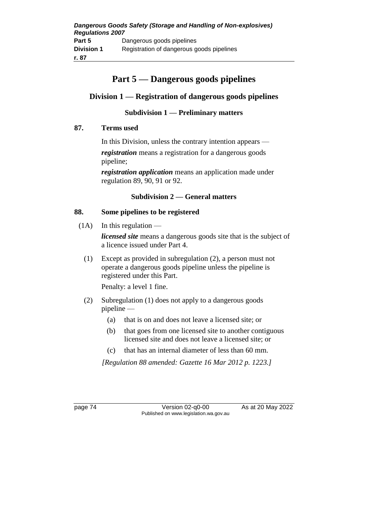# **Part 5 — Dangerous goods pipelines**

# **Division 1 — Registration of dangerous goods pipelines**

# **Subdivision 1 — Preliminary matters**

## **87. Terms used**

In this Division, unless the contrary intention appears *registration* means a registration for a dangerous goods pipeline;

*registration application* means an application made under regulation 89, 90, 91 or 92.

## **Subdivision 2 — General matters**

#### **88. Some pipelines to be registered**

 $(1A)$  In this regulation —

*licensed site* means a dangerous goods site that is the subject of a licence issued under Part 4.

(1) Except as provided in subregulation (2), a person must not operate a dangerous goods pipeline unless the pipeline is registered under this Part.

Penalty: a level 1 fine.

- (2) Subregulation (1) does not apply to a dangerous goods pipeline —
	- (a) that is on and does not leave a licensed site; or
	- (b) that goes from one licensed site to another contiguous licensed site and does not leave a licensed site; or
	- (c) that has an internal diameter of less than 60 mm.

*[Regulation 88 amended: Gazette 16 Mar 2012 p. 1223.]*

page 74 Version 02-q0-00 As at 20 May 2022 Published on www.legislation.wa.gov.au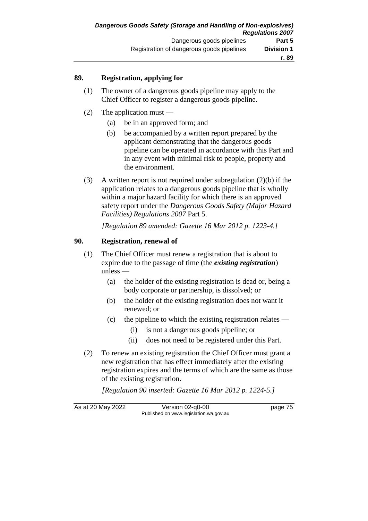## **89. Registration, applying for**

- (1) The owner of a dangerous goods pipeline may apply to the Chief Officer to register a dangerous goods pipeline.
- (2) The application must
	- (a) be in an approved form; and
	- (b) be accompanied by a written report prepared by the applicant demonstrating that the dangerous goods pipeline can be operated in accordance with this Part and in any event with minimal risk to people, property and the environment.
- (3) A written report is not required under subregulation (2)(b) if the application relates to a dangerous goods pipeline that is wholly within a major hazard facility for which there is an approved safety report under the *Dangerous Goods Safety (Major Hazard Facilities) Regulations 2007* Part 5.

*[Regulation 89 amended: Gazette 16 Mar 2012 p. 1223-4.]*

## **90. Registration, renewal of**

- (1) The Chief Officer must renew a registration that is about to expire due to the passage of time (the *existing registration*) unless —
	- (a) the holder of the existing registration is dead or, being a body corporate or partnership, is dissolved; or
	- (b) the holder of the existing registration does not want it renewed; or
	- (c) the pipeline to which the existing registration relates
		- (i) is not a dangerous goods pipeline; or
		- (ii) does not need to be registered under this Part.
- (2) To renew an existing registration the Chief Officer must grant a new registration that has effect immediately after the existing registration expires and the terms of which are the same as those of the existing registration.

*[Regulation 90 inserted: Gazette 16 Mar 2012 p. 1224-5.]*

As at 20 May 2022 Version 02-q0-00 Published on www.legislation.wa.gov.au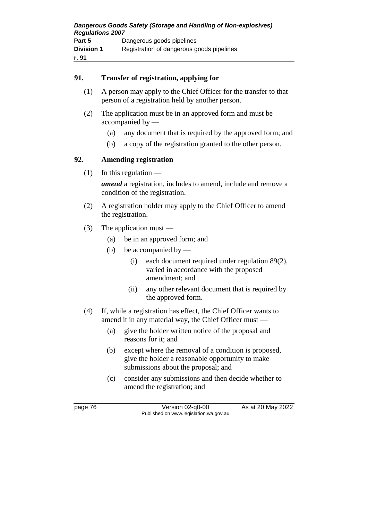#### **91. Transfer of registration, applying for**

- (1) A person may apply to the Chief Officer for the transfer to that person of a registration held by another person.
- (2) The application must be in an approved form and must be accompanied by —
	- (a) any document that is required by the approved form; and
	- (b) a copy of the registration granted to the other person.

# **92. Amending registration**

 $(1)$  In this regulation —

*amend* a registration, includes to amend, include and remove a condition of the registration.

- (2) A registration holder may apply to the Chief Officer to amend the registration.
- (3) The application must
	- (a) be in an approved form; and
	- (b) be accompanied by
		- (i) each document required under regulation 89(2), varied in accordance with the proposed amendment; and
		- (ii) any other relevant document that is required by the approved form.
- (4) If, while a registration has effect, the Chief Officer wants to amend it in any material way, the Chief Officer must —
	- (a) give the holder written notice of the proposal and reasons for it; and
	- (b) except where the removal of a condition is proposed, give the holder a reasonable opportunity to make submissions about the proposal; and
	- (c) consider any submissions and then decide whether to amend the registration; and

page 76 Version 02-q0-00 As at 20 May 2022 Published on www.legislation.wa.gov.au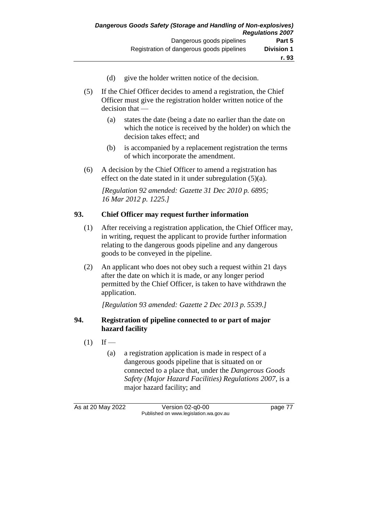- (d) give the holder written notice of the decision.
- (5) If the Chief Officer decides to amend a registration, the Chief Officer must give the registration holder written notice of the decision that —
	- (a) states the date (being a date no earlier than the date on which the notice is received by the holder) on which the decision takes effect; and
	- (b) is accompanied by a replacement registration the terms of which incorporate the amendment.
- (6) A decision by the Chief Officer to amend a registration has effect on the date stated in it under subregulation (5)(a).

*[Regulation 92 amended: Gazette 31 Dec 2010 p. 6895; 16 Mar 2012 p. 1225.]*

## **93. Chief Officer may request further information**

- (1) After receiving a registration application, the Chief Officer may, in writing, request the applicant to provide further information relating to the dangerous goods pipeline and any dangerous goods to be conveyed in the pipeline.
- (2) An applicant who does not obey such a request within 21 days after the date on which it is made, or any longer period permitted by the Chief Officer, is taken to have withdrawn the application.

*[Regulation 93 amended: Gazette 2 Dec 2013 p. 5539.]*

## **94. Registration of pipeline connected to or part of major hazard facility**

- $(1)$  If
	- (a) a registration application is made in respect of a dangerous goods pipeline that is situated on or connected to a place that, under the *Dangerous Goods Safety (Major Hazard Facilities) Regulations 2007*, is a major hazard facility; and

As at 20 May 2022 Version 02-q0-00 page 77 Published on www.legislation.wa.gov.au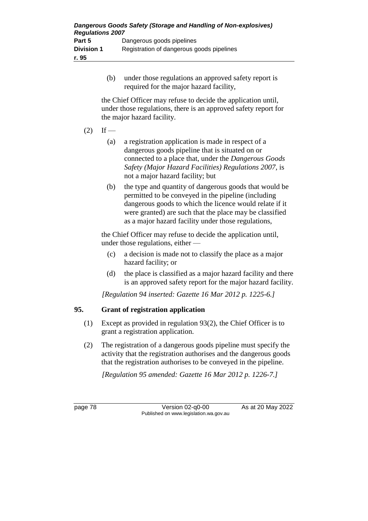| Dangerous Goods Safety (Storage and Handling of Non-explosives)<br><b>Regulations 2007</b> |                                           |
|--------------------------------------------------------------------------------------------|-------------------------------------------|
| Part 5                                                                                     | Dangerous goods pipelines                 |
| <b>Division 1</b>                                                                          | Registration of dangerous goods pipelines |
| r. 95                                                                                      |                                           |

(b) under those regulations an approved safety report is required for the major hazard facility,

the Chief Officer may refuse to decide the application until, under those regulations, there is an approved safety report for the major hazard facility.

## $(2)$  If —

- (a) a registration application is made in respect of a dangerous goods pipeline that is situated on or connected to a place that, under the *Dangerous Goods Safety (Major Hazard Facilities) Regulations 2007*, is not a major hazard facility; but
- (b) the type and quantity of dangerous goods that would be permitted to be conveyed in the pipeline (including dangerous goods to which the licence would relate if it were granted) are such that the place may be classified as a major hazard facility under those regulations,

the Chief Officer may refuse to decide the application until, under those regulations, either —

- (c) a decision is made not to classify the place as a major hazard facility; or
- (d) the place is classified as a major hazard facility and there is an approved safety report for the major hazard facility.

*[Regulation 94 inserted: Gazette 16 Mar 2012 p. 1225-6.]*

## **95. Grant of registration application**

- (1) Except as provided in regulation 93(2), the Chief Officer is to grant a registration application.
- (2) The registration of a dangerous goods pipeline must specify the activity that the registration authorises and the dangerous goods that the registration authorises to be conveyed in the pipeline.

*[Regulation 95 amended: Gazette 16 Mar 2012 p. 1226-7.]*

page 78 Version 02-q0-00 As at 20 May 2022 Published on www.legislation.wa.gov.au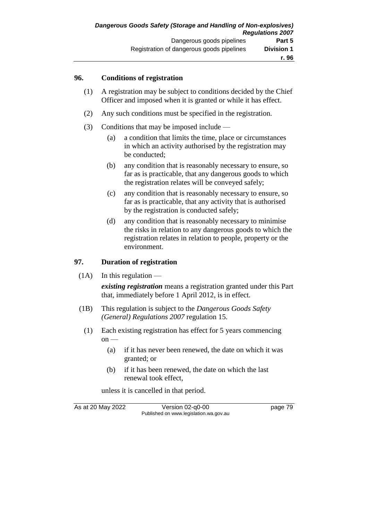#### **96. Conditions of registration**

- (1) A registration may be subject to conditions decided by the Chief Officer and imposed when it is granted or while it has effect.
- (2) Any such conditions must be specified in the registration.
- (3) Conditions that may be imposed include
	- (a) a condition that limits the time, place or circumstances in which an activity authorised by the registration may be conducted;
	- (b) any condition that is reasonably necessary to ensure, so far as is practicable, that any dangerous goods to which the registration relates will be conveyed safely;
	- (c) any condition that is reasonably necessary to ensure, so far as is practicable, that any activity that is authorised by the registration is conducted safely;
	- (d) any condition that is reasonably necessary to minimise the risks in relation to any dangerous goods to which the registration relates in relation to people, property or the environment.

#### **97. Duration of registration**

 $(1A)$  In this regulation —

*existing registration* means a registration granted under this Part that, immediately before 1 April 2012, is in effect.

- (1B) This regulation is subject to the *Dangerous Goods Safety (General) Regulations 2007* regulation 15.
	- (1) Each existing registration has effect for 5 years commencing on —
		- (a) if it has never been renewed, the date on which it was granted; or
		- (b) if it has been renewed, the date on which the last renewal took effect,

unless it is cancelled in that period.

As at 20 May 2022 Version 02-q0-00 page 79 Published on www.legislation.wa.gov.au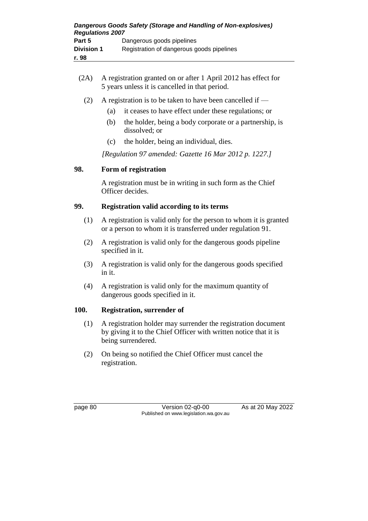- (2A) A registration granted on or after 1 April 2012 has effect for 5 years unless it is cancelled in that period.
	- (2) A registration is to be taken to have been cancelled if
		- (a) it ceases to have effect under these regulations; or
		- (b) the holder, being a body corporate or a partnership, is dissolved; or
		- (c) the holder, being an individual, dies.

*[Regulation 97 amended: Gazette 16 Mar 2012 p. 1227.]*

#### **98. Form of registration**

A registration must be in writing in such form as the Chief Officer decides.

#### **99. Registration valid according to its terms**

- (1) A registration is valid only for the person to whom it is granted or a person to whom it is transferred under regulation 91.
- (2) A registration is valid only for the dangerous goods pipeline specified in it.
- (3) A registration is valid only for the dangerous goods specified in it.
- (4) A registration is valid only for the maximum quantity of dangerous goods specified in it.

## **100. Registration, surrender of**

- (1) A registration holder may surrender the registration document by giving it to the Chief Officer with written notice that it is being surrendered.
- (2) On being so notified the Chief Officer must cancel the registration.

page 80 Version 02-q0-00 As at 20 May 2022 Published on www.legislation.wa.gov.au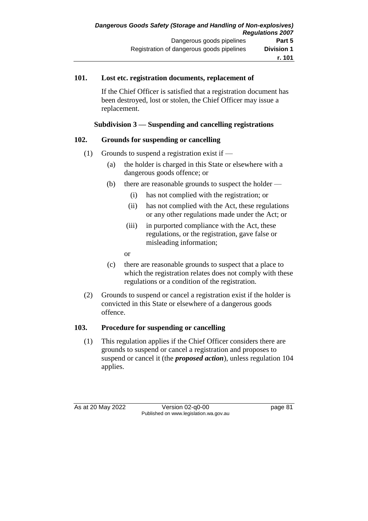#### **101. Lost etc. registration documents, replacement of**

If the Chief Officer is satisfied that a registration document has been destroyed, lost or stolen, the Chief Officer may issue a replacement.

#### **Subdivision 3 — Suspending and cancelling registrations**

## **102. Grounds for suspending or cancelling**

- (1) Grounds to suspend a registration exist if  $-$ 
	- (a) the holder is charged in this State or elsewhere with a dangerous goods offence; or
	- (b) there are reasonable grounds to suspect the holder
		- (i) has not complied with the registration; or
		- (ii) has not complied with the Act, these regulations or any other regulations made under the Act; or
		- (iii) in purported compliance with the Act, these regulations, or the registration, gave false or misleading information;
		- or
	- (c) there are reasonable grounds to suspect that a place to which the registration relates does not comply with these regulations or a condition of the registration.
- (2) Grounds to suspend or cancel a registration exist if the holder is convicted in this State or elsewhere of a dangerous goods offence.

#### **103. Procedure for suspending or cancelling**

(1) This regulation applies if the Chief Officer considers there are grounds to suspend or cancel a registration and proposes to suspend or cancel it (the *proposed action*), unless regulation 104 applies.

As at 20 May 2022 Version 02-q0-00 page 81 Published on www.legislation.wa.gov.au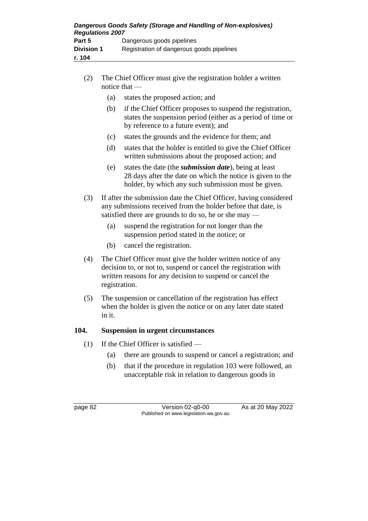| Dangerous Goods Safety (Storage and Handling of Non-explosives)<br><b>Regulations 2007</b> |                                           |
|--------------------------------------------------------------------------------------------|-------------------------------------------|
| Part 5                                                                                     | Dangerous goods pipelines                 |
| <b>Division 1</b>                                                                          | Registration of dangerous goods pipelines |
| r. 104                                                                                     |                                           |

- (2) The Chief Officer must give the registration holder a written notice that —
	- (a) states the proposed action; and
	- (b) if the Chief Officer proposes to suspend the registration, states the suspension period (either as a period of time or by reference to a future event); and
	- (c) states the grounds and the evidence for them; and
	- (d) states that the holder is entitled to give the Chief Officer written submissions about the proposed action; and
	- (e) states the date (the *submission date*), being at least 28 days after the date on which the notice is given to the holder, by which any such submission must be given.
- (3) If after the submission date the Chief Officer, having considered any submissions received from the holder before that date, is satisfied there are grounds to do so, he or she may -
	- (a) suspend the registration for not longer than the suspension period stated in the notice; or
	- (b) cancel the registration.
- (4) The Chief Officer must give the holder written notice of any decision to, or not to, suspend or cancel the registration with written reasons for any decision to suspend or cancel the registration.
- (5) The suspension or cancellation of the registration has effect when the holder is given the notice or on any later date stated in it.

## **104. Suspension in urgent circumstances**

- (1) If the Chief Officer is satisfied
	- (a) there are grounds to suspend or cancel a registration; and
	- (b) that if the procedure in regulation 103 were followed, an unacceptable risk in relation to dangerous goods in

page 82 Version 02-q0-00 As at 20 May 2022 Published on www.legislation.wa.gov.au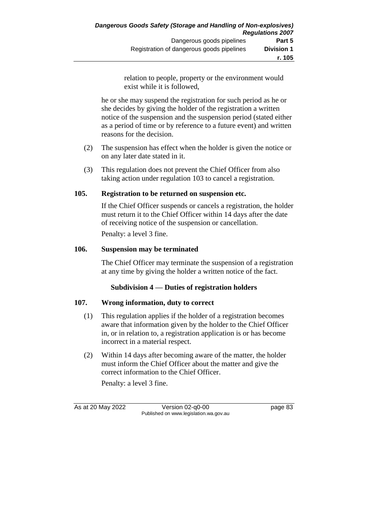relation to people, property or the environment would exist while it is followed,

he or she may suspend the registration for such period as he or she decides by giving the holder of the registration a written notice of the suspension and the suspension period (stated either as a period of time or by reference to a future event) and written reasons for the decision.

- (2) The suspension has effect when the holder is given the notice or on any later date stated in it.
- (3) This regulation does not prevent the Chief Officer from also taking action under regulation 103 to cancel a registration.

# **105. Registration to be returned on suspension etc.**

If the Chief Officer suspends or cancels a registration, the holder must return it to the Chief Officer within 14 days after the date of receiving notice of the suspension or cancellation. Penalty: a level 3 fine.

# **106. Suspension may be terminated**

The Chief Officer may terminate the suspension of a registration at any time by giving the holder a written notice of the fact.

# **Subdivision 4 — Duties of registration holders**

# **107. Wrong information, duty to correct**

- (1) This regulation applies if the holder of a registration becomes aware that information given by the holder to the Chief Officer in, or in relation to, a registration application is or has become incorrect in a material respect.
- (2) Within 14 days after becoming aware of the matter, the holder must inform the Chief Officer about the matter and give the correct information to the Chief Officer.

Penalty: a level 3 fine.

As at 20 May 2022 Version 02-q0-00 page 83 Published on www.legislation.wa.gov.au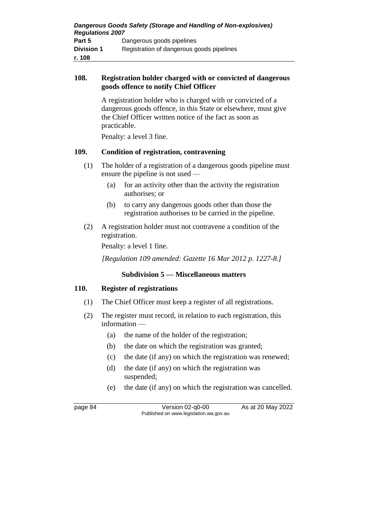#### **108. Registration holder charged with or convicted of dangerous goods offence to notify Chief Officer**

A registration holder who is charged with or convicted of a dangerous goods offence, in this State or elsewhere, must give the Chief Officer written notice of the fact as soon as practicable.

Penalty: a level 3 fine.

## **109. Condition of registration, contravening**

- (1) The holder of a registration of a dangerous goods pipeline must ensure the pipeline is not used —
	- (a) for an activity other than the activity the registration authorises; or
	- (b) to carry any dangerous goods other than those the registration authorises to be carried in the pipeline.
- (2) A registration holder must not contravene a condition of the registration.

Penalty: a level 1 fine.

*[Regulation 109 amended: Gazette 16 Mar 2012 p. 1227-8.]*

## **Subdivision 5 — Miscellaneous matters**

#### **110. Register of registrations**

- (1) The Chief Officer must keep a register of all registrations.
- (2) The register must record, in relation to each registration, this information —
	- (a) the name of the holder of the registration;
	- (b) the date on which the registration was granted;
	- (c) the date (if any) on which the registration was renewed;
	- (d) the date (if any) on which the registration was suspended;
	- (e) the date (if any) on which the registration was cancelled.

page 84 Version 02-q0-00 As at 20 May 2022 Published on www.legislation.wa.gov.au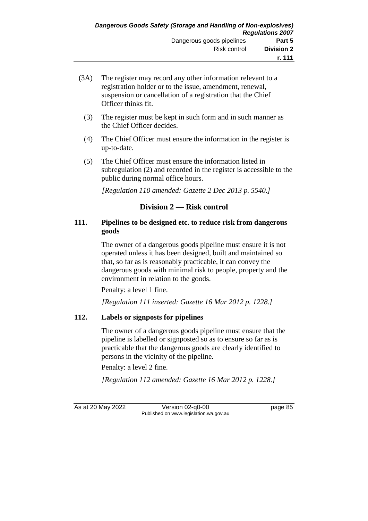- (3A) The register may record any other information relevant to a registration holder or to the issue, amendment, renewal, suspension or cancellation of a registration that the Chief Officer thinks fit.
	- (3) The register must be kept in such form and in such manner as the Chief Officer decides.
	- (4) The Chief Officer must ensure the information in the register is up-to-date.
	- (5) The Chief Officer must ensure the information listed in subregulation (2) and recorded in the register is accessible to the public during normal office hours.

*[Regulation 110 amended: Gazette 2 Dec 2013 p. 5540.]*

# **Division 2 — Risk control**

## **111. Pipelines to be designed etc. to reduce risk from dangerous goods**

The owner of a dangerous goods pipeline must ensure it is not operated unless it has been designed, built and maintained so that, so far as is reasonably practicable, it can convey the dangerous goods with minimal risk to people, property and the environment in relation to the goods.

Penalty: a level 1 fine.

*[Regulation 111 inserted: Gazette 16 Mar 2012 p. 1228.]*

## **112. Labels or signposts for pipelines**

The owner of a dangerous goods pipeline must ensure that the pipeline is labelled or signposted so as to ensure so far as is practicable that the dangerous goods are clearly identified to persons in the vicinity of the pipeline.

Penalty: a level 2 fine.

*[Regulation 112 amended: Gazette 16 Mar 2012 p. 1228.]*

As at 20 May 2022 Version 02-q0-00 page 85 Published on www.legislation.wa.gov.au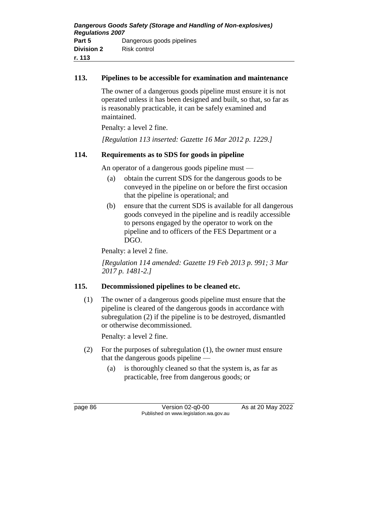## **113. Pipelines to be accessible for examination and maintenance**

The owner of a dangerous goods pipeline must ensure it is not operated unless it has been designed and built, so that, so far as is reasonably practicable, it can be safely examined and maintained.

Penalty: a level 2 fine.

*[Regulation 113 inserted: Gazette 16 Mar 2012 p. 1229.]*

## **114. Requirements as to SDS for goods in pipeline**

An operator of a dangerous goods pipeline must —

- (a) obtain the current SDS for the dangerous goods to be conveyed in the pipeline on or before the first occasion that the pipeline is operational; and
- (b) ensure that the current SDS is available for all dangerous goods conveyed in the pipeline and is readily accessible to persons engaged by the operator to work on the pipeline and to officers of the FES Department or a DGO.

Penalty: a level 2 fine.

*[Regulation 114 amended: Gazette 19 Feb 2013 p. 991; 3 Mar 2017 p. 1481-2.]*

## **115. Decommissioned pipelines to be cleaned etc.**

(1) The owner of a dangerous goods pipeline must ensure that the pipeline is cleared of the dangerous goods in accordance with subregulation (2) if the pipeline is to be destroyed, dismantled or otherwise decommissioned.

Penalty: a level 2 fine.

- (2) For the purposes of subregulation (1), the owner must ensure that the dangerous goods pipeline —
	- (a) is thoroughly cleaned so that the system is, as far as practicable, free from dangerous goods; or

page 86 Version 02-q0-00 As at 20 May 2022 Published on www.legislation.wa.gov.au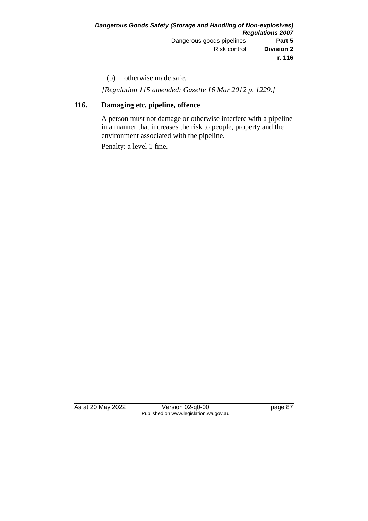(b) otherwise made safe.

*[Regulation 115 amended: Gazette 16 Mar 2012 p. 1229.]*

#### **116. Damaging etc. pipeline, offence**

A person must not damage or otherwise interfere with a pipeline in a manner that increases the risk to people, property and the environment associated with the pipeline.

Penalty: a level 1 fine.

As at 20 May 2022 Version 02-q0-00 Page 87 Published on www.legislation.wa.gov.au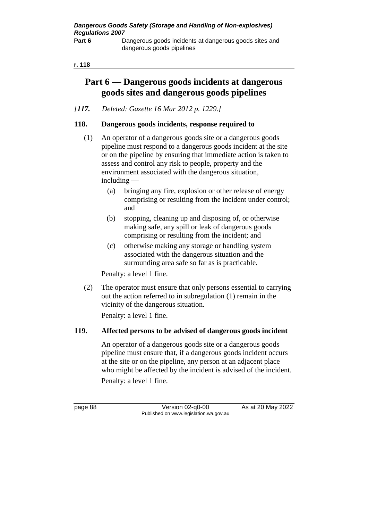dangerous goods pipelines

#### **r. 118**

# **Part 6 — Dangerous goods incidents at dangerous goods sites and dangerous goods pipelines**

*[117. Deleted: Gazette 16 Mar 2012 p. 1229.]*

#### **118. Dangerous goods incidents, response required to**

- (1) An operator of a dangerous goods site or a dangerous goods pipeline must respond to a dangerous goods incident at the site or on the pipeline by ensuring that immediate action is taken to assess and control any risk to people, property and the environment associated with the dangerous situation, including —
	- (a) bringing any fire, explosion or other release of energy comprising or resulting from the incident under control; and
	- (b) stopping, cleaning up and disposing of, or otherwise making safe, any spill or leak of dangerous goods comprising or resulting from the incident; and
	- (c) otherwise making any storage or handling system associated with the dangerous situation and the surrounding area safe so far as is practicable.

Penalty: a level 1 fine.

(2) The operator must ensure that only persons essential to carrying out the action referred to in subregulation (1) remain in the vicinity of the dangerous situation. Penalty: a level 1 fine.

## **119. Affected persons to be advised of dangerous goods incident**

An operator of a dangerous goods site or a dangerous goods pipeline must ensure that, if a dangerous goods incident occurs at the site or on the pipeline, any person at an adjacent place who might be affected by the incident is advised of the incident. Penalty: a level 1 fine.

page 88 Version 02-q0-00 As at 20 May 2022 Published on www.legislation.wa.gov.au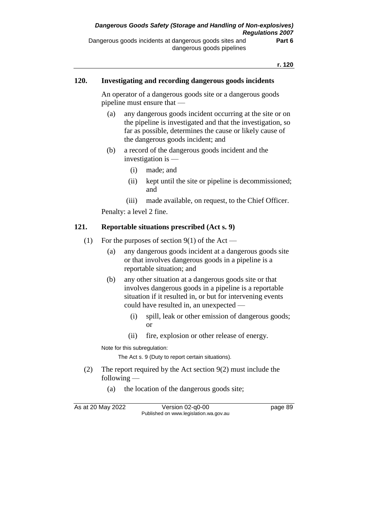#### **120. Investigating and recording dangerous goods incidents**

An operator of a dangerous goods site or a dangerous goods pipeline must ensure that —

- (a) any dangerous goods incident occurring at the site or on the pipeline is investigated and that the investigation, so far as possible, determines the cause or likely cause of the dangerous goods incident; and
- (b) a record of the dangerous goods incident and the investigation is —
	- (i) made; and
	- (ii) kept until the site or pipeline is decommissioned; and
	- (iii) made available, on request, to the Chief Officer.

Penalty: a level 2 fine.

#### **121. Reportable situations prescribed (Act s. 9)**

- (1) For the purposes of section  $9(1)$  of the Act
	- (a) any dangerous goods incident at a dangerous goods site or that involves dangerous goods in a pipeline is a reportable situation; and
	- (b) any other situation at a dangerous goods site or that involves dangerous goods in a pipeline is a reportable situation if it resulted in, or but for intervening events could have resulted in, an unexpected —
		- (i) spill, leak or other emission of dangerous goods; or
		- (ii) fire, explosion or other release of energy.

Note for this subregulation:

The Act s. 9 (Duty to report certain situations).

- (2) The report required by the Act section 9(2) must include the following —
	- (a) the location of the dangerous goods site;

As at 20 May 2022 Version 02-q0-00 page 89 Published on www.legislation.wa.gov.au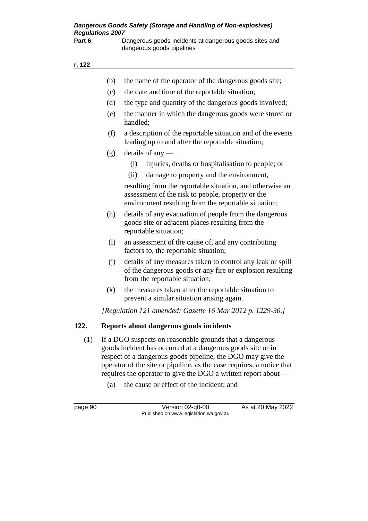Part 6 Dangerous goods incidents at dangerous goods sites and dangerous goods pipelines

#### **r. 122**

| r. 122 |     |                                                                                                                                                                                                                                                                 |
|--------|-----|-----------------------------------------------------------------------------------------------------------------------------------------------------------------------------------------------------------------------------------------------------------------|
|        | (b) | the name of the operator of the dangerous goods site;                                                                                                                                                                                                           |
|        | (c) | the date and time of the reportable situation;                                                                                                                                                                                                                  |
|        | (d) | the type and quantity of the dangerous goods involved;                                                                                                                                                                                                          |
|        | (e) | the manner in which the dangerous goods were stored or<br>handled;                                                                                                                                                                                              |
|        | (f) | a description of the reportable situation and of the events<br>leading up to and after the reportable situation;                                                                                                                                                |
|        | (g) | details of any $-$                                                                                                                                                                                                                                              |
|        |     | injuries, deaths or hospitalisation to people; or<br>(i)                                                                                                                                                                                                        |
|        |     | damage to property and the environment,<br>(ii)                                                                                                                                                                                                                 |
|        |     | resulting from the reportable situation, and otherwise an<br>assessment of the risk to people, property or the<br>environment resulting from the reportable situation;                                                                                          |
|        | (h) | details of any evacuation of people from the dangerous<br>goods site or adjacent places resulting from the<br>reportable situation;                                                                                                                             |
|        | (i) | an assessment of the cause of, and any contributing<br>factors to, the reportable situation;                                                                                                                                                                    |
|        | (i) | details of any measures taken to control any leak or spill<br>of the dangerous goods or any fire or explosion resulting<br>from the reportable situation;                                                                                                       |
|        | (k) | the measures taken after the reportable situation to<br>prevent a similar situation arising again.                                                                                                                                                              |
|        |     | [Regulation 121 amended: Gazette 16 Mar 2012 p. 1229-30.]                                                                                                                                                                                                       |
| 122.   |     | Reports about dangerous goods incidents                                                                                                                                                                                                                         |
| (1)    |     | If a DGO suspects on reasonable grounds that a dangerous<br>goods incident has occurred at a dangerous goods site or in<br>respect of a dangerous goods pipeline, the DGO may give the<br>operator of the site or pipeline, as the case requires, a notice that |

- requires the operator to give the DGO a written report about
	- (a) the cause or effect of the incident; and

page 90 Version 02-q0-00 As at 20 May 2022 Published on www.legislation.wa.gov.au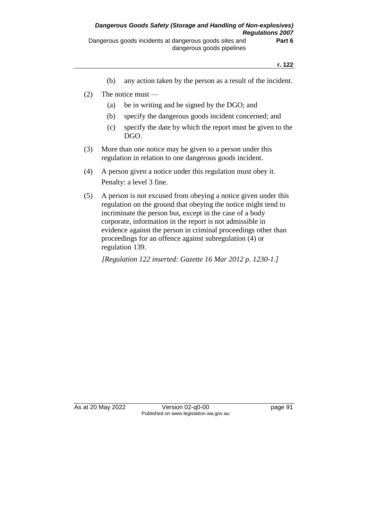- (b) any action taken by the person as a result of the incident.
- (2) The notice must
	- (a) be in writing and be signed by the DGO; and
	- (b) specify the dangerous goods incident concerned; and
	- (c) specify the date by which the report must be given to the DGO.
- (3) More than one notice may be given to a person under this regulation in relation to one dangerous goods incident.
- (4) A person given a notice under this regulation must obey it. Penalty: a level 3 fine.
- (5) A person is not excused from obeying a notice given under this regulation on the ground that obeying the notice might tend to incriminate the person but, except in the case of a body corporate, information in the report is not admissible in evidence against the person in criminal proceedings other than proceedings for an offence against subregulation (4) or regulation 139.

*[Regulation 122 inserted: Gazette 16 Mar 2012 p. 1230-1.]*

As at 20 May 2022 Version 02-q0-00 Published on www.legislation.wa.gov.au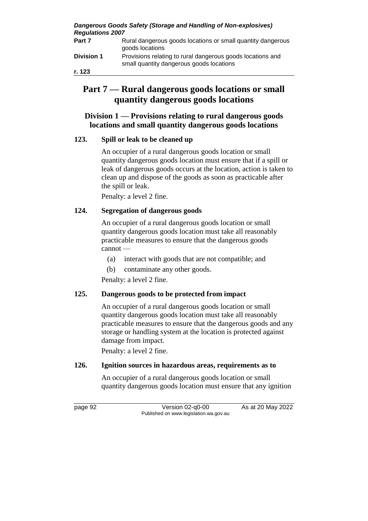*Dangerous Goods Safety (Storage and Handling of Non-explosives) Regulations 2007*

| Part 7            | Rural dangerous goods locations or small quantity dangerous<br>goods locations                         |
|-------------------|--------------------------------------------------------------------------------------------------------|
| <b>Division 1</b> | Provisions relating to rural dangerous goods locations and<br>small quantity dangerous goods locations |

**r. 123**

# **Part 7 — Rural dangerous goods locations or small quantity dangerous goods locations**

# **Division 1 — Provisions relating to rural dangerous goods locations and small quantity dangerous goods locations**

# **123. Spill or leak to be cleaned up**

An occupier of a rural dangerous goods location or small quantity dangerous goods location must ensure that if a spill or leak of dangerous goods occurs at the location, action is taken to clean up and dispose of the goods as soon as practicable after the spill or leak.

Penalty: a level 2 fine.

# **124. Segregation of dangerous goods**

An occupier of a rural dangerous goods location or small quantity dangerous goods location must take all reasonably practicable measures to ensure that the dangerous goods cannot —

- (a) interact with goods that are not compatible; and
- (b) contaminate any other goods.

Penalty: a level 2 fine.

## **125. Dangerous goods to be protected from impact**

An occupier of a rural dangerous goods location or small quantity dangerous goods location must take all reasonably practicable measures to ensure that the dangerous goods and any storage or handling system at the location is protected against damage from impact.

Penalty: a level 2 fine.

## **126. Ignition sources in hazardous areas, requirements as to**

An occupier of a rural dangerous goods location or small quantity dangerous goods location must ensure that any ignition

page 92 Version 02-q0-00 As at 20 May 2022 Published on www.legislation.wa.gov.au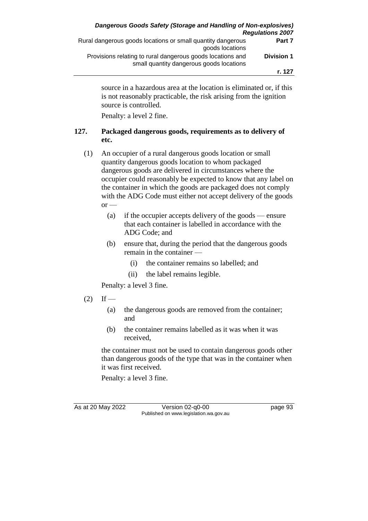| <b>Regulations 2007</b> | Dangerous Goods Safety (Storage and Handling of Non-explosives)                                        |
|-------------------------|--------------------------------------------------------------------------------------------------------|
| Part 7                  | Rural dangerous goods locations or small quantity dangerous<br>goods locations                         |
| <b>Division 1</b>       | Provisions relating to rural dangerous goods locations and<br>small quantity dangerous goods locations |
| r. 127                  |                                                                                                        |

source in a hazardous area at the location is eliminated or, if this is not reasonably practicable, the risk arising from the ignition source is controlled.

Penalty: a level 2 fine.

# **127. Packaged dangerous goods, requirements as to delivery of etc.**

- (1) An occupier of a rural dangerous goods location or small quantity dangerous goods location to whom packaged dangerous goods are delivered in circumstances where the occupier could reasonably be expected to know that any label on the container in which the goods are packaged does not comply with the ADG Code must either not accept delivery of the goods  $or$  —
	- (a) if the occupier accepts delivery of the goods ensure that each container is labelled in accordance with the ADG Code; and
	- (b) ensure that, during the period that the dangerous goods remain in the container —
		- (i) the container remains so labelled; and
		- (ii) the label remains legible.

Penalty: a level 3 fine.

- $(2)$  If
	- (a) the dangerous goods are removed from the container; and
	- (b) the container remains labelled as it was when it was received,

the container must not be used to contain dangerous goods other than dangerous goods of the type that was in the container when it was first received.

Penalty: a level 3 fine.

As at 20 May 2022 Version 02-q0-00 Page 93 Published on www.legislation.wa.gov.au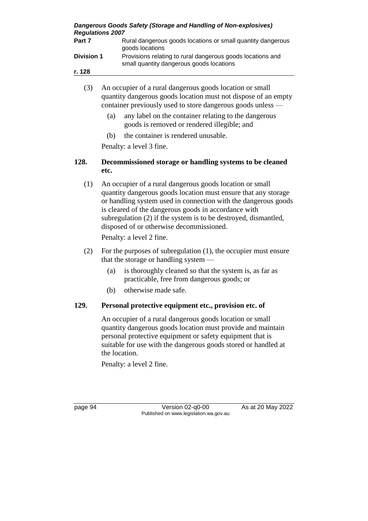*Dangerous Goods Safety (Storage and Handling of Non-explosives) Regulations 2007*

**Part 7** Rural dangerous goods locations or small quantity dangerous goods locations **Division 1** Provisions relating to rural dangerous goods locations and small quantity dangerous goods locations

**r. 128**

- (3) An occupier of a rural dangerous goods location or small quantity dangerous goods location must not dispose of an empty container previously used to store dangerous goods unless —
	- (a) any label on the container relating to the dangerous goods is removed or rendered illegible; and
	- (b) the container is rendered unusable.

Penalty: a level 3 fine.

#### **128. Decommissioned storage or handling systems to be cleaned etc.**

(1) An occupier of a rural dangerous goods location or small quantity dangerous goods location must ensure that any storage or handling system used in connection with the dangerous goods is cleared of the dangerous goods in accordance with subregulation (2) if the system is to be destroyed, dismantled, disposed of or otherwise decommissioned.

Penalty: a level 2 fine.

- (2) For the purposes of subregulation (1), the occupier must ensure that the storage or handling system —
	- (a) is thoroughly cleaned so that the system is, as far as practicable, free from dangerous goods; or
	- (b) otherwise made safe.

## **129. Personal protective equipment etc., provision etc. of**

An occupier of a rural dangerous goods location or small quantity dangerous goods location must provide and maintain personal protective equipment or safety equipment that is suitable for use with the dangerous goods stored or handled at the location.

Penalty: a level 2 fine.

page 94 Version 02-q0-00 As at 20 May 2022 Published on www.legislation.wa.gov.au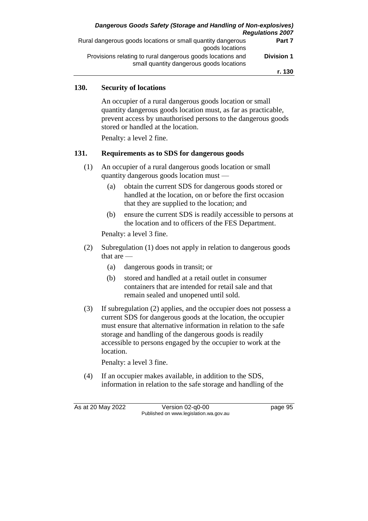| <b>Regulations 2007</b> | Dangerous Goods Safety (Storage and Handling of Non-explosives)                                        |
|-------------------------|--------------------------------------------------------------------------------------------------------|
| Part 7                  | Rural dangerous goods locations or small quantity dangerous<br>goods locations                         |
| <b>Division 1</b>       | Provisions relating to rural dangerous goods locations and<br>small quantity dangerous goods locations |
| r. 130                  |                                                                                                        |

## **130. Security of locations**

An occupier of a rural dangerous goods location or small quantity dangerous goods location must, as far as practicable, prevent access by unauthorised persons to the dangerous goods stored or handled at the location.

Penalty: a level 2 fine.

#### **131. Requirements as to SDS for dangerous goods**

- (1) An occupier of a rural dangerous goods location or small quantity dangerous goods location must —
	- (a) obtain the current SDS for dangerous goods stored or handled at the location, on or before the first occasion that they are supplied to the location; and
	- (b) ensure the current SDS is readily accessible to persons at the location and to officers of the FES Department.

Penalty: a level 3 fine.

- (2) Subregulation (1) does not apply in relation to dangerous goods that are -
	- (a) dangerous goods in transit; or
	- (b) stored and handled at a retail outlet in consumer containers that are intended for retail sale and that remain sealed and unopened until sold.
- (3) If subregulation (2) applies, and the occupier does not possess a current SDS for dangerous goods at the location, the occupier must ensure that alternative information in relation to the safe storage and handling of the dangerous goods is readily accessible to persons engaged by the occupier to work at the location.

Penalty: a level 3 fine.

(4) If an occupier makes available, in addition to the SDS, information in relation to the safe storage and handling of the

As at 20 May 2022 Version 02-q0-00 Page 95 Published on www.legislation.wa.gov.au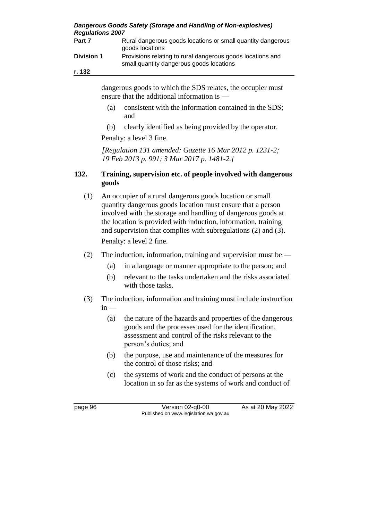| <b>Regulations 2007</b> | Dangerous Goods Safety (Storage and Handling of Non-explosives)                                        |
|-------------------------|--------------------------------------------------------------------------------------------------------|
| Part 7                  | Rural dangerous goods locations or small quantity dangerous<br>goods locations                         |
| <b>Division 1</b>       | Provisions relating to rural dangerous goods locations and<br>small quantity dangerous goods locations |
| r. 132                  |                                                                                                        |

dangerous goods to which the SDS relates, the occupier must ensure that the additional information is —

- (a) consistent with the information contained in the SDS; and
- (b) clearly identified as being provided by the operator.

Penalty: a level 3 fine.

*[Regulation 131 amended: Gazette 16 Mar 2012 p. 1231-2; 19 Feb 2013 p. 991; 3 Mar 2017 p. 1481-2.]*

#### **132. Training, supervision etc. of people involved with dangerous goods**

- (1) An occupier of a rural dangerous goods location or small quantity dangerous goods location must ensure that a person involved with the storage and handling of dangerous goods at the location is provided with induction, information, training and supervision that complies with subregulations (2) and (3). Penalty: a level 2 fine.
- (2) The induction, information, training and supervision must be
	- (a) in a language or manner appropriate to the person; and
	- (b) relevant to the tasks undertaken and the risks associated with those tasks.
- (3) The induction, information and training must include instruction  $in -$ 
	- (a) the nature of the hazards and properties of the dangerous goods and the processes used for the identification, assessment and control of the risks relevant to the person's duties; and
	- (b) the purpose, use and maintenance of the measures for the control of those risks; and
	- (c) the systems of work and the conduct of persons at the location in so far as the systems of work and conduct of

page 96 Version 02-q0-00 As at 20 May 2022 Published on www.legislation.wa.gov.au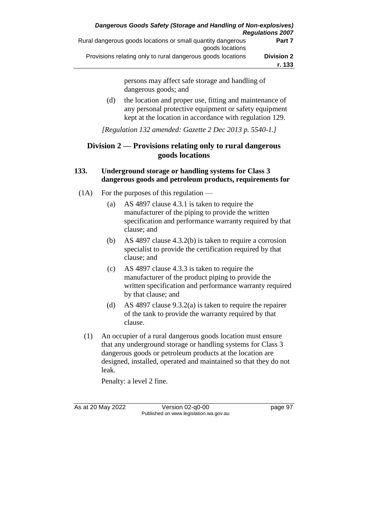persons may affect safe storage and handling of dangerous goods; and (d) the location and proper use, fitting and maintenance of any personal protective equipment or safety equipment kept at the location in accordance with regulation 129.

*[Regulation 132 amended: Gazette 2 Dec 2013 p. 5540-1.]*

# **Division 2 — Provisions relating only to rural dangerous goods locations**

## **133. Underground storage or handling systems for Class 3 dangerous goods and petroleum products, requirements for**

- $(1)$  For the purposes of this regulation
	- (a) AS 4897 clause 4.3.1 is taken to require the manufacturer of the piping to provide the written specification and performance warranty required by that clause; and
	- (b) AS 4897 clause 4.3.2(b) is taken to require a corrosion specialist to provide the certification required by that clause; and
	- (c) AS 4897 clause 4.3.3 is taken to require the manufacturer of the product piping to provide the written specification and performance warranty required by that clause; and
	- (d) AS 4897 clause 9.3.2(a) is taken to require the repairer of the tank to provide the warranty required by that clause.
	- (1) An occupier of a rural dangerous goods location must ensure that any underground storage or handling systems for Class 3 dangerous goods or petroleum products at the location are designed, installed, operated and maintained so that they do not leak.

Penalty: a level 2 fine.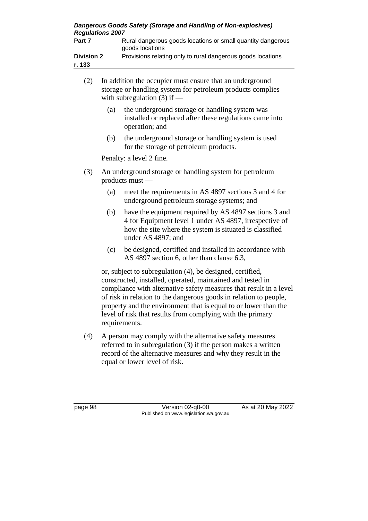| Dangerous Goods Safety (Storage and Handling of Non-explosives)<br><b>Regulations 2007</b> |                                                                                                                                                                                                                                                                      |  |  |
|--------------------------------------------------------------------------------------------|----------------------------------------------------------------------------------------------------------------------------------------------------------------------------------------------------------------------------------------------------------------------|--|--|
| Part 7                                                                                     | Rural dangerous goods locations or small quantity dangerous<br>goods locations                                                                                                                                                                                       |  |  |
| <b>Division 2</b><br>r. 133                                                                | Provisions relating only to rural dangerous goods locations                                                                                                                                                                                                          |  |  |
| (2)<br>(a)                                                                                 | In addition the occupier must ensure that an underground<br>storage or handling system for petroleum products complies<br>with subregulation $(3)$ if —<br>the underground storage or handling system was<br>installed or replaced after these regulations came into |  |  |

(b) the underground storage or handling system is used for the storage of petroleum products.

Penalty: a level 2 fine.

operation; and

- (3) An underground storage or handling system for petroleum products must —
	- (a) meet the requirements in AS 4897 sections 3 and 4 for underground petroleum storage systems; and
	- (b) have the equipment required by AS 4897 sections 3 and 4 for Equipment level 1 under AS 4897, irrespective of how the site where the system is situated is classified under AS 4897; and
	- (c) be designed, certified and installed in accordance with AS 4897 section 6, other than clause 6.3,

or, subject to subregulation (4), be designed, certified, constructed, installed, operated, maintained and tested in compliance with alternative safety measures that result in a level of risk in relation to the dangerous goods in relation to people, property and the environment that is equal to or lower than the level of risk that results from complying with the primary requirements.

(4) A person may comply with the alternative safety measures referred to in subregulation (3) if the person makes a written record of the alternative measures and why they result in the equal or lower level of risk.

page 98 Version 02-q0-00 As at 20 May 2022 Published on www.legislation.wa.gov.au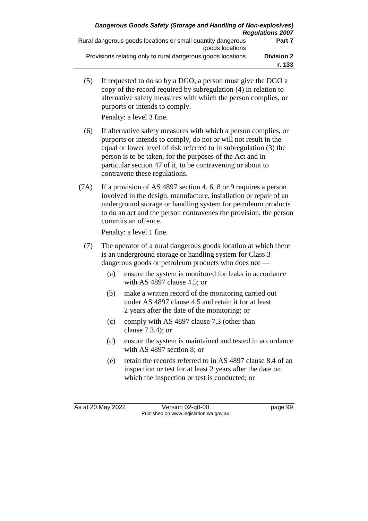(5) If requested to do so by a DGO, a person must give the DGO a copy of the record required by subregulation (4) in relation to alternative safety measures with which the person complies, or purports or intends to comply.

Penalty: a level 3 fine.

- (6) If alternative safety measures with which a person complies, or purports or intends to comply, do not or will not result in the equal or lower level of risk referred to in subregulation (3) the person is to be taken, for the purposes of the Act and in particular section 47 of it, to be contravening or about to contravene these regulations.
- (7A) If a provision of AS 4897 section 4, 6, 8 or 9 requires a person involved in the design, manufacture, installation or repair of an underground storage or handling system for petroleum products to do an act and the person contravenes the provision, the person commits an offence.

Penalty: a level 1 fine.

- (7) The operator of a rural dangerous goods location at which there is an underground storage or handling system for Class 3 dangerous goods or petroleum products who does not —
	- (a) ensure the system is monitored for leaks in accordance with AS 4897 clause 4.5; or
	- (b) make a written record of the monitoring carried out under AS 4897 clause 4.5 and retain it for at least 2 years after the date of the monitoring; or
	- (c) comply with AS 4897 clause 7.3 (other than clause 7.3.4); or
	- (d) ensure the system is maintained and tested in accordance with AS 4897 section 8; or
	- (e) retain the records referred to in AS 4897 clause 8.4 of an inspection or test for at least 2 years after the date on which the inspection or test is conducted; or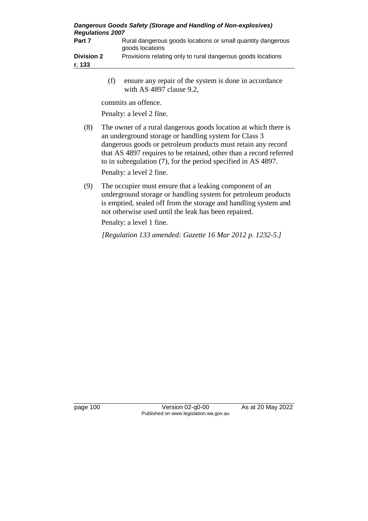| Dangerous Goods Safety (Storage and Handling of Non-explosives)<br><b>Regulations 2007</b> |                                                                                |  |  |
|--------------------------------------------------------------------------------------------|--------------------------------------------------------------------------------|--|--|
| Part 7                                                                                     | Rural dangerous goods locations or small quantity dangerous<br>goods locations |  |  |
| <b>Division 2</b>                                                                          | Provisions relating only to rural dangerous goods locations                    |  |  |
| r. 133                                                                                     |                                                                                |  |  |

(f) ensure any repair of the system is done in accordance with AS 4897 clause 9.2,

commits an offence.

Penalty: a level 2 fine.

(8) The owner of a rural dangerous goods location at which there is an underground storage or handling system for Class 3 dangerous goods or petroleum products must retain any record that AS 4897 requires to be retained, other than a record referred to in subregulation (7), for the period specified in AS 4897.

Penalty: a level 2 fine.

(9) The occupier must ensure that a leaking component of an underground storage or handling system for petroleum products is emptied, sealed off from the storage and handling system and not otherwise used until the leak has been repaired.

Penalty: a level 1 fine.

*[Regulation 133 amended: Gazette 16 Mar 2012 p. 1232-5.]*

page 100 Version 02-q0-00 As at 20 May 2022 Published on www.legislation.wa.gov.au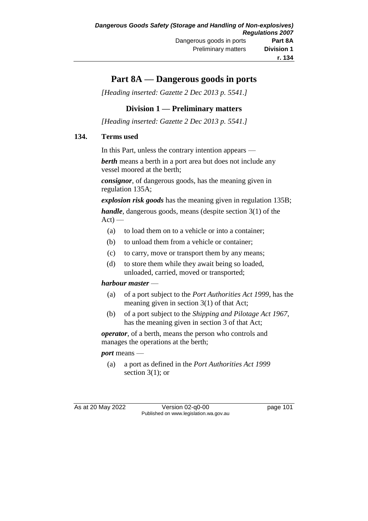# **Part 8A — Dangerous goods in ports**

*[Heading inserted: Gazette 2 Dec 2013 p. 5541.]*

## **Division 1 — Preliminary matters**

*[Heading inserted: Gazette 2 Dec 2013 p. 5541.]*

## **134. Terms used**

In this Part, unless the contrary intention appears —

*berth* means a berth in a port area but does not include any vessel moored at the berth;

*consignor*, of dangerous goods, has the meaning given in regulation 135A;

*explosion risk goods* has the meaning given in regulation 135B;

*handle*, dangerous goods, means (despite section 3(1) of the  $Act$ ) —

- (a) to load them on to a vehicle or into a container;
- (b) to unload them from a vehicle or container;
- (c) to carry, move or transport them by any means;
- (d) to store them while they await being so loaded, unloaded, carried, moved or transported;

## *harbour master* —

- (a) of a port subject to the *Port Authorities Act 1999*, has the meaning given in section 3(1) of that Act;
- (b) of a port subject to the *Shipping and Pilotage Act 1967*, has the meaning given in section 3 of that Act;

*operator*, of a berth, means the person who controls and manages the operations at the berth;

#### *port* means —

(a) a port as defined in the *Port Authorities Act 1999* section  $3(1)$ ; or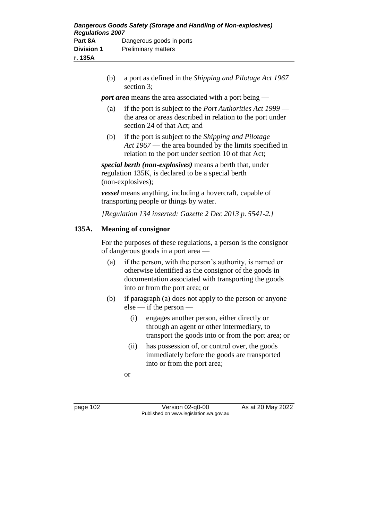| Dangerous Goods Safety (Storage and Handling of Non-explosives)<br><b>Regulations 2007</b> |                            |  |  |
|--------------------------------------------------------------------------------------------|----------------------------|--|--|
| Part 8A                                                                                    | Dangerous goods in ports   |  |  |
| <b>Division 1</b>                                                                          | <b>Preliminary matters</b> |  |  |
| r. 135A                                                                                    |                            |  |  |

(b) a port as defined in the *Shipping and Pilotage Act 1967* section 3;

*port area* means the area associated with a port being —

- (a) if the port is subject to the *Port Authorities Act 1999* the area or areas described in relation to the port under section 24 of that Act; and
- (b) if the port is subject to the *Shipping and Pilotage Act 1967* — the area bounded by the limits specified in relation to the port under section 10 of that Act;

*special berth (non-explosives)* means a berth that, under regulation 135K, is declared to be a special berth (non-explosives);

*vessel* means anything, including a hovercraft, capable of transporting people or things by water.

*[Regulation 134 inserted: Gazette 2 Dec 2013 p. 5541-2.]*

## **135A. Meaning of consignor**

For the purposes of these regulations, a person is the consignor of dangerous goods in a port area —

- (a) if the person, with the person's authority, is named or otherwise identified as the consignor of the goods in documentation associated with transporting the goods into or from the port area; or
- (b) if paragraph (a) does not apply to the person or anyone else — if the person —
	- (i) engages another person, either directly or through an agent or other intermediary, to transport the goods into or from the port area; or
	- (ii) has possession of, or control over, the goods immediately before the goods are transported into or from the port area;

or

page 102 Version 02-q0-00 As at 20 May 2022 Published on www.legislation.wa.gov.au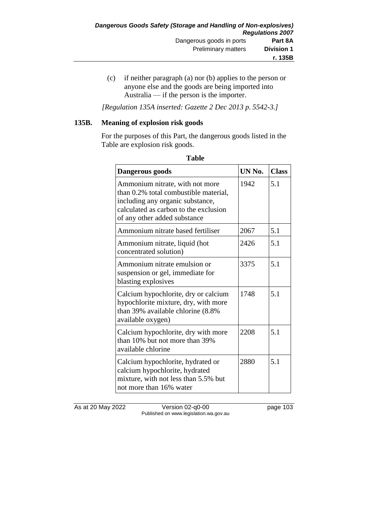(c) if neither paragraph (a) nor (b) applies to the person or anyone else and the goods are being imported into Australia — if the person is the importer.

*[Regulation 135A inserted: Gazette 2 Dec 2013 p. 5542-3.]*

### **135B. Meaning of explosion risk goods**

For the purposes of this Part, the dangerous goods listed in the Table are explosion risk goods.

| Dangerous goods                                                                                                                                                                       | UN No. | <b>Class</b> |
|---------------------------------------------------------------------------------------------------------------------------------------------------------------------------------------|--------|--------------|
| Ammonium nitrate, with not more<br>than 0.2% total combustible material,<br>including any organic substance,<br>calculated as carbon to the exclusion<br>of any other added substance | 1942   | 5.1          |
| Ammonium nitrate based fertiliser                                                                                                                                                     | 2067   | 5.1          |
| Ammonium nitrate, liquid (hot<br>concentrated solution)                                                                                                                               | 2426   | 5.1          |
| Ammonium nitrate emulsion or<br>suspension or gel, immediate for<br>blasting explosives                                                                                               | 3375   | 5.1          |
| Calcium hypochlorite, dry or calcium<br>hypochlorite mixture, dry, with more<br>than 39% available chlorine (8.8%<br>available oxygen)                                                | 1748   | 5.1          |
| Calcium hypochlorite, dry with more<br>than 10% but not more than 39%<br>available chlorine                                                                                           | 2208   | 5.1          |
| Calcium hypochlorite, hydrated or<br>calcium hypochlorite, hydrated<br>mixture, with not less than 5.5% but<br>not more than 16% water                                                | 2880   | 5.1          |

| ۰.<br>٠<br>۰,<br>×<br>× |
|-------------------------|
|-------------------------|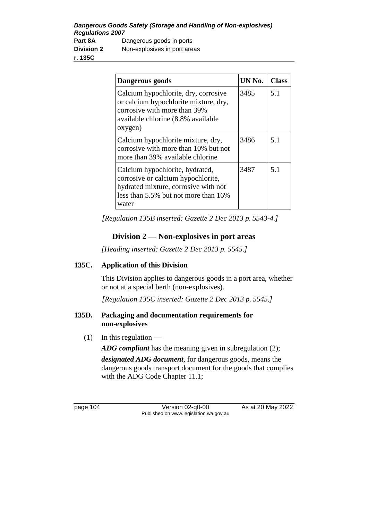*Dangerous Goods Safety (Storage and Handling of Non-explosives) Regulations 2007* **Part 8A** Dangerous goods in ports **Division 2** Non-explosives in port areas **r. 135C**

| Dangerous goods                                                                                                                                                | UN No. | Class |
|----------------------------------------------------------------------------------------------------------------------------------------------------------------|--------|-------|
| Calcium hypochlorite, dry, corrosive<br>or calcium hypochlorite mixture, dry,<br>corrosive with more than 39%<br>available chlorine (8.8% available<br>oxygen) | 3485   | 5.1   |
| Calcium hypochlorite mixture, dry,<br>corrosive with more than 10% but not<br>more than 39% available chlorine                                                 | 3486   | 5.1   |
| Calcium hypochlorite, hydrated,<br>corrosive or calcium hypochlorite,<br>hydrated mixture, corrosive with not<br>less than 5.5% but not more than 16%<br>water | 3487   | 5.1   |

*[Regulation 135B inserted: Gazette 2 Dec 2013 p. 5543-4.]*

# **Division 2 — Non-explosives in port areas**

*[Heading inserted: Gazette 2 Dec 2013 p. 5545.]*

## **135C. Application of this Division**

This Division applies to dangerous goods in a port area, whether or not at a special berth (non-explosives).

*[Regulation 135C inserted: Gazette 2 Dec 2013 p. 5545.]*

## **135D. Packaging and documentation requirements for non-explosives**

 $(1)$  In this regulation —

*ADG compliant* has the meaning given in subregulation (2);

*designated ADG document*, for dangerous goods, means the dangerous goods transport document for the goods that complies with the ADG Code Chapter 11.1;

page 104 Version 02-q0-00 As at 20 May 2022 Published on www.legislation.wa.gov.au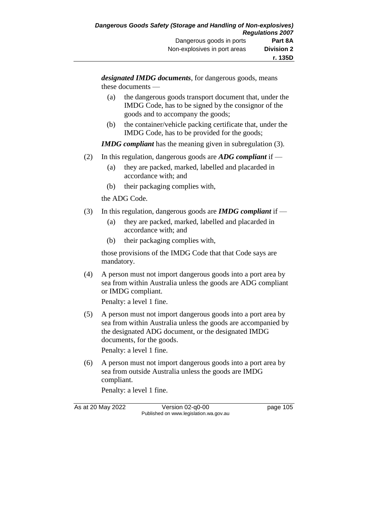*designated IMDG documents*, for dangerous goods, means these documents —

- (a) the dangerous goods transport document that, under the IMDG Code, has to be signed by the consignor of the goods and to accompany the goods;
- (b) the container/vehicle packing certificate that, under the IMDG Code, has to be provided for the goods;

*IMDG compliant* has the meaning given in subregulation (3).

- (2) In this regulation, dangerous goods are *ADG compliant* if
	- (a) they are packed, marked, labelled and placarded in accordance with; and
	- (b) their packaging complies with,

the ADG Code.

- (3) In this regulation, dangerous goods are *IMDG compliant* if
	- (a) they are packed, marked, labelled and placarded in accordance with; and
	- (b) their packaging complies with,

those provisions of the IMDG Code that that Code says are mandatory.

(4) A person must not import dangerous goods into a port area by sea from within Australia unless the goods are ADG compliant or IMDG compliant.

Penalty: a level 1 fine.

- (5) A person must not import dangerous goods into a port area by sea from within Australia unless the goods are accompanied by the designated ADG document, or the designated IMDG documents, for the goods. Penalty: a level 1 fine.
- (6) A person must not import dangerous goods into a port area by sea from outside Australia unless the goods are IMDG compliant.

Penalty: a level 1 fine.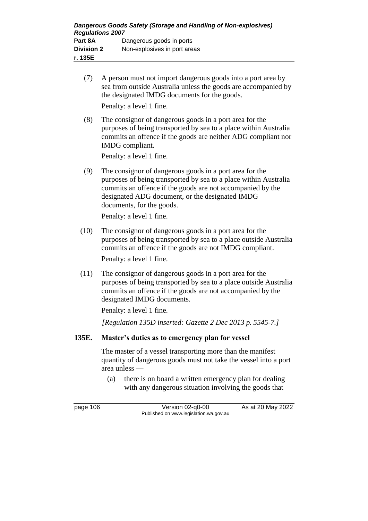- (7) A person must not import dangerous goods into a port area by sea from outside Australia unless the goods are accompanied by the designated IMDG documents for the goods. Penalty: a level 1 fine.
- (8) The consignor of dangerous goods in a port area for the purposes of being transported by sea to a place within Australia commits an offence if the goods are neither ADG compliant nor IMDG compliant.

Penalty: a level 1 fine.

(9) The consignor of dangerous goods in a port area for the purposes of being transported by sea to a place within Australia commits an offence if the goods are not accompanied by the designated ADG document, or the designated IMDG documents, for the goods.

Penalty: a level 1 fine.

- (10) The consignor of dangerous goods in a port area for the purposes of being transported by sea to a place outside Australia commits an offence if the goods are not IMDG compliant. Penalty: a level 1 fine.
- (11) The consignor of dangerous goods in a port area for the purposes of being transported by sea to a place outside Australia commits an offence if the goods are not accompanied by the designated IMDG documents.

Penalty: a level 1 fine.

*[Regulation 135D inserted: Gazette 2 Dec 2013 p. 5545-7.]*

## **135E. Master's duties as to emergency plan for vessel**

The master of a vessel transporting more than the manifest quantity of dangerous goods must not take the vessel into a port area unless —

(a) there is on board a written emergency plan for dealing with any dangerous situation involving the goods that

page 106 Version 02-q0-00 As at 20 May 2022 Published on www.legislation.wa.gov.au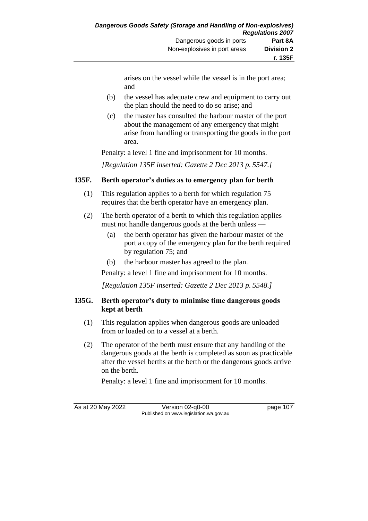arises on the vessel while the vessel is in the port area; and

- (b) the vessel has adequate crew and equipment to carry out the plan should the need to do so arise; and
- (c) the master has consulted the harbour master of the port about the management of any emergency that might arise from handling or transporting the goods in the port area.

Penalty: a level 1 fine and imprisonment for 10 months.

*[Regulation 135E inserted: Gazette 2 Dec 2013 p. 5547.]*

## **135F. Berth operator's duties as to emergency plan for berth**

- (1) This regulation applies to a berth for which regulation 75 requires that the berth operator have an emergency plan.
- (2) The berth operator of a berth to which this regulation applies must not handle dangerous goods at the berth unless —
	- (a) the berth operator has given the harbour master of the port a copy of the emergency plan for the berth required by regulation 75; and
	- (b) the harbour master has agreed to the plan.

Penalty: a level 1 fine and imprisonment for 10 months.

*[Regulation 135F inserted: Gazette 2 Dec 2013 p. 5548.]*

## **135G. Berth operator's duty to minimise time dangerous goods kept at berth**

- (1) This regulation applies when dangerous goods are unloaded from or loaded on to a vessel at a berth.
- (2) The operator of the berth must ensure that any handling of the dangerous goods at the berth is completed as soon as practicable after the vessel berths at the berth or the dangerous goods arrive on the berth.

Penalty: a level 1 fine and imprisonment for 10 months.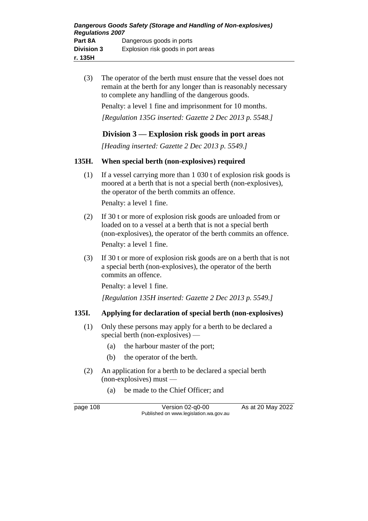(3) The operator of the berth must ensure that the vessel does not remain at the berth for any longer than is reasonably necessary to complete any handling of the dangerous goods.

Penalty: a level 1 fine and imprisonment for 10 months.

*[Regulation 135G inserted: Gazette 2 Dec 2013 p. 5548.]*

## **Division 3 — Explosion risk goods in port areas**

*[Heading inserted: Gazette 2 Dec 2013 p. 5549.]*

### **135H. When special berth (non-explosives) required**

- (1) If a vessel carrying more than 1 030 t of explosion risk goods is moored at a berth that is not a special berth (non-explosives), the operator of the berth commits an offence. Penalty: a level 1 fine.
- (2) If 30 t or more of explosion risk goods are unloaded from or loaded on to a vessel at a berth that is not a special berth (non-explosives), the operator of the berth commits an offence. Penalty: a level 1 fine.
- (3) If 30 t or more of explosion risk goods are on a berth that is not a special berth (non-explosives), the operator of the berth commits an offence.

Penalty: a level 1 fine.

*[Regulation 135H inserted: Gazette 2 Dec 2013 p. 5549.]*

## **135I. Applying for declaration of special berth (non-explosives)**

- (1) Only these persons may apply for a berth to be declared a special berth (non-explosives) —
	- (a) the harbour master of the port;
	- (b) the operator of the berth.
- (2) An application for a berth to be declared a special berth (non-explosives) must —
	- (a) be made to the Chief Officer; and

page 108 Version 02-q0-00 As at 20 May 2022 Published on www.legislation.wa.gov.au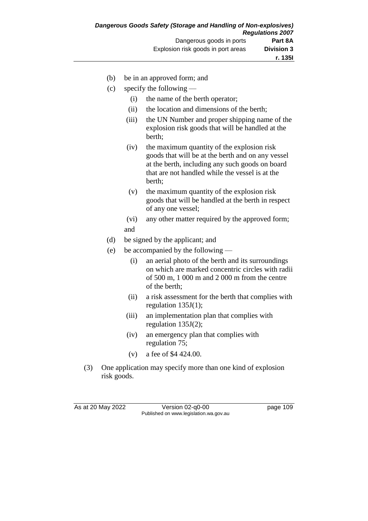- (b) be in an approved form; and
- (c) specify the following
	- (i) the name of the berth operator;
	- (ii) the location and dimensions of the berth;
	- (iii) the UN Number and proper shipping name of the explosion risk goods that will be handled at the berth;
	- (iv) the maximum quantity of the explosion risk goods that will be at the berth and on any vessel at the berth, including any such goods on board that are not handled while the vessel is at the berth;
	- (v) the maximum quantity of the explosion risk goods that will be handled at the berth in respect of any one vessel;
	- (vi) any other matter required by the approved form; and
- (d) be signed by the applicant; and
- (e) be accompanied by the following
	- (i) an aerial photo of the berth and its surroundings on which are marked concentric circles with radii of 500 m, 1 000 m and 2 000 m from the centre of the berth;
	- (ii) a risk assessment for the berth that complies with regulation 135J(1);
	- (iii) an implementation plan that complies with regulation 135J(2);
	- (iv) an emergency plan that complies with regulation 75;
	- (v) a fee of \$4 424.00.
- (3) One application may specify more than one kind of explosion risk goods.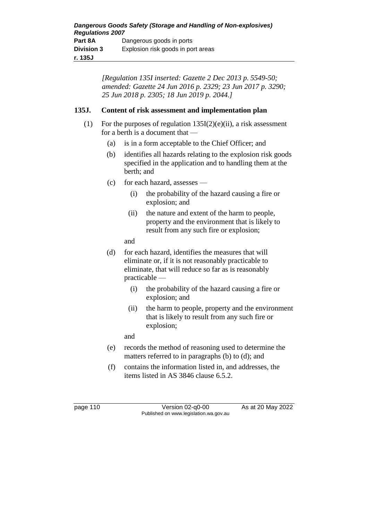*[Regulation 135I inserted: Gazette 2 Dec 2013 p. 5549-50; amended: Gazette 24 Jun 2016 p. 2329; 23 Jun 2017 p. 3290; 25 Jun 2018 p. 2305; 18 Jun 2019 p. 2044.]*

## **135J. Content of risk assessment and implementation plan**

- (1) For the purposes of regulation  $135I(2)(e)(ii)$ , a risk assessment for a berth is a document that —
	- (a) is in a form acceptable to the Chief Officer; and
	- (b) identifies all hazards relating to the explosion risk goods specified in the application and to handling them at the berth; and
	- (c) for each hazard, assesses
		- (i) the probability of the hazard causing a fire or explosion; and
		- (ii) the nature and extent of the harm to people, property and the environment that is likely to result from any such fire or explosion;

and

- (d) for each hazard, identifies the measures that will eliminate or, if it is not reasonably practicable to eliminate, that will reduce so far as is reasonably practicable —
	- (i) the probability of the hazard causing a fire or explosion; and
	- (ii) the harm to people, property and the environment that is likely to result from any such fire or explosion;

and

- (e) records the method of reasoning used to determine the matters referred to in paragraphs (b) to (d); and
- (f) contains the information listed in, and addresses, the items listed in AS 3846 clause 6.5.2.

page 110 Version 02-q0-00 As at 20 May 2022 Published on www.legislation.wa.gov.au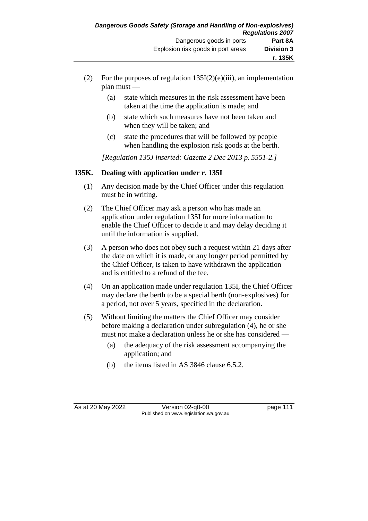- (2) For the purposes of regulation  $135I(2)(e)(iii)$ , an implementation plan must —
	- (a) state which measures in the risk assessment have been taken at the time the application is made; and
	- (b) state which such measures have not been taken and when they will be taken; and
	- (c) state the procedures that will be followed by people when handling the explosion risk goods at the berth.

*[Regulation 135J inserted: Gazette 2 Dec 2013 p. 5551-2.]*

## **135K. Dealing with application under r. 135I**

- (1) Any decision made by the Chief Officer under this regulation must be in writing.
- (2) The Chief Officer may ask a person who has made an application under regulation 135I for more information to enable the Chief Officer to decide it and may delay deciding it until the information is supplied.
- (3) A person who does not obey such a request within 21 days after the date on which it is made, or any longer period permitted by the Chief Officer, is taken to have withdrawn the application and is entitled to a refund of the fee.
- (4) On an application made under regulation 135I, the Chief Officer may declare the berth to be a special berth (non-explosives) for a period, not over 5 years, specified in the declaration.
- (5) Without limiting the matters the Chief Officer may consider before making a declaration under subregulation (4), he or she must not make a declaration unless he or she has considered —
	- (a) the adequacy of the risk assessment accompanying the application; and
	- (b) the items listed in AS 3846 clause 6.5.2.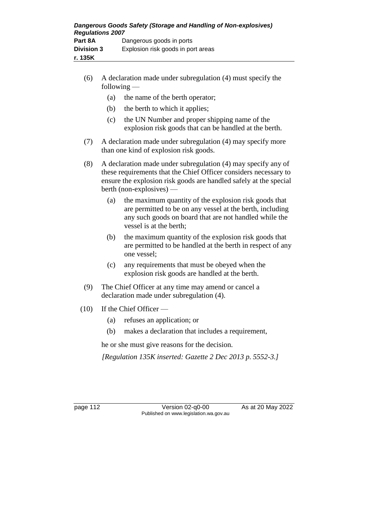| Dangerous Goods Safety (Storage and Handling of Non-explosives)<br><b>Regulations 2007</b> |                                    |  |  |
|--------------------------------------------------------------------------------------------|------------------------------------|--|--|
| Part 8A                                                                                    | Dangerous goods in ports           |  |  |
| <b>Division 3</b>                                                                          | Explosion risk goods in port areas |  |  |
| r. 135K                                                                                    |                                    |  |  |

- (6) A declaration made under subregulation (4) must specify the following —
	- (a) the name of the berth operator;
	- (b) the berth to which it applies;
	- (c) the UN Number and proper shipping name of the explosion risk goods that can be handled at the berth.
- (7) A declaration made under subregulation (4) may specify more than one kind of explosion risk goods.
- (8) A declaration made under subregulation (4) may specify any of these requirements that the Chief Officer considers necessary to ensure the explosion risk goods are handled safely at the special berth (non-explosives) —
	- (a) the maximum quantity of the explosion risk goods that are permitted to be on any vessel at the berth, including any such goods on board that are not handled while the vessel is at the berth;
	- (b) the maximum quantity of the explosion risk goods that are permitted to be handled at the berth in respect of any one vessel;
	- (c) any requirements that must be obeyed when the explosion risk goods are handled at the berth.
- (9) The Chief Officer at any time may amend or cancel a declaration made under subregulation (4).
- (10) If the Chief Officer
	- (a) refuses an application; or
	- (b) makes a declaration that includes a requirement,

he or she must give reasons for the decision.

*[Regulation 135K inserted: Gazette 2 Dec 2013 p. 5552-3.]*

page 112 Version 02-q0-00 As at 20 May 2022 Published on www.legislation.wa.gov.au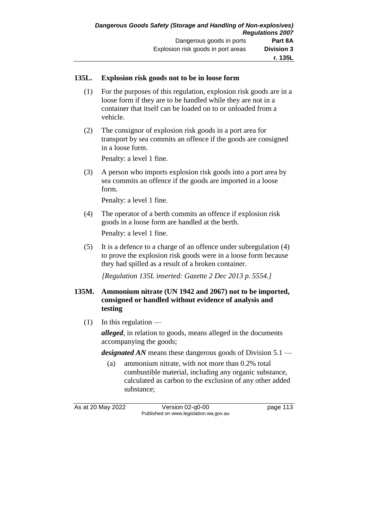### **135L. Explosion risk goods not to be in loose form**

- (1) For the purposes of this regulation, explosion risk goods are in a loose form if they are to be handled while they are not in a container that itself can be loaded on to or unloaded from a vehicle.
- (2) The consignor of explosion risk goods in a port area for transport by sea commits an offence if the goods are consigned in a loose form.

Penalty: a level 1 fine.

(3) A person who imports explosion risk goods into a port area by sea commits an offence if the goods are imported in a loose form.

Penalty: a level 1 fine.

(4) The operator of a berth commits an offence if explosion risk goods in a loose form are handled at the berth.

Penalty: a level 1 fine.

(5) It is a defence to a charge of an offence under subregulation (4) to prove the explosion risk goods were in a loose form because they had spilled as a result of a broken container.

*[Regulation 135L inserted: Gazette 2 Dec 2013 p. 5554.]*

- **135M. Ammonium nitrate (UN 1942 and 2067) not to be imported, consigned or handled without evidence of analysis and testing**
	- $(1)$  In this regulation —

*alleged*, in relation to goods, means alleged in the documents accompanying the goods;

*designated AN* means these dangerous goods of Division 5.1 —

(a) ammonium nitrate, with not more than 0.2% total combustible material, including any organic substance, calculated as carbon to the exclusion of any other added substance;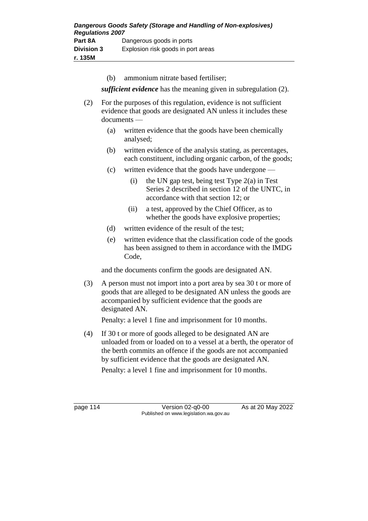(b) ammonium nitrate based fertiliser;

*sufficient evidence* has the meaning given in subregulation (2).

- (2) For the purposes of this regulation, evidence is not sufficient evidence that goods are designated AN unless it includes these documents —
	- (a) written evidence that the goods have been chemically analysed;
	- (b) written evidence of the analysis stating, as percentages, each constituent, including organic carbon, of the goods;
	- (c) written evidence that the goods have undergone
		- (i) the UN gap test, being test Type  $2(a)$  in Test Series 2 described in section 12 of the UNTC, in accordance with that section 12; or
		- (ii) a test, approved by the Chief Officer, as to whether the goods have explosive properties;
	- (d) written evidence of the result of the test;
	- (e) written evidence that the classification code of the goods has been assigned to them in accordance with the IMDG Code,

and the documents confirm the goods are designated AN.

(3) A person must not import into a port area by sea 30 t or more of goods that are alleged to be designated AN unless the goods are accompanied by sufficient evidence that the goods are designated AN.

Penalty: a level 1 fine and imprisonment for 10 months.

(4) If 30 t or more of goods alleged to be designated AN are unloaded from or loaded on to a vessel at a berth, the operator of the berth commits an offence if the goods are not accompanied by sufficient evidence that the goods are designated AN.

Penalty: a level 1 fine and imprisonment for 10 months.

page 114 Version 02-q0-00 As at 20 May 2022 Published on www.legislation.wa.gov.au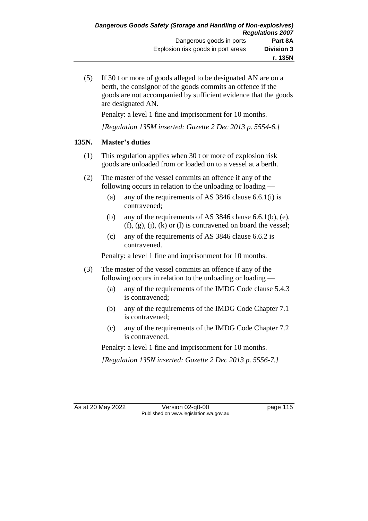(5) If 30 t or more of goods alleged to be designated AN are on a berth, the consignor of the goods commits an offence if the goods are not accompanied by sufficient evidence that the goods are designated AN.

Penalty: a level 1 fine and imprisonment for 10 months.

*[Regulation 135M inserted: Gazette 2 Dec 2013 p. 5554-6.]*

## **135N. Master's duties**

- (1) This regulation applies when 30 t or more of explosion risk goods are unloaded from or loaded on to a vessel at a berth.
- (2) The master of the vessel commits an offence if any of the following occurs in relation to the unloading or loading —
	- (a) any of the requirements of AS 3846 clause 6.6.1(i) is contravened;
	- (b) any of the requirements of AS 3846 clause 6.6.1(b), (e),  $(f)$ ,  $(g)$ ,  $(j)$ ,  $(k)$  or  $(l)$  is contravened on board the vessel;
	- (c) any of the requirements of AS 3846 clause 6.6.2 is contravened.

Penalty: a level 1 fine and imprisonment for 10 months.

- (3) The master of the vessel commits an offence if any of the following occurs in relation to the unloading or loading —
	- (a) any of the requirements of the IMDG Code clause 5.4.3 is contravened;
	- (b) any of the requirements of the IMDG Code Chapter 7.1 is contravened;
	- (c) any of the requirements of the IMDG Code Chapter 7.2 is contravened.

Penalty: a level 1 fine and imprisonment for 10 months.

*[Regulation 135N inserted: Gazette 2 Dec 2013 p. 5556-7.]*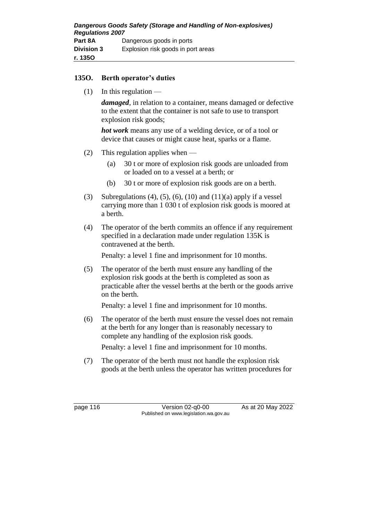### **135O. Berth operator's duties**

 $(1)$  In this regulation —

*damaged*, in relation to a container, means damaged or defective to the extent that the container is not safe to use to transport explosion risk goods;

*hot work* means any use of a welding device, or of a tool or device that causes or might cause heat, sparks or a flame.

- (2) This regulation applies when
	- (a) 30 t or more of explosion risk goods are unloaded from or loaded on to a vessel at a berth; or
	- (b) 30 t or more of explosion risk goods are on a berth.
- (3) Subregulations (4), (5), (6), (10) and (11)(a) apply if a vessel carrying more than 1 030 t of explosion risk goods is moored at a berth.
- (4) The operator of the berth commits an offence if any requirement specified in a declaration made under regulation 135K is contravened at the berth.

Penalty: a level 1 fine and imprisonment for 10 months.

(5) The operator of the berth must ensure any handling of the explosion risk goods at the berth is completed as soon as practicable after the vessel berths at the berth or the goods arrive on the berth.

Penalty: a level 1 fine and imprisonment for 10 months.

(6) The operator of the berth must ensure the vessel does not remain at the berth for any longer than is reasonably necessary to complete any handling of the explosion risk goods.

Penalty: a level 1 fine and imprisonment for 10 months.

(7) The operator of the berth must not handle the explosion risk goods at the berth unless the operator has written procedures for

page 116 Version 02-q0-00 As at 20 May 2022 Published on www.legislation.wa.gov.au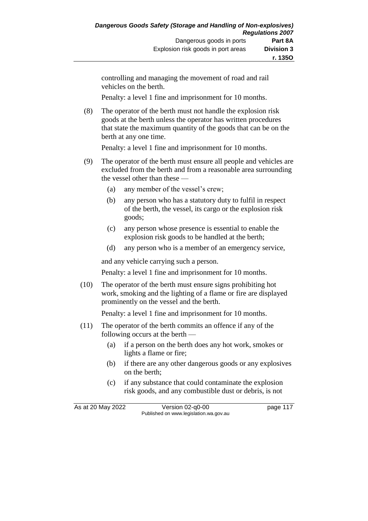controlling and managing the movement of road and rail vehicles on the berth.

Penalty: a level 1 fine and imprisonment for 10 months.

(8) The operator of the berth must not handle the explosion risk goods at the berth unless the operator has written procedures that state the maximum quantity of the goods that can be on the berth at any one time.

Penalty: a level 1 fine and imprisonment for 10 months.

- (9) The operator of the berth must ensure all people and vehicles are excluded from the berth and from a reasonable area surrounding the vessel other than these —
	- (a) any member of the vessel's crew;
	- (b) any person who has a statutory duty to fulfil in respect of the berth, the vessel, its cargo or the explosion risk goods;
	- (c) any person whose presence is essential to enable the explosion risk goods to be handled at the berth;
	- (d) any person who is a member of an emergency service,

and any vehicle carrying such a person.

Penalty: a level 1 fine and imprisonment for 10 months.

(10) The operator of the berth must ensure signs prohibiting hot work, smoking and the lighting of a flame or fire are displayed prominently on the vessel and the berth.

Penalty: a level 1 fine and imprisonment for 10 months.

- (11) The operator of the berth commits an offence if any of the following occurs at the berth —
	- (a) if a person on the berth does any hot work, smokes or lights a flame or fire;
	- (b) if there are any other dangerous goods or any explosives on the berth;
	- (c) if any substance that could contaminate the explosion risk goods, and any combustible dust or debris, is not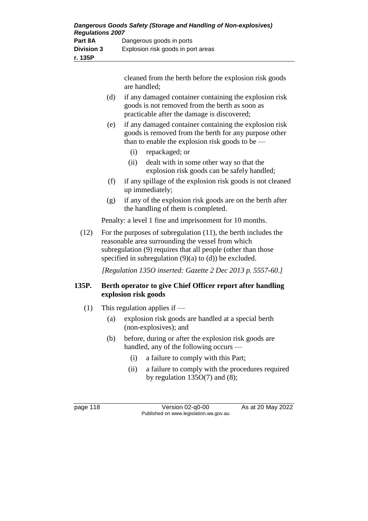| Dangerous Goods Safety (Storage and Handling of Non-explosives)<br><b>Regulations 2007</b> |                                    |  |  |
|--------------------------------------------------------------------------------------------|------------------------------------|--|--|
|                                                                                            |                                    |  |  |
| Part 8A                                                                                    | Dangerous goods in ports           |  |  |
| <b>Division 3</b>                                                                          | Explosion risk goods in port areas |  |  |
| r. 135P                                                                                    |                                    |  |  |

cleaned from the berth before the explosion risk goods are handled;

- (d) if any damaged container containing the explosion risk goods is not removed from the berth as soon as practicable after the damage is discovered;
- (e) if any damaged container containing the explosion risk goods is removed from the berth for any purpose other than to enable the explosion risk goods to be —
	- (i) repackaged; or
	- (ii) dealt with in some other way so that the explosion risk goods can be safely handled;
- (f) if any spillage of the explosion risk goods is not cleaned up immediately;
- (g) if any of the explosion risk goods are on the berth after the handling of them is completed.

Penalty: a level 1 fine and imprisonment for 10 months.

(12) For the purposes of subregulation (11), the berth includes the reasonable area surrounding the vessel from which subregulation (9) requires that all people (other than those specified in subregulation  $(9)(a)$  to  $(d)$ ) be excluded.

*[Regulation 135O inserted: Gazette 2 Dec 2013 p. 5557-60.]*

## **135P. Berth operator to give Chief Officer report after handling explosion risk goods**

- (1) This regulation applies if
	- (a) explosion risk goods are handled at a special berth (non-explosives); and
	- (b) before, during or after the explosion risk goods are handled, any of the following occurs —
		- (i) a failure to comply with this Part;
		- (ii) a failure to comply with the procedures required by regulation  $135O(7)$  and  $(8)$ ;

page 118 Version 02-q0-00 As at 20 May 2022 Published on www.legislation.wa.gov.au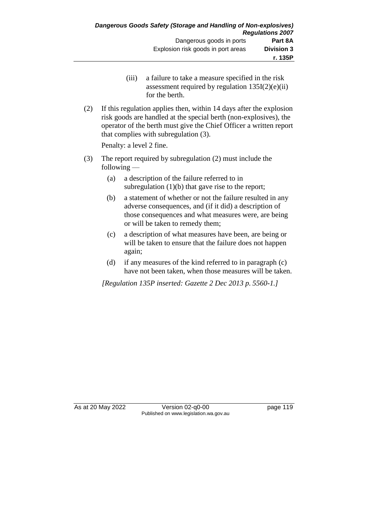- (iii) a failure to take a measure specified in the risk assessment required by regulation  $135I(2)(e)(ii)$ for the berth.
- (2) If this regulation applies then, within 14 days after the explosion risk goods are handled at the special berth (non-explosives), the operator of the berth must give the Chief Officer a written report that complies with subregulation (3).

Penalty: a level 2 fine.

- (3) The report required by subregulation (2) must include the following —
	- (a) a description of the failure referred to in subregulation  $(1)(b)$  that gave rise to the report;
	- (b) a statement of whether or not the failure resulted in any adverse consequences, and (if it did) a description of those consequences and what measures were, are being or will be taken to remedy them;
	- (c) a description of what measures have been, are being or will be taken to ensure that the failure does not happen again;
	- (d) if any measures of the kind referred to in paragraph (c) have not been taken, when those measures will be taken.

*[Regulation 135P inserted: Gazette 2 Dec 2013 p. 5560-1.]*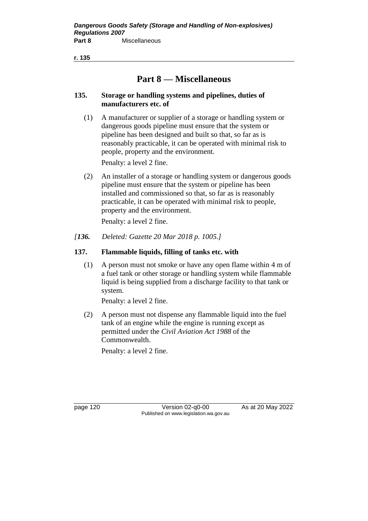**r. 135**

# **Part 8 — Miscellaneous**

### **135. Storage or handling systems and pipelines, duties of manufacturers etc. of**

(1) A manufacturer or supplier of a storage or handling system or dangerous goods pipeline must ensure that the system or pipeline has been designed and built so that, so far as is reasonably practicable, it can be operated with minimal risk to people, property and the environment.

Penalty: a level 2 fine.

(2) An installer of a storage or handling system or dangerous goods pipeline must ensure that the system or pipeline has been installed and commissioned so that, so far as is reasonably practicable, it can be operated with minimal risk to people, property and the environment.

Penalty: a level 2 fine.

*[136. Deleted: Gazette 20 Mar 2018 p. 1005.]*

## **137. Flammable liquids, filling of tanks etc. with**

(1) A person must not smoke or have any open flame within 4 m of a fuel tank or other storage or handling system while flammable liquid is being supplied from a discharge facility to that tank or system.

Penalty: a level 2 fine.

(2) A person must not dispense any flammable liquid into the fuel tank of an engine while the engine is running except as permitted under the *Civil Aviation Act 1988* of the Commonwealth.

Penalty: a level 2 fine.

page 120 Version 02-q0-00 As at 20 May 2022 Published on www.legislation.wa.gov.au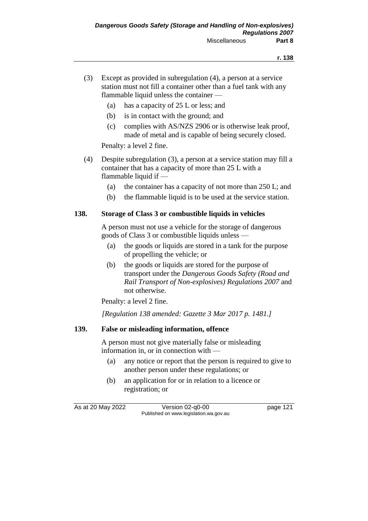- (3) Except as provided in subregulation (4), a person at a service station must not fill a container other than a fuel tank with any flammable liquid unless the container —
	- (a) has a capacity of 25 L or less; and
	- (b) is in contact with the ground; and
	- (c) complies with AS/NZS 2906 or is otherwise leak proof, made of metal and is capable of being securely closed.

Penalty: a level 2 fine.

- (4) Despite subregulation (3), a person at a service station may fill a container that has a capacity of more than 25 L with a flammable liquid if —
	- (a) the container has a capacity of not more than 250 L; and
	- (b) the flammable liquid is to be used at the service station.

### **138. Storage of Class 3 or combustible liquids in vehicles**

A person must not use a vehicle for the storage of dangerous goods of Class 3 or combustible liquids unless —

- (a) the goods or liquids are stored in a tank for the purpose of propelling the vehicle; or
- (b) the goods or liquids are stored for the purpose of transport under the *Dangerous Goods Safety (Road and Rail Transport of Non-explosives) Regulations 2007* and not otherwise.

Penalty: a level 2 fine.

*[Regulation 138 amended: Gazette 3 Mar 2017 p. 1481.]*

## **139. False or misleading information, offence**

A person must not give materially false or misleading information in, or in connection with —

- (a) any notice or report that the person is required to give to another person under these regulations; or
- (b) an application for or in relation to a licence or registration; or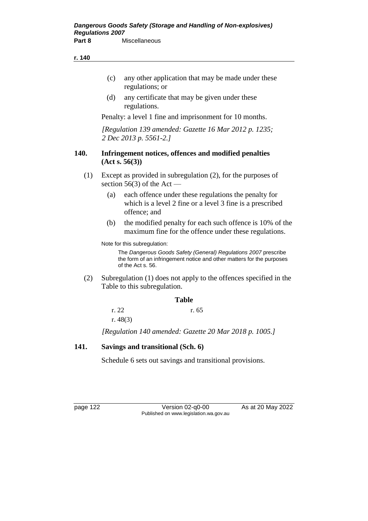#### **r. 140**

- (c) any other application that may be made under these regulations; or
- (d) any certificate that may be given under these regulations.

Penalty: a level 1 fine and imprisonment for 10 months.

*[Regulation 139 amended: Gazette 16 Mar 2012 p. 1235; 2 Dec 2013 p. 5561-2.]*

#### **140. Infringement notices, offences and modified penalties (Act s. 56(3))**

- (1) Except as provided in subregulation (2), for the purposes of section  $56(3)$  of the Act —
	- (a) each offence under these regulations the penalty for which is a level 2 fine or a level 3 fine is a prescribed offence; and
	- (b) the modified penalty for each such offence is 10% of the maximum fine for the offence under these regulations.

Note for this subregulation:

The *Dangerous Goods Safety (General) Regulations 2007* prescribe the form of an infringement notice and other matters for the purposes of the Act s. 56.

(2) Subregulation (1) does not apply to the offences specified in the Table to this subregulation.

#### **Table**

r. 22 r. 65 r. 48(3)

*[Regulation 140 amended: Gazette 20 Mar 2018 p. 1005.]*

#### **141. Savings and transitional (Sch. 6)**

Schedule 6 sets out savings and transitional provisions.

page 122 Version 02-q0-00 As at 20 May 2022 Published on www.legislation.wa.gov.au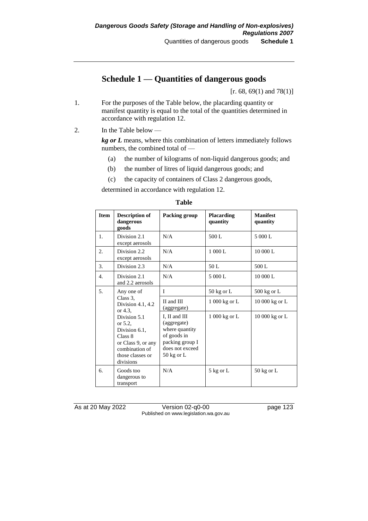# **Schedule 1 — Quantities of dangerous goods**

[r. 68, 69(1) and 78(1)]

- 1. For the purposes of the Table below, the placarding quantity or manifest quantity is equal to the total of the quantities determined in accordance with regulation 12.
- 2. In the Table below —

*kg or L* means, where this combination of letters immediately follows numbers, the combined total of —

- (a) the number of kilograms of non-liquid dangerous goods; and
- (b) the number of litres of liquid dangerous goods; and
- (c) the capacity of containers of Class 2 dangerous goods,

determined in accordance with regulation 12.

| <b>Item</b> | <b>Description of</b><br>dangerous<br>goods                                                                                  | Packing group                                                                                                               | <b>Placarding</b><br>quantity | <b>Manifest</b><br>quantity |
|-------------|------------------------------------------------------------------------------------------------------------------------------|-----------------------------------------------------------------------------------------------------------------------------|-------------------------------|-----------------------------|
| 1.          | Division 2.1<br>except aerosols                                                                                              | N/A                                                                                                                         | 500L                          | 5 000 L                     |
| 2.          | Division 2.2<br>except aerosols                                                                                              | N/A                                                                                                                         | 1000L                         | 10 000 L                    |
| 3.          | Division 2.3                                                                                                                 | N/A                                                                                                                         | 50 L                          | 500 L                       |
| 4.          | Division 2.1<br>and 2.2 aerosols                                                                                             | N/A                                                                                                                         | 5 000 L                       | 10 000 L                    |
| 5.          | Any one of                                                                                                                   | T                                                                                                                           | $50 \text{ kg}$ or L          | $500 \text{ kg}$ or L       |
|             | Class 3,<br>Division 4.1, 4.2<br>or 4.3.                                                                                     | II and III<br>(aggregate)                                                                                                   | 1 000 kg or L                 | 10 000 kg or L              |
|             | Division 5.1<br>or 5.2,<br>Division 6.1,<br>Class 8<br>or Class 9, or any<br>combination of<br>those classes or<br>divisions | I, II and III<br>(aggregate)<br>where quantity<br>of goods in<br>packing group I<br>does not exceed<br>$50 \text{ kg}$ or L | 1 000 kg or L                 | 10 000 kg or L              |
| б.          | Goods too<br>dangerous to<br>transport                                                                                       | N/A                                                                                                                         | 5 kg or L                     | $50 \text{ kg}$ or L        |

#### **Table**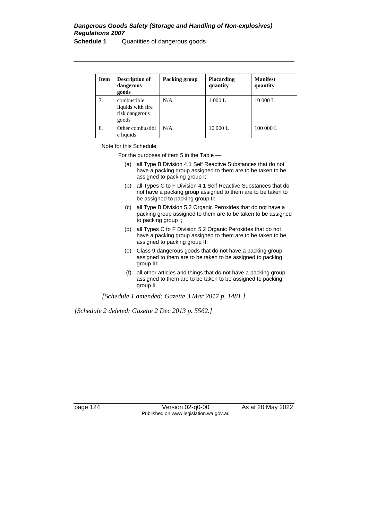# *Dangerous Goods Safety (Storage and Handling of Non-explosives) Regulations 2007*

**Schedule 1** Quantities of dangerous goods

| <b>Item</b> | Description of<br>dangerous<br>goods                         | Packing group | <b>Placarding</b><br>quantity | <b>Manifest</b><br>quantity |
|-------------|--------------------------------------------------------------|---------------|-------------------------------|-----------------------------|
| 7.          | combustible<br>liquids with fire.<br>risk dangerous<br>goods | N/A           | 1 000 L                       | 10 000 L                    |
| 8.          | Other combustibl<br>e liquids                                | N/A           | 10 000 L                      | 100 000 L                   |

Note for this Schedule:

For the purposes of item 5 in the Table —

- (a) all Type B Division 4.1 Self Reactive Substances that do not have a packing group assigned to them are to be taken to be assigned to packing group I;
- (b) all Types C to F Division 4.1 Self Reactive Substances that do not have a packing group assigned to them are to be taken to be assigned to packing group II;
- (c) all Type B Division 5.2 Organic Peroxides that do not have a packing group assigned to them are to be taken to be assigned to packing group I;
- (d) all Types C to F Division 5.2 Organic Peroxides that do not have a packing group assigned to them are to be taken to be assigned to packing group II;
- (e) Class 9 dangerous goods that do not have a packing group assigned to them are to be taken to be assigned to packing group III;
- (f) all other articles and things that do not have a packing group assigned to them are to be taken to be assigned to packing group II.

*[Schedule 1 amended: Gazette 3 Mar 2017 p. 1481.]*

*[Schedule 2 deleted: Gazette 2 Dec 2013 p. 5562.]*

page 124 Version 02-q0-00 As at 20 May 2022 Published on www.legislation.wa.gov.au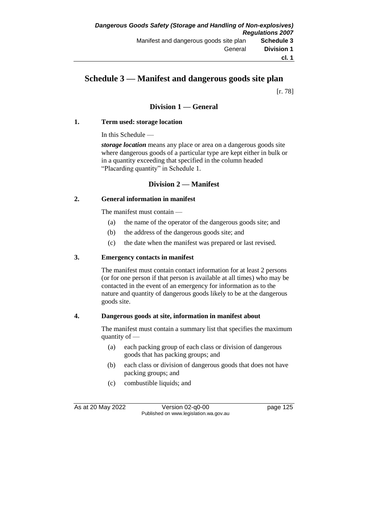# **Schedule 3 — Manifest and dangerous goods site plan**

[r. 78]

### **Division 1 — General**

#### **1. Term used: storage location**

In this Schedule —

*storage location* means any place or area on a dangerous goods site where dangerous goods of a particular type are kept either in bulk or in a quantity exceeding that specified in the column headed "Placarding quantity" in Schedule 1.

#### **Division 2 — Manifest**

#### **2. General information in manifest**

The manifest must contain —

- (a) the name of the operator of the dangerous goods site; and
- (b) the address of the dangerous goods site; and
- (c) the date when the manifest was prepared or last revised.

#### **3. Emergency contacts in manifest**

The manifest must contain contact information for at least 2 persons (or for one person if that person is available at all times) who may be contacted in the event of an emergency for information as to the nature and quantity of dangerous goods likely to be at the dangerous goods site.

#### **4. Dangerous goods at site, information in manifest about**

The manifest must contain a summary list that specifies the maximum quantity of —

- (a) each packing group of each class or division of dangerous goods that has packing groups; and
- (b) each class or division of dangerous goods that does not have packing groups; and
- (c) combustible liquids; and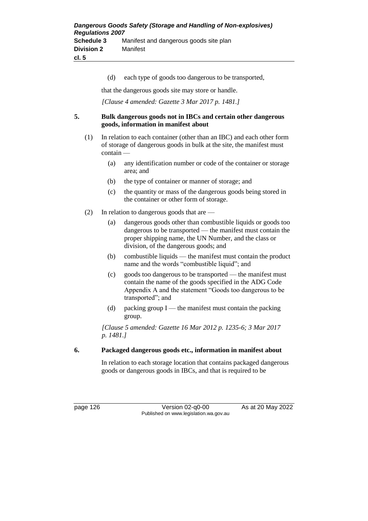(d) each type of goods too dangerous to be transported,

that the dangerous goods site may store or handle.

*[Clause 4 amended: Gazette 3 Mar 2017 p. 1481.]*

#### **5. Bulk dangerous goods not in IBCs and certain other dangerous goods, information in manifest about**

- (1) In relation to each container (other than an IBC) and each other form of storage of dangerous goods in bulk at the site, the manifest must contain —
	- (a) any identification number or code of the container or storage area; and
	- (b) the type of container or manner of storage; and
	- (c) the quantity or mass of the dangerous goods being stored in the container or other form of storage.
- (2) In relation to dangerous goods that are
	- (a) dangerous goods other than combustible liquids or goods too dangerous to be transported — the manifest must contain the proper shipping name, the UN Number, and the class or division, of the dangerous goods; and
	- (b) combustible liquids the manifest must contain the product name and the words "combustible liquid"; and
	- (c) goods too dangerous to be transported the manifest must contain the name of the goods specified in the ADG Code Appendix A and the statement "Goods too dangerous to be transported"; and
	- (d) packing group  $I$  the manifest must contain the packing group.

*[Clause 5 amended: Gazette 16 Mar 2012 p. 1235-6; 3 Mar 2017 p. 1481.]*

#### **6. Packaged dangerous goods etc., information in manifest about**

In relation to each storage location that contains packaged dangerous goods or dangerous goods in IBCs, and that is required to be

page 126 Version 02-q0-00 As at 20 May 2022 Published on www.legislation.wa.gov.au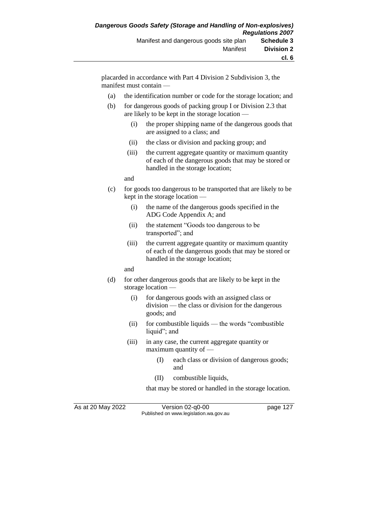placarded in accordance with Part 4 Division 2 Subdivision 3, the manifest must contain —

- (a) the identification number or code for the storage location; and
- (b) for dangerous goods of packing group I or Division 2.3 that are likely to be kept in the storage location —
	- (i) the proper shipping name of the dangerous goods that are assigned to a class; and
	- (ii) the class or division and packing group; and
	- (iii) the current aggregate quantity or maximum quantity of each of the dangerous goods that may be stored or handled in the storage location;

and

- (c) for goods too dangerous to be transported that are likely to be kept in the storage location —
	- (i) the name of the dangerous goods specified in the ADG Code Appendix A; and
	- (ii) the statement "Goods too dangerous to be transported"; and
	- (iii) the current aggregate quantity or maximum quantity of each of the dangerous goods that may be stored or handled in the storage location;

and

- (d) for other dangerous goods that are likely to be kept in the storage location —
	- (i) for dangerous goods with an assigned class or division — the class or division for the dangerous goods; and
	- (ii) for combustible liquids the words "combustible liquid"; and
	- (iii) in any case, the current aggregate quantity or maximum quantity of —
		- (I) each class or division of dangerous goods; and
		- (II) combustible liquids,

that may be stored or handled in the storage location.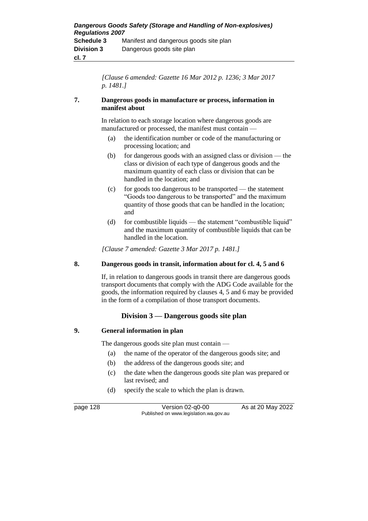*[Clause 6 amended: Gazette 16 Mar 2012 p. 1236; 3 Mar 2017 p. 1481.]*

#### **7. Dangerous goods in manufacture or process, information in manifest about**

In relation to each storage location where dangerous goods are manufactured or processed, the manifest must contain —

- (a) the identification number or code of the manufacturing or processing location; and
- (b) for dangerous goods with an assigned class or division the class or division of each type of dangerous goods and the maximum quantity of each class or division that can be handled in the location; and
- (c) for goods too dangerous to be transported the statement "Goods too dangerous to be transported" and the maximum quantity of those goods that can be handled in the location; and
- (d) for combustible liquids the statement "combustible liquid" and the maximum quantity of combustible liquids that can be handled in the location.

*[Clause 7 amended: Gazette 3 Mar 2017 p. 1481.]*

#### **8. Dangerous goods in transit, information about for cl. 4, 5 and 6**

If, in relation to dangerous goods in transit there are dangerous goods transport documents that comply with the ADG Code available for the goods, the information required by clauses 4, 5 and 6 may be provided in the form of a compilation of those transport documents.

#### **Division 3 — Dangerous goods site plan**

#### **9. General information in plan**

The dangerous goods site plan must contain —

- (a) the name of the operator of the dangerous goods site; and
- (b) the address of the dangerous goods site; and
- (c) the date when the dangerous goods site plan was prepared or last revised; and
- (d) specify the scale to which the plan is drawn.

page 128 Version 02-q0-00 As at 20 May 2022 Published on www.legislation.wa.gov.au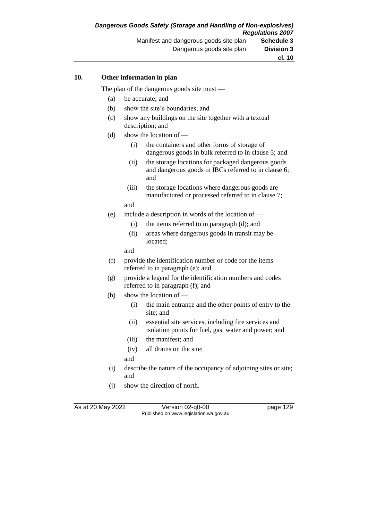#### **10. Other information in plan**

The plan of the dangerous goods site must —

- (a) be accurate; and
- (b) show the site's boundaries; and
- (c) show any buildings on the site together with a textual description; and
- (d) show the location of
	- (i) the containers and other forms of storage of dangerous goods in bulk referred to in clause 5; and
	- (ii) the storage locations for packaged dangerous goods and dangerous goods in IBCs referred to in clause 6; and
	- (iii) the storage locations where dangerous goods are manufactured or processed referred to in clause 7;
	- and
- (e) include a description in words of the location of
	- (i) the items referred to in paragraph (d); and
	- (ii) areas where dangerous goods in transit may be located;
	- and
- (f) provide the identification number or code for the items referred to in paragraph (e); and
- (g) provide a legend for the identification numbers and codes referred to in paragraph (f); and
- (h) show the location of
	- (i) the main entrance and the other points of entry to the site; and
	- (ii) essential site services, including fire services and isolation points for fuel, gas, water and power; and
	- (iii) the manifest; and
	- (iv) all drains on the site;
	- and
- (i) describe the nature of the occupancy of adjoining sites or site; and
- (j) show the direction of north.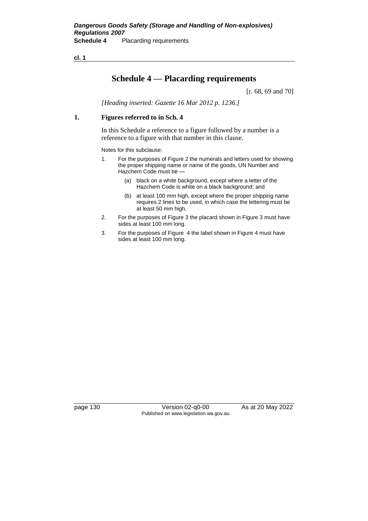**cl. 1**

# **Schedule 4 — Placarding requirements**

[r. 68, 69 and 70]

*[Heading inserted: Gazette 16 Mar 2012 p. 1236.]*

#### **1. Figures referred to in Sch. 4**

In this Schedule a reference to a figure followed by a number is a reference to a figure with that number in this clause.

Notes for this subclause:

- 1. For the purposes of Figure 2 the numerals and letters used for showing the proper shipping name or name of the goods, UN Number and Hazchem Code must be —
	- (a) black on a white background, except where a letter of the Hazchem Code is white on a black background; and
	- (b) at least 100 mm high, except where the proper shipping name requires 2 lines to be used, in which case the lettering must be at least 50 mm high.
- 2. For the purposes of Figure 3 the placard shown in Figure 3 must have sides at least 100 mm long.
- 3. For the purposes of Figure 4 the label shown in Figure 4 must have sides at least 100 mm long.

page 130 Version 02-q0-00 As at 20 May 2022 Published on www.legislation.wa.gov.au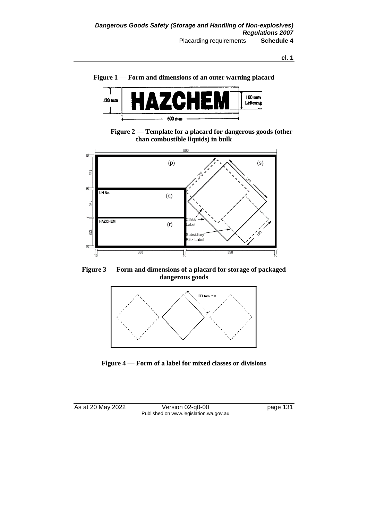



**Figure 2 — Template for a placard for dangerous goods (other than combustible liquids) in bulk**



**Figure 3 — Form and dimensions of a placard for storage of packaged dangerous goods**





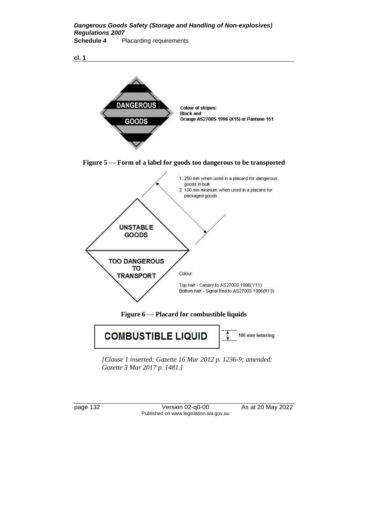*Dangerous Goods Safety (Storage and Handling of Non-explosives) Regulations 2007* **Schedule 4** Placarding requirements

**cl. 1**



*[Clause 1 inserted: Gazette 16 Mar 2012 p. 1236-9; amended: Gazette 3 Mar 2017 p. 1481.]*

page 132 Version 02-q0-00 As at 20 May 2022 Published on www.legislation.wa.gov.au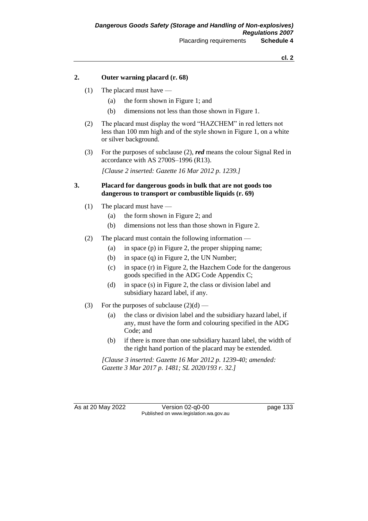#### **2. Outer warning placard (r. 68)**

- (1) The placard must have
	- (a) the form shown in Figure 1; and
	- (b) dimensions not less than those shown in Figure 1.
- (2) The placard must display the word "HAZCHEM" in red letters not less than 100 mm high and of the style shown in Figure 1, on a white or silver background.
- (3) For the purposes of subclause (2), *red* means the colour Signal Red in accordance with AS 2700S–1996 (R13).

*[Clause 2 inserted: Gazette 16 Mar 2012 p. 1239.]*

#### **3. Placard for dangerous goods in bulk that are not goods too dangerous to transport or combustible liquids (r. 69)**

- (1) The placard must have
	- (a) the form shown in Figure 2; and
	- (b) dimensions not less than those shown in Figure 2.
- (2) The placard must contain the following information
	- (a) in space (p) in Figure 2, the proper shipping name;
	- (b) in space (q) in Figure 2, the UN Number;
	- (c) in space (r) in Figure 2, the Hazchem Code for the dangerous goods specified in the ADG Code Appendix C;
	- (d) in space (s) in Figure 2, the class or division label and subsidiary hazard label, if any.
- (3) For the purposes of subclause  $(2)(d)$ 
	- (a) the class or division label and the subsidiary hazard label, if any, must have the form and colouring specified in the ADG Code; and
	- (b) if there is more than one subsidiary hazard label, the width of the right hand portion of the placard may be extended.

*[Clause 3 inserted: Gazette 16 Mar 2012 p. 1239-40; amended: Gazette 3 Mar 2017 p. 1481; SL 2020/193 r. 32.]*

As at 20 May 2022 Version 02-q0-00 page 133 Published on www.legislation.wa.gov.au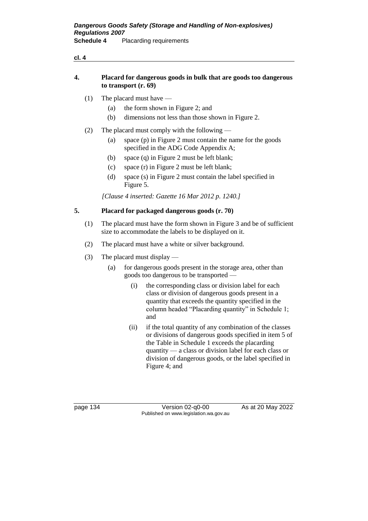| Placard for dangerous goods in bulk that are goods too dangerous |
|------------------------------------------------------------------|
| to transport $(r, 69)$                                           |

(1) The placard must have —

**cl. 4**

- (a) the form shown in Figure 2; and
- (b) dimensions not less than those shown in Figure 2.
- (2) The placard must comply with the following
	- (a) space (p) in Figure 2 must contain the name for the goods specified in the ADG Code Appendix A;
	- (b) space (q) in Figure 2 must be left blank;
	- (c) space (r) in Figure 2 must be left blank;
	- (d) space (s) in Figure 2 must contain the label specified in Figure 5.

*[Clause 4 inserted: Gazette 16 Mar 2012 p. 1240.]*

#### **5. Placard for packaged dangerous goods (r. 70)**

- (1) The placard must have the form shown in Figure 3 and be of sufficient size to accommodate the labels to be displayed on it.
- (2) The placard must have a white or silver background.
- (3) The placard must display
	- (a) for dangerous goods present in the storage area, other than goods too dangerous to be transported —
		- (i) the corresponding class or division label for each class or division of dangerous goods present in a quantity that exceeds the quantity specified in the column headed "Placarding quantity" in Schedule 1; and
		- (ii) if the total quantity of any combination of the classes or divisions of dangerous goods specified in item 5 of the Table in Schedule 1 exceeds the placarding quantity — a class or division label for each class or division of dangerous goods, or the label specified in Figure 4; and

page 134 Version 02-q0-00 As at 20 May 2022 Published on www.legislation.wa.gov.au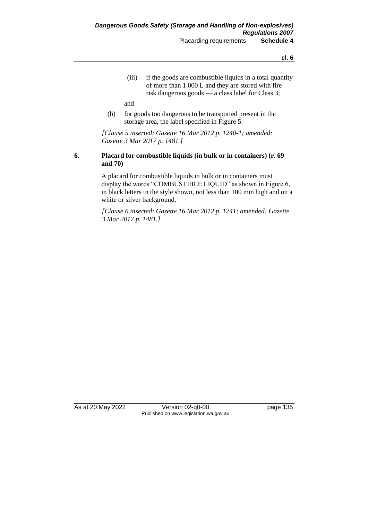**cl. 6**

(iii) if the goods are combustible liquids in a total quantity of more than 1 000 L and they are stored with fire risk dangerous goods — a class label for Class 3;

and

(b) for goods too dangerous to be transported present in the storage area, the label specified in Figure 5.

*[Clause 5 inserted: Gazette 16 Mar 2012 p. 1240-1; amended: Gazette 3 Mar 2017 p. 1481.]*

#### **6. Placard for combustible liquids (in bulk or in containers) (r. 69 and 70)**

A placard for combustible liquids in bulk or in containers must display the words "COMBUSTIBLE LIQUID" as shown in Figure 6, in black letters in the style shown, not less than 100 mm high and on a white or silver background.

*[Clause 6 inserted: Gazette 16 Mar 2012 p. 1241; amended: Gazette 3 Mar 2017 p. 1481.]*

As at 20 May 2022 Version 02-q0-00 page 135 Published on www.legislation.wa.gov.au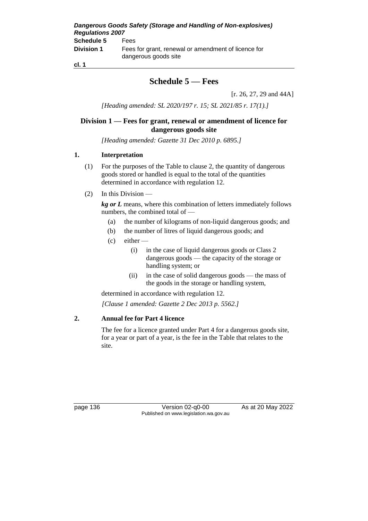*Dangerous Goods Safety (Storage and Handling of Non-explosives) Regulations 2007* **Schedule 5** Fees **Division 1** Fees for grant, renewal or amendment of licence for dangerous goods site

**cl. 1**

# **Schedule 5 — Fees**

[r. 26, 27, 29 and 44A]

*[Heading amended: SL 2020/197 r. 15; SL 2021/85 r. 17(1).]*

#### **Division 1 — Fees for grant, renewal or amendment of licence for dangerous goods site**

*[Heading amended: Gazette 31 Dec 2010 p. 6895.]*

#### **1. Interpretation**

- (1) For the purposes of the Table to clause 2, the quantity of dangerous goods stored or handled is equal to the total of the quantities determined in accordance with regulation 12.
- (2) In this Division —

*kg or L* means, where this combination of letters immediately follows numbers, the combined total of —

- (a) the number of kilograms of non-liquid dangerous goods; and
- (b) the number of litres of liquid dangerous goods; and
- $(c)$  either
	- (i) in the case of liquid dangerous goods or Class 2 dangerous goods — the capacity of the storage or handling system; or
	- (ii) in the case of solid dangerous goods the mass of the goods in the storage or handling system,

determined in accordance with regulation 12. *[Clause 1 amended: Gazette 2 Dec 2013 p. 5562.]*

#### **2. Annual fee for Part 4 licence**

The fee for a licence granted under Part 4 for a dangerous goods site, for a year or part of a year, is the fee in the Table that relates to the site.

page 136 Version 02-q0-00 As at 20 May 2022 Published on www.legislation.wa.gov.au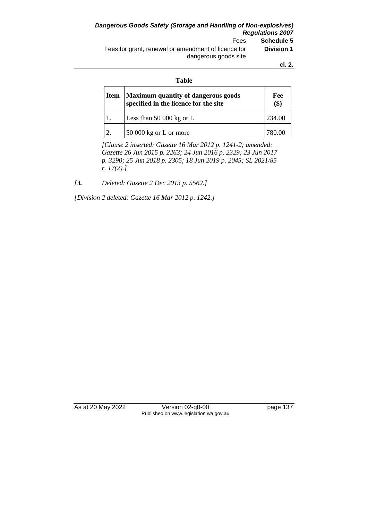*Dangerous Goods Safety (Storage and Handling of Non-explosives) Regulations 2007* Fees **Schedule 5** Fees for grant, renewal or amendment of licence for dangerous goods site **Division 1**

**cl. 2.**

#### **Table**

| Item | Maximum quantity of dangerous goods<br>specified in the licence for the site | Fee<br>$\left( \text{\$}\right)$ |
|------|------------------------------------------------------------------------------|----------------------------------|
|      | Less than $50000$ kg or L                                                    | 234.00                           |
|      | 50 000 kg or L or more                                                       |                                  |

*[Clause 2 inserted: Gazette 16 Mar 2012 p. 1241-2; amended: Gazette 26 Jun 2015 p. 2263; 24 Jun 2016 p. 2329; 23 Jun 2017 p. 3290; 25 Jun 2018 p. 2305; 18 Jun 2019 p. 2045; SL 2021/85 r. 17(2).]*

*[3. Deleted: Gazette 2 Dec 2013 p. 5562.]*

*[Division 2 deleted: Gazette 16 Mar 2012 p. 1242.]*

As at 20 May 2022 Version 02-q0-00 page 137 Published on www.legislation.wa.gov.au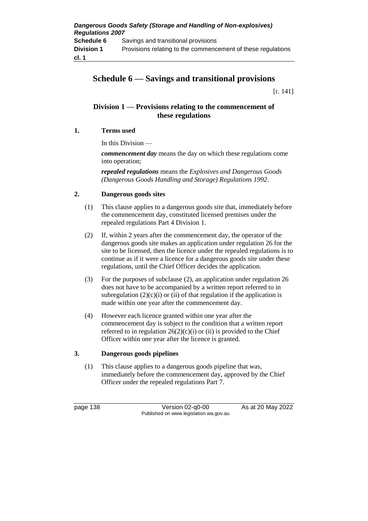## **Schedule 6 — Savings and transitional provisions**

[r. 141]

#### **Division 1 — Provisions relating to the commencement of these regulations**

#### **1. Terms used**

In this Division —

*commencement day* means the day on which these regulations come into operation;

*repealed regulations* means the *Explosives and Dangerous Goods (Dangerous Goods Handling and Storage) Regulations 1992*.

#### **2. Dangerous goods sites**

- (1) This clause applies to a dangerous goods site that, immediately before the commencement day, constituted licensed premises under the repealed regulations Part 4 Division 1.
- (2) If, within 2 years after the commencement day, the operator of the dangerous goods site makes an application under regulation 26 for the site to be licensed, then the licence under the repealed regulations is to continue as if it were a licence for a dangerous goods site under these regulations, until the Chief Officer decides the application.
- (3) For the purposes of subclause (2), an application under regulation 26 does not have to be accompanied by a written report referred to in subregulation  $(2)(c)(i)$  or (ii) of that regulation if the application is made within one year after the commencement day.
- (4) However each licence granted within one year after the commencement day is subject to the condition that a written report referred to in regulation  $26(2)(c)(i)$  or (ii) is provided to the Chief Officer within one year after the licence is granted.

#### **3. Dangerous goods pipelines**

(1) This clause applies to a dangerous goods pipeline that was, immediately before the commencement day, approved by the Chief Officer under the repealed regulations Part 7.

page 138 Version 02-q0-00 As at 20 May 2022 Published on www.legislation.wa.gov.au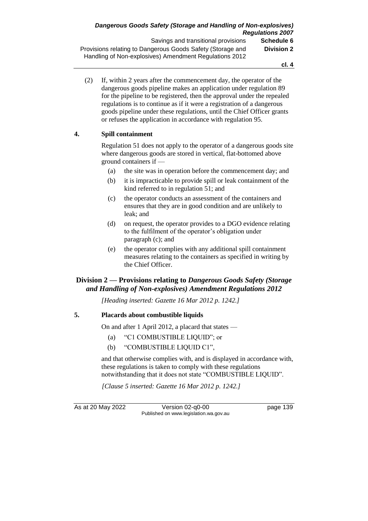(2) If, within 2 years after the commencement day, the operator of the dangerous goods pipeline makes an application under regulation 89 for the pipeline to be registered, then the approval under the repealed regulations is to continue as if it were a registration of a dangerous goods pipeline under these regulations, until the Chief Officer grants or refuses the application in accordance with regulation 95.

#### **4. Spill containment**

Regulation 51 does not apply to the operator of a dangerous goods site where dangerous goods are stored in vertical, flat-bottomed above ground containers if —

- (a) the site was in operation before the commencement day; and
- (b) it is impracticable to provide spill or leak containment of the kind referred to in regulation 51; and
- (c) the operator conducts an assessment of the containers and ensures that they are in good condition and are unlikely to leak; and
- (d) on request, the operator provides to a DGO evidence relating to the fulfilment of the operator's obligation under paragraph (c); and
- (e) the operator complies with any additional spill containment measures relating to the containers as specified in writing by the Chief Officer.

#### **Division 2 — Provisions relating to** *Dangerous Goods Safety (Storage and Handling of Non-explosives) Amendment Regulations 2012*

*[Heading inserted: Gazette 16 Mar 2012 p. 1242.]*

#### **5. Placards about combustible liquids**

On and after 1 April 2012, a placard that states —

- (a) "C1 COMBUSTIBLE LIQUID"; or
- (b) "COMBUSTIBLE LIQUID C1",

and that otherwise complies with, and is displayed in accordance with, these regulations is taken to comply with these regulations notwithstanding that it does not state "COMBUSTIBLE LIQUID".

*[Clause 5 inserted: Gazette 16 Mar 2012 p. 1242.]*

As at 20 May 2022 Version 02-q0-00 page 139 Published on www.legislation.wa.gov.au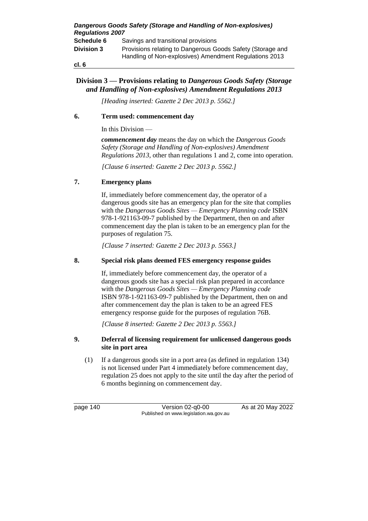| <b>Regulations 2007</b> | Dangerous Goods Safety (Storage and Handling of Non-explosives)                                                      |
|-------------------------|----------------------------------------------------------------------------------------------------------------------|
| Schedule 6              | Savings and transitional provisions                                                                                  |
| <b>Division 3</b>       | Provisions relating to Dangerous Goods Safety (Storage and<br>Handling of Non-explosives) Amendment Regulations 2013 |
| cl. 6                   |                                                                                                                      |

#### **Division 3 — Provisions relating to** *Dangerous Goods Safety (Storage and Handling of Non-explosives) Amendment Regulations 2013*

*[Heading inserted: Gazette 2 Dec 2013 p. 5562.]*

#### **6. Term used: commencement day**

In this Division —

*commencement day* means the day on which the *Dangerous Goods Safety (Storage and Handling of Non-explosives) Amendment Regulations 2013*, other than regulations 1 and 2, come into operation.

*[Clause 6 inserted: Gazette 2 Dec 2013 p. 5562.]*

#### **7. Emergency plans**

If, immediately before commencement day, the operator of a dangerous goods site has an emergency plan for the site that complies with the *Dangerous Goods Sites — Emergency Planning code* ISBN 978-1-921163-09-7 published by the Department, then on and after commencement day the plan is taken to be an emergency plan for the purposes of regulation 75.

*[Clause 7 inserted: Gazette 2 Dec 2013 p. 5563.]*

#### **8. Special risk plans deemed FES emergency response guides**

If, immediately before commencement day, the operator of a dangerous goods site has a special risk plan prepared in accordance with the *Dangerous Goods Sites — Emergency Planning code* ISBN 978-1-921163-09-7 published by the Department, then on and after commencement day the plan is taken to be an agreed FES emergency response guide for the purposes of regulation 76B.

*[Clause 8 inserted: Gazette 2 Dec 2013 p. 5563.]*

#### **9. Deferral of licensing requirement for unlicensed dangerous goods site in port area**

(1) If a dangerous goods site in a port area (as defined in regulation 134) is not licensed under Part 4 immediately before commencement day, regulation 25 does not apply to the site until the day after the period of 6 months beginning on commencement day.

page 140 Version 02-q0-00 As at 20 May 2022 Published on www.legislation.wa.gov.au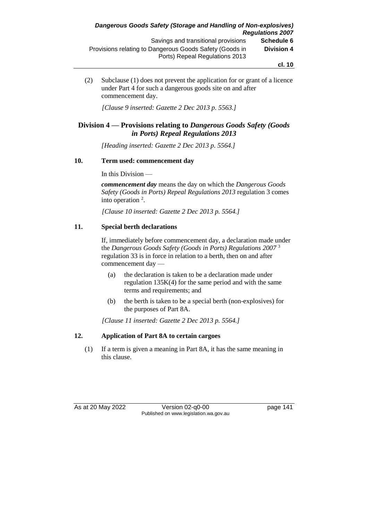(2) Subclause (1) does not prevent the application for or grant of a licence under Part 4 for such a dangerous goods site on and after commencement day.

*[Clause 9 inserted: Gazette 2 Dec 2013 p. 5563.]*

#### **Division 4 — Provisions relating to** *Dangerous Goods Safety (Goods in Ports) Repeal Regulations 2013*

*[Heading inserted: Gazette 2 Dec 2013 p. 5564.]*

#### **10. Term used: commencement day**

In this Division —

*commencement day* means the day on which the *Dangerous Goods Safety (Goods in Ports) Repeal Regulations 2013* regulation 3 comes into operation <sup>2</sup>.

*[Clause 10 inserted: Gazette 2 Dec 2013 p. 5564.]*

#### **11. Special berth declarations**

If, immediately before commencement day, a declaration made under the *Dangerous Goods Safety (Goods in Ports) Regulations 2007* <sup>3</sup> regulation 33 is in force in relation to a berth, then on and after commencement day —

- (a) the declaration is taken to be a declaration made under regulation 135K(4) for the same period and with the same terms and requirements; and
- (b) the berth is taken to be a special berth (non-explosives) for the purposes of Part 8A.

*[Clause 11 inserted: Gazette 2 Dec 2013 p. 5564.]*

#### **12. Application of Part 8A to certain cargoes**

(1) If a term is given a meaning in Part 8A, it has the same meaning in this clause.

As at 20 May 2022 Version 02-q0-00 Published on www.legislation.wa.gov.au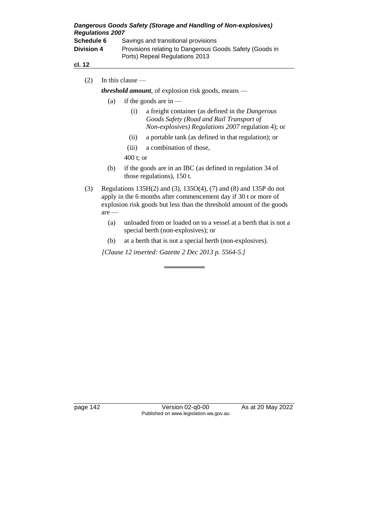| <b>Regulations 2007</b> | Dangerous Goods Safety (Storage and Handling of Non-explosives)                           |
|-------------------------|-------------------------------------------------------------------------------------------|
| Schedule 6              | Savings and transitional provisions                                                       |
| <b>Division 4</b>       | Provisions relating to Dangerous Goods Safety (Goods in<br>Ports) Repeal Regulations 2013 |
| <b>AL 19</b>            |                                                                                           |

#### **cl. 12**

(2) In this clause —

*threshold amount*, of explosion risk goods, means —

- (a) if the goods are in  $-$ 
	- (i) a freight container (as defined in the *Dangerous Goods Safety (Road and Rail Transport of Non-explosives) Regulations 2007* regulation 4); or
	- (ii) a portable tank (as defined in that regulation); or
	- (iii) a combination of those,

400 t; or

- (b) if the goods are in an IBC (as defined in regulation 34 of those regulations), 150 t.
- (3) Regulations 135H(2) and (3), 135O(4), (7) and (8) and 135P do not apply in the 6 months after commencement day if 30 t or more of explosion risk goods but less than the threshold amount of the goods are —
	- (a) unloaded from or loaded on to a vessel at a berth that is not a special berth (non-explosives); or
	- (b) at a berth that is not a special berth (non-explosives).

*[Clause 12 inserted: Gazette 2 Dec 2013 p. 5564-5.]*

page 142 Version 02-q0-00 As at 20 May 2022 Published on www.legislation.wa.gov.au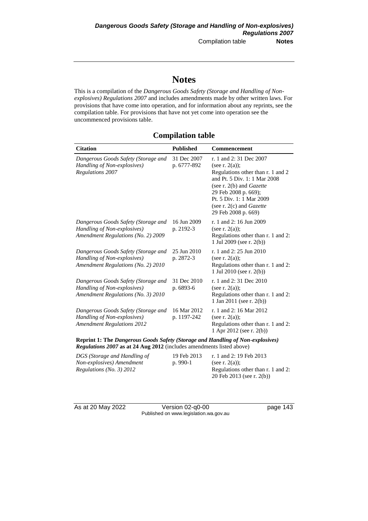# **Notes**

This is a compilation of the *Dangerous Goods Safety (Storage and Handling of Nonexplosives) Regulations 2007* and includes amendments made by other written laws. For provisions that have come into operation, and for information about any reprints, see the compilation table. For provisions that have not yet come into operation see the uncommenced provisions table.

### **Compilation table**

| <b>Citation</b>                                                                                                 | <b>Published</b>           | <b>Commencement</b>                                                                                                                                                                                                                                          |
|-----------------------------------------------------------------------------------------------------------------|----------------------------|--------------------------------------------------------------------------------------------------------------------------------------------------------------------------------------------------------------------------------------------------------------|
| Dangerous Goods Safety (Storage and<br>Handling of Non-explosives)<br><b>Regulations 2007</b>                   | 31 Dec 2007<br>p. 6777-892 | r. 1 and 2:31 Dec 2007<br>(see r. $2(a)$ );<br>Regulations other than r. 1 and 2<br>and Pt. 5 Div. 1: 1 Mar 2008<br>(see r. $2(b)$ and <i>Gazette</i><br>29 Feb 2008 p. 669);<br>Pt. 5 Div. 1: 1 Mar 2009<br>(see r. 2(c) and Gazette<br>29 Feb 2008 p. 669) |
| Dangerous Goods Safety (Storage and<br>Handling of Non-explosives)<br><b>Amendment Regulations (No. 2) 2009</b> | 16 Jun 2009<br>p. 2192-3   | r. 1 and 2: 16 Jun 2009<br>(see r. $2(a)$ );<br>Regulations other than r. 1 and 2:<br>1 Jul 2009 (see r. $2(b)$ )                                                                                                                                            |
| Dangerous Goods Safety (Storage and<br>Handling of Non-explosives)<br>Amendment Regulations (No. 2) 2010        | 25 Jun 2010<br>p. 2872-3   | r. 1 and 2: 25 Jun 2010<br>(see r. $2(a)$ );<br>Regulations other than r. 1 and 2:<br>1 Jul 2010 (see r. $2(b)$ )                                                                                                                                            |
| Dangerous Goods Safety (Storage and<br>Handling of Non-explosives)<br>Amendment Regulations (No. 3) 2010        | 31 Dec 2010<br>p. 6893-6   | r. 1 and 2:31 Dec 2010<br>(see r. $2(a)$ );<br>Regulations other than r. 1 and 2:<br>1 Jan 2011 (see r. 2(b))                                                                                                                                                |
| Dangerous Goods Safety (Storage and<br>Handling of Non-explosives)<br><b>Amendment Regulations 2012</b>         | 16 Mar 2012<br>p. 1197-242 | r. 1 and 2: 16 Mar 2012<br>(see r. $2(a)$ );<br>Regulations other than r. 1 and 2:<br>1 Apr 2012 (see r. 2(b))                                                                                                                                               |

**Reprint 1: The** *Dangerous Goods Safety (Storage and Handling of Non-explosives) Regulations 2007* **as at 24 Aug 2012** (includes amendments listed above)

| 19 Feb 2013 | r. 1 and 2: 19 Feb 2013            |
|-------------|------------------------------------|
| $p.990-1$   | (see r. $2(a)$ );                  |
|             | Regulations other than r. 1 and 2: |
|             | 20 Feb 2013 (see r. 2(b))          |
|             |                                    |

As at 20 May 2022 Version 02-q0-00 page 143 Published on www.legislation.wa.gov.au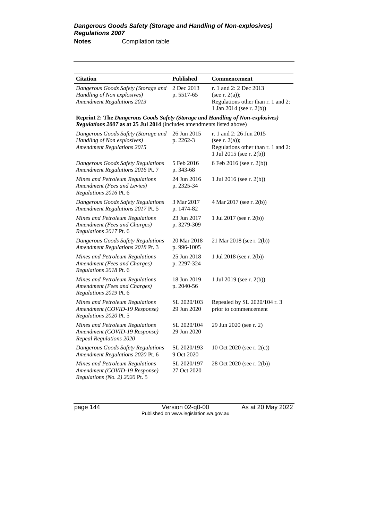| <b>Citation</b>                                                                                                                                         | <b>Published</b>           | Commencement                                                                                                   |
|---------------------------------------------------------------------------------------------------------------------------------------------------------|----------------------------|----------------------------------------------------------------------------------------------------------------|
| Dangerous Goods Safety (Storage and<br>Handling of Non explosives)<br><b>Amendment Regulations 2013</b>                                                 | 2 Dec 2013<br>p. 5517-65   | r. 1 and 2: 2 Dec 2013<br>(see r. $2(a)$ );<br>Regulations other than r. 1 and 2:<br>1 Jan 2014 (see r. 2(b))  |
| Reprint 2: The Dangerous Goods Safety (Storage and Handling of Non-explosives)<br>Regulations 2007 as at 25 Jul 2014 (includes amendments listed above) |                            |                                                                                                                |
| Dangerous Goods Safety (Storage and<br>Handling of Non explosives)<br><b>Amendment Regulations 2015</b>                                                 | 26 Jun 2015<br>p. 2262-3   | r. 1 and 2: 26 Jun 2015<br>(see r. $2(a)$ );<br>Regulations other than r. 1 and 2:<br>1 Jul 2015 (see r. 2(b)) |
| Dangerous Goods Safety Regulations<br>Amendment Regulations 2016 Pt. 7                                                                                  | 5 Feb 2016<br>p. 343-68    | 6 Feb 2016 (see r. 2(b))                                                                                       |
| Mines and Petroleum Regulations<br>Amendment (Fees and Levies)<br>Regulations 2016 Pt. 6                                                                | 24 Jun 2016<br>p. 2325-34  | 1 Jul 2016 (see r. 2(b))                                                                                       |
| Dangerous Goods Safety Regulations<br>Amendment Regulations 2017 Pt. 5                                                                                  | 3 Mar 2017<br>p. 1474-82   | 4 Mar 2017 (see r. 2(b))                                                                                       |
| Mines and Petroleum Regulations<br>Amendment (Fees and Charges)<br>Regulations 2017 Pt. 6                                                               | 23 Jun 2017<br>p. 3279-309 | 1 Jul 2017 (see r. 2(b))                                                                                       |
| Dangerous Goods Safety Regulations<br>Amendment Regulations 2018 Pt. 3                                                                                  | 20 Mar 2018<br>p. 996-1005 | 21 Mar 2018 (see r. 2(b))                                                                                      |
| Mines and Petroleum Regulations<br>Amendment (Fees and Charges)<br>Regulations 2018 Pt. 6                                                               | 25 Jun 2018<br>p. 2297-324 | 1 Jul 2018 (see r. 2(b))                                                                                       |
| Mines and Petroleum Regulations<br>Amendment (Fees and Charges)<br>Regulations 2019 Pt. 6                                                               | 18 Jun 2019<br>p. 2040-56  | 1 Jul 2019 (see r. 2(b))                                                                                       |
| Mines and Petroleum Regulations<br>Amendment (COVID-19 Response)<br>Regulations 2020 Pt. 5                                                              | SL 2020/103<br>29 Jun 2020 | Repealed by SL 2020/104 r. 3<br>prior to commencement                                                          |
| Mines and Petroleum Regulations<br>Amendment (COVID-19 Response)<br><b>Repeal Regulations 2020</b>                                                      | SL 2020/104<br>29 Jun 2020 | 29 Jun 2020 (see r. 2)                                                                                         |
| Dangerous Goods Safety Regulations<br>Amendment Regulations 2020 Pt. 6                                                                                  | SL 2020/193<br>9 Oct 2020  | 10 Oct 2020 (see r. 2(c))                                                                                      |
| Mines and Petroleum Regulations<br>Amendment (COVID-19 Response)<br>Regulations (No. 2) 2020 Pt. 5                                                      | SL 2020/197<br>27 Oct 2020 | 28 Oct 2020 (see r. 2(b))                                                                                      |

page 144 Version 02-q0-00 As at 20 May 2022 Published on www.legislation.wa.gov.au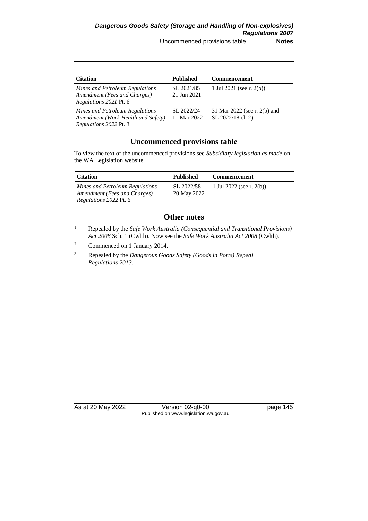| <b>Citation</b>                                                                                 | <b>Published</b>          | <b>Commencement</b>                               |
|-------------------------------------------------------------------------------------------------|---------------------------|---------------------------------------------------|
| Mines and Petroleum Regulations<br>Amendment (Fees and Charges)<br>Regulations 2021 Pt. 6       | SL 2021/85<br>21 Jun 2021 | 1 Jul 2021 (see r. $2(b)$ )                       |
| Mines and Petroleum Regulations<br>Amendment (Work Health and Safety)<br>Regulations 2022 Pt. 3 | SL 2022/24<br>11 Mar 2022 | 31 Mar 2022 (see r. 2(b) and<br>SL 2022/18 cl. 2) |

### **Uncommenced provisions table**

To view the text of the uncommenced provisions see *Subsidiary legislation as made* on the WA Legislation website.

| <b>Citation</b>                                                                                  | <b>Published</b>          | <b>Commencement</b>      |
|--------------------------------------------------------------------------------------------------|---------------------------|--------------------------|
| Mines and Petroleum Regulations<br>Amendment (Fees and Charges)<br><i>Regulations 2022 Pt. 6</i> | SL 2022/58<br>20 May 2022 | 1 Jul 2022 (see r. 2(b)) |

#### **Other notes**

- <sup>1</sup> Repealed by the *Safe Work Australia (Consequential and Transitional Provisions) Act 2008* Sch. 1 (Cwlth). Now see the *Safe Work Australia Act 2008* (Cwlth).
- <sup>2</sup> Commenced on 1 January 2014.
- <sup>3</sup> Repealed by the *Dangerous Goods Safety (Goods in Ports) Repeal Regulations 2013*.

As at 20 May 2022 Version 02-q0-00 Page 145 Published on www.legislation.wa.gov.au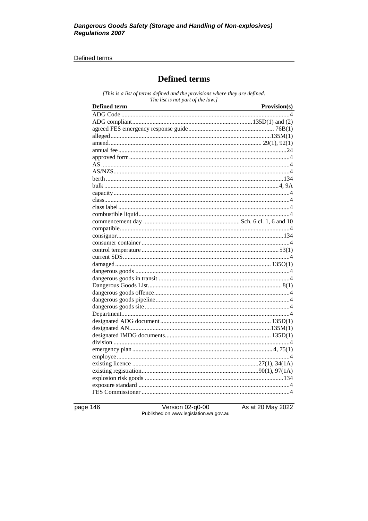#### Defined terms

# **Defined terms**

[This is a list of terms defined and the provisions where they are defined. The list is not part of the law.]

| <b>Defined term</b> | Provision(s) |
|---------------------|--------------|
|                     |              |
|                     |              |
|                     |              |
|                     |              |
|                     |              |
|                     |              |
|                     |              |
|                     |              |
|                     |              |
|                     |              |
|                     |              |
|                     |              |
|                     |              |
|                     |              |
|                     |              |
|                     |              |
|                     |              |
|                     |              |
|                     |              |
|                     |              |
|                     |              |
|                     |              |
|                     |              |
|                     |              |
|                     |              |
|                     |              |
|                     |              |
|                     |              |
|                     |              |
|                     |              |
|                     |              |
|                     |              |
|                     |              |
|                     |              |
|                     |              |
|                     |              |
|                     |              |
|                     |              |
|                     |              |
|                     |              |
|                     |              |

page 146

Version 02-q0-00<br>Published on www.legislation.wa.gov.au

As at 20 May 2022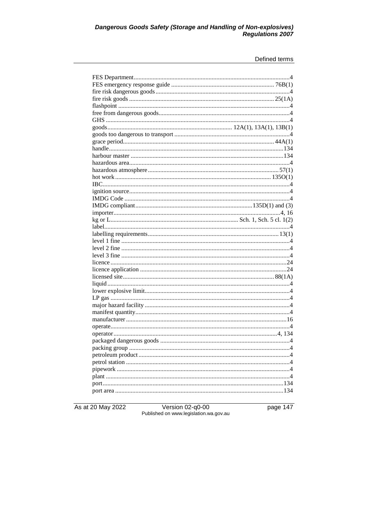# Dangerous Goods Safety (Storage and Handling of Non-explosives)<br>Regulations 2007

#### Defined terms

As at 20 May 2022

Version 02-q0-00<br>Published on www.legislation.wa.gov.au

page 147